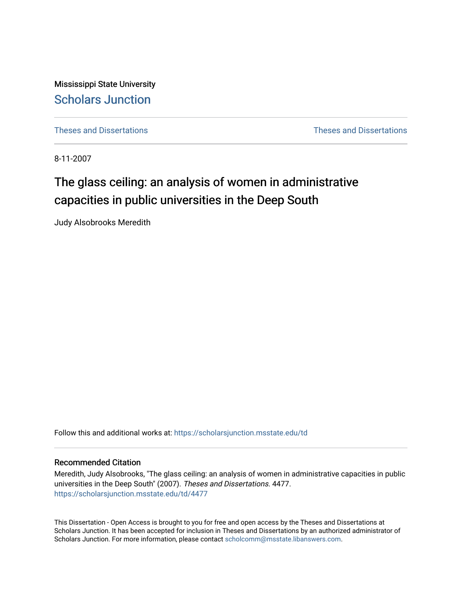Mississippi State University [Scholars Junction](https://scholarsjunction.msstate.edu/) 

[Theses and Dissertations](https://scholarsjunction.msstate.edu/td) [Theses and Dissertations](https://scholarsjunction.msstate.edu/theses-dissertations) 

8-11-2007

# The glass ceiling: an analysis of women in administrative capacities in public universities in the Deep South

Judy Alsobrooks Meredith

Follow this and additional works at: [https://scholarsjunction.msstate.edu/td](https://scholarsjunction.msstate.edu/td?utm_source=scholarsjunction.msstate.edu%2Ftd%2F4477&utm_medium=PDF&utm_campaign=PDFCoverPages) 

## Recommended Citation

Meredith, Judy Alsobrooks, "The glass ceiling: an analysis of women in administrative capacities in public universities in the Deep South" (2007). Theses and Dissertations. 4477. [https://scholarsjunction.msstate.edu/td/4477](https://scholarsjunction.msstate.edu/td/4477?utm_source=scholarsjunction.msstate.edu%2Ftd%2F4477&utm_medium=PDF&utm_campaign=PDFCoverPages) 

This Dissertation - Open Access is brought to you for free and open access by the Theses and Dissertations at Scholars Junction. It has been accepted for inclusion in Theses and Dissertations by an authorized administrator of Scholars Junction. For more information, please contact [scholcomm@msstate.libanswers.com.](mailto:scholcomm@msstate.libanswers.com)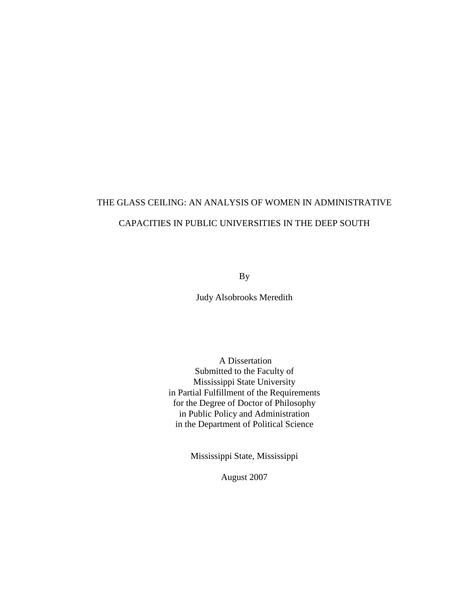# THE GLASS CEILING: AN ANALYSIS OF WOMEN IN ADMINISTRATIVE CAPACITIES IN PUBLIC UNIVERSITIES IN THE DEEP SOUTH

By

Judy Alsobrooks Meredith

 A Dissertation Submitted to the Faculty of Mississippi State University in Partial Fulfillment of the Requirements for the Degree of Doctor of Philosophy in Public Policy and Administration in the Department of Political Science

Mississippi State, Mississippi

August 2007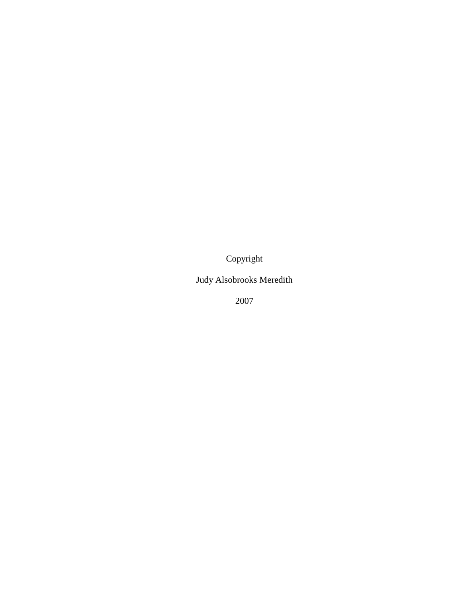Copyright

Judy Alsobrooks Meredith

2007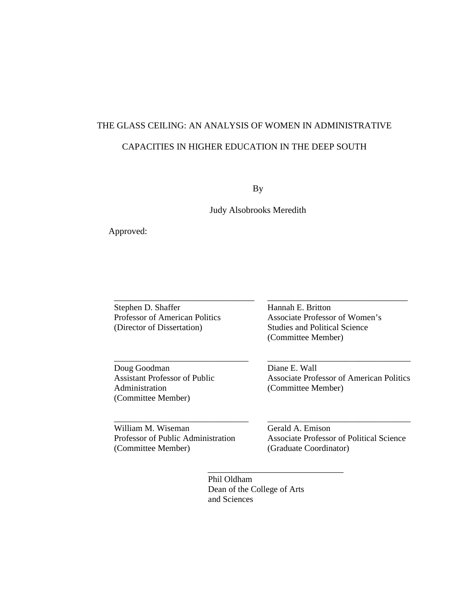# THE GLASS CEILING: AN ANALYSIS OF WOMEN IN ADMINISTRATIVE CAPACITIES IN HIGHER EDUCATION IN THE DEEP SOUTH

By

Judy Alsobrooks Meredith

Approved:

Stephen D. Shaffer Professor of American Politics (Director of Dissertation)

\_\_\_\_\_\_\_\_\_\_\_\_\_\_\_\_\_\_\_\_\_\_\_\_\_\_\_\_\_\_\_

\_\_\_\_\_\_\_\_\_\_\_\_\_\_\_\_\_\_\_\_\_\_\_\_\_\_\_\_\_\_\_

\_\_\_\_\_\_\_\_\_\_\_\_\_\_\_\_\_\_\_\_\_\_\_\_\_\_\_\_\_\_\_

Doug Goodman Assistant Professor of Public Administration (Committee Member)

Hannah E. Britton Associate Professor of Women's Studies and Political Science (Committee Member)

Diane E. Wall Associate Professor of American Politics (Committee Member)

\_\_\_\_\_\_\_\_\_\_\_\_\_\_\_\_\_\_\_\_\_\_\_\_\_\_\_\_\_\_\_\_\_

\_\_\_\_\_\_\_\_\_\_\_\_\_\_\_\_\_\_\_\_\_\_\_\_\_\_\_\_\_\_\_

William M. Wiseman Professor of Public Administration (Committee Member)

Gerald A. Emison Associate Professor of Political Science (Graduate Coordinator)

\_\_\_\_\_\_\_\_\_\_\_\_\_\_\_\_\_\_\_\_\_\_\_\_\_\_\_\_\_\_\_\_\_

 Phil Oldham Dean of the College of Arts and Sciences

\_\_\_\_\_\_\_\_\_\_\_\_\_\_\_\_\_\_\_\_\_\_\_\_\_\_\_\_\_\_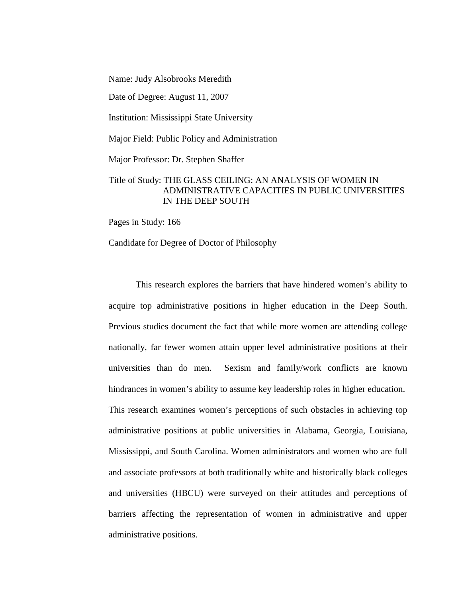Name: Judy Alsobrooks Meredith

Date of Degree: August 11, 2007

Institution: Mississippi State University

Major Field: Public Policy and Administration

Major Professor: Dr. Stephen Shaffer

# Title of Study: THE GLASS CEILING: AN ANALYSIS OF WOMEN IN ADMINISTRATIVE CAPACITIES IN PUBLIC UNIVERSITIES IN THE DEEP SOUTH

Pages in Study: 166

Candidate for Degree of Doctor of Philosophy

This research explores the barriers that have hindered women's ability to acquire top administrative positions in higher education in the Deep South. Previous studies document the fact that while more women are attending college nationally, far fewer women attain upper level administrative positions at their universities than do men. Sexism and family/work conflicts are known hindrances in women's ability to assume key leadership roles in higher education. This research examines women's perceptions of such obstacles in achieving top administrative positions at public universities in Alabama, Georgia, Louisiana, Mississippi, and South Carolina. Women administrators and women who are full and associate professors at both traditionally white and historically black colleges and universities (HBCU) were surveyed on their attitudes and perceptions of barriers affecting the representation of women in administrative and upper administrative positions.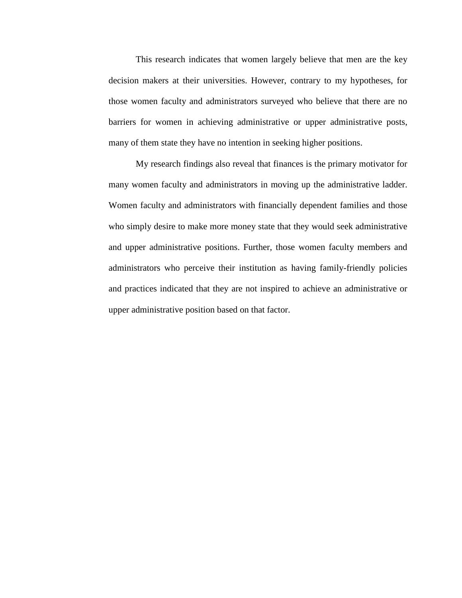This research indicates that women largely believe that men are the key decision makers at their universities. However, contrary to my hypotheses, for those women faculty and administrators surveyed who believe that there are no barriers for women in achieving administrative or upper administrative posts, many of them state they have no intention in seeking higher positions.

My research findings also reveal that finances is the primary motivator for many women faculty and administrators in moving up the administrative ladder. Women faculty and administrators with financially dependent families and those who simply desire to make more money state that they would seek administrative and upper administrative positions. Further, those women faculty members and administrators who perceive their institution as having family-friendly policies and practices indicated that they are not inspired to achieve an administrative or upper administrative position based on that factor.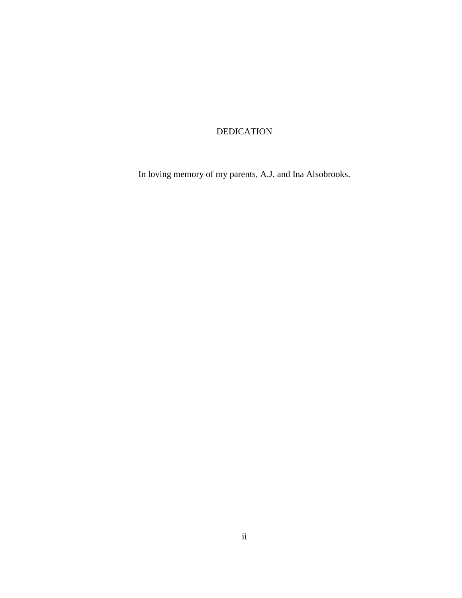# DEDICATION

In loving memory of my parents, A.J. and Ina Alsobrooks.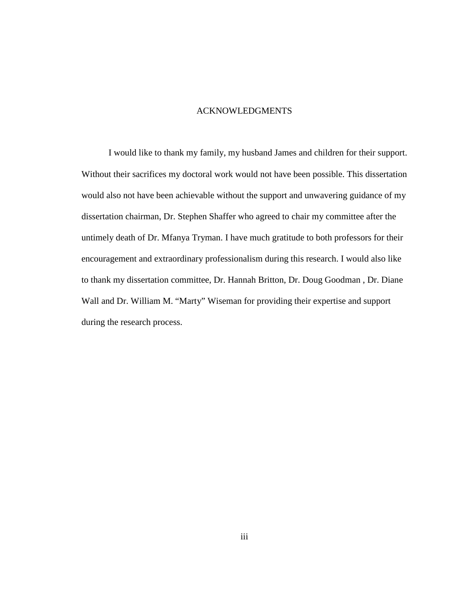#### ACKNOWLEDGMENTS

I would like to thank my family, my husband James and children for their support. Without their sacrifices my doctoral work would not have been possible. This dissertation would also not have been achievable without the support and unwavering guidance of my dissertation chairman, Dr. Stephen Shaffer who agreed to chair my committee after the untimely death of Dr. Mfanya Tryman. I have much gratitude to both professors for their encouragement and extraordinary professionalism during this research. I would also like to thank my dissertation committee, Dr. Hannah Britton, Dr. Doug Goodman , Dr. Diane Wall and Dr. William M. "Marty" Wiseman for providing their expertise and support during the research process.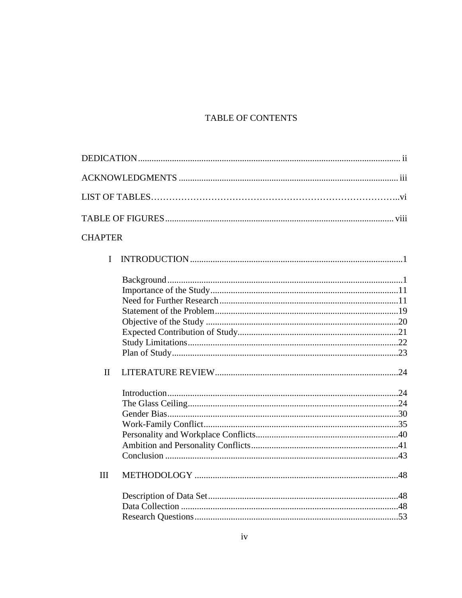# TABLE OF CONTENTS

| <b>CHAPTER</b> |  |
|----------------|--|
| I              |  |
|                |  |
|                |  |
|                |  |
|                |  |
|                |  |
|                |  |
|                |  |
| $\mathbf{I}$   |  |
|                |  |
|                |  |
|                |  |
|                |  |
|                |  |
|                |  |
|                |  |
| III            |  |
|                |  |
|                |  |
|                |  |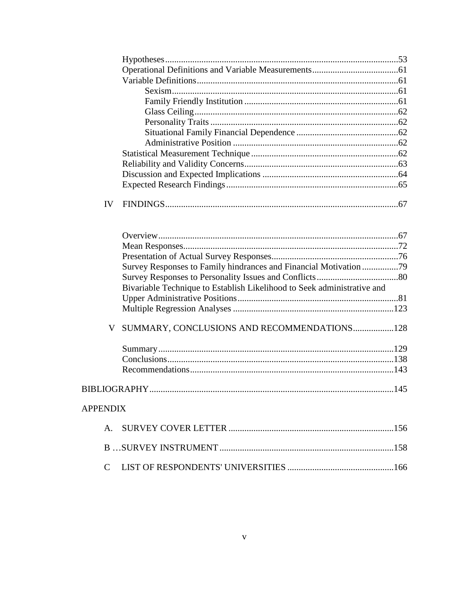| IV              |                                                                         |  |
|-----------------|-------------------------------------------------------------------------|--|
|                 |                                                                         |  |
|                 |                                                                         |  |
|                 |                                                                         |  |
|                 | Survey Responses to Family hindrances and Financial Motivation 79       |  |
|                 |                                                                         |  |
|                 | Bivariable Technique to Establish Likelihood to Seek administrative and |  |
|                 |                                                                         |  |
|                 |                                                                         |  |
|                 |                                                                         |  |
|                 | V SUMMARY, CONCLUSIONS AND RECOMMENDATIONS128                           |  |
|                 |                                                                         |  |
|                 |                                                                         |  |
|                 |                                                                         |  |
|                 |                                                                         |  |
| <b>APPENDIX</b> |                                                                         |  |
| $\mathsf{A}$ .  |                                                                         |  |
|                 |                                                                         |  |
| $\mathcal{C}$   |                                                                         |  |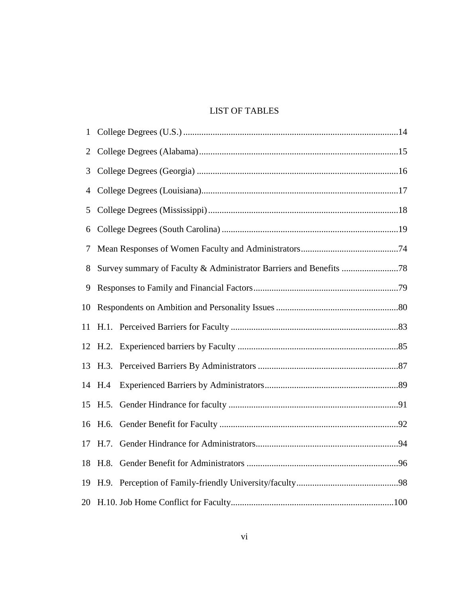# LIST OF TABLES

| $\mathbf{1}$ |         |  |  |  |  |
|--------------|---------|--|--|--|--|
| 2            |         |  |  |  |  |
| 3            |         |  |  |  |  |
| 4            |         |  |  |  |  |
| 5            |         |  |  |  |  |
| 6            |         |  |  |  |  |
| 7            |         |  |  |  |  |
| 8            |         |  |  |  |  |
| 9            |         |  |  |  |  |
| 10           |         |  |  |  |  |
| 11           |         |  |  |  |  |
|              |         |  |  |  |  |
|              |         |  |  |  |  |
|              | 14 H.4  |  |  |  |  |
|              | 15 H.5. |  |  |  |  |
|              |         |  |  |  |  |
| 17           | H.7.    |  |  |  |  |
| 18           | H.8.    |  |  |  |  |
|              |         |  |  |  |  |
|              |         |  |  |  |  |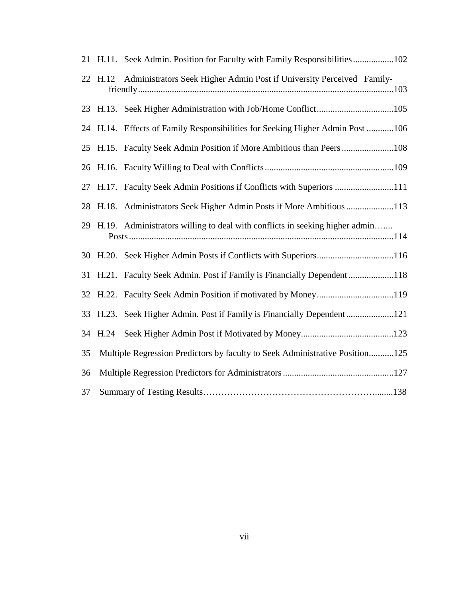|    |         | 21 H.11. Seek Admin. Position for Faculty with Family Responsibilities102      |
|----|---------|--------------------------------------------------------------------------------|
|    | 22 H.12 | Administrators Seek Higher Admin Post if University Perceived Family-          |
|    |         |                                                                                |
|    |         | 24 H.14. Effects of Family Responsibilities for Seeking Higher Admin Post 106  |
|    |         | 25 H.15. Faculty Seek Admin Position if More Ambitious than Peers 108          |
|    |         |                                                                                |
|    |         | 27 H.17. Faculty Seek Admin Positions if Conflicts with Superiors 111          |
|    |         | 28 H.18. Administrators Seek Higher Admin Posts if More Ambitious 113          |
|    |         | 29 H.19. Administrators willing to deal with conflicts in seeking higher admin |
|    |         |                                                                                |
|    |         | 31 H.21. Faculty Seek Admin. Post if Family is Financially Dependent118        |
|    |         | 32 H.22. Faculty Seek Admin Position if motivated by Money119                  |
|    |         | 33 H.23. Seek Higher Admin. Post if Family is Financially Dependent121         |
|    | 34 H.24 |                                                                                |
| 35 |         | Multiple Regression Predictors by faculty to Seek Administrative Position125   |
| 36 |         |                                                                                |
| 37 |         |                                                                                |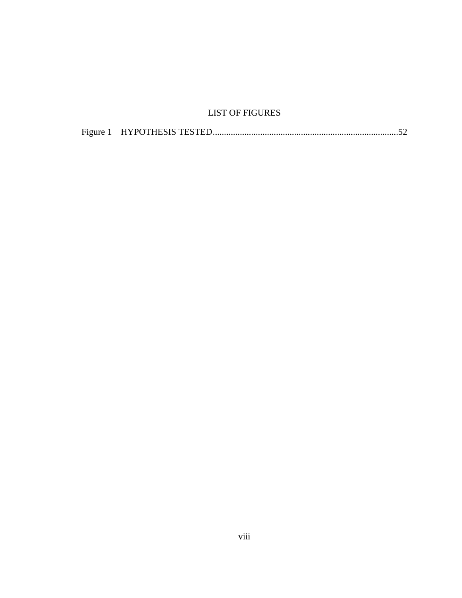# LIST OF FIGURES

| Figure 1 |  |  |  |
|----------|--|--|--|
|----------|--|--|--|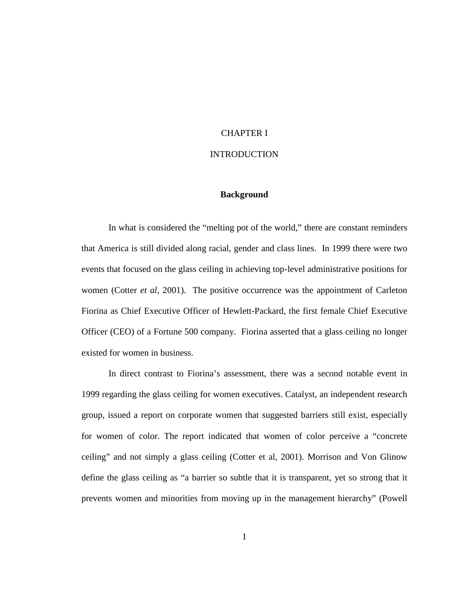# CHAPTER I

## **INTRODUCTION**

## **Background**

In what is considered the "melting pot of the world," there are constant reminders that America is still divided along racial, gender and class lines. In 1999 there were two events that focused on the glass ceiling in achieving top-level administrative positions for women (Cotter *et al*, 2001). The positive occurrence was the appointment of Carleton Fiorina as Chief Executive Officer of Hewlett-Packard, the first female Chief Executive Officer (CEO) of a Fortune 500 company. Fiorina asserted that a glass ceiling no longer existed for women in business.

In direct contrast to Fiorina's assessment, there was a second notable event in 1999 regarding the glass ceiling for women executives. Catalyst, an independent research group, issued a report on corporate women that suggested barriers still exist, especially for women of color. The report indicated that women of color perceive a "concrete ceiling" and not simply a glass ceiling (Cotter et al, 2001). Morrison and Von Glinow define the glass ceiling as "a barrier so subtle that it is transparent, yet so strong that it prevents women and minorities from moving up in the management hierarchy" (Powell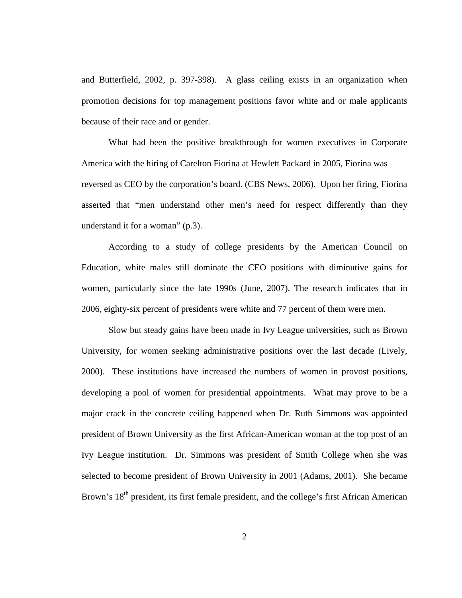and Butterfield, 2002, p. 397-398). A glass ceiling exists in an organization when promotion decisions for top management positions favor white and or male applicants because of their race and or gender.

What had been the positive breakthrough for women executives in Corporate America with the hiring of Carelton Fiorina at Hewlett Packard in 2005, Fiorina was reversed as CEO by the corporation's board. (CBS News, 2006). Upon her firing, Fiorina asserted that "men understand other men's need for respect differently than they understand it for a woman" (p.3).

According to a study of college presidents by the American Council on Education, white males still dominate the CEO positions with diminutive gains for women, particularly since the late 1990s (June, 2007). The research indicates that in 2006, eighty-six percent of presidents were white and 77 percent of them were men.

Slow but steady gains have been made in Ivy League universities, such as Brown University, for women seeking administrative positions over the last decade (Lively, 2000). These institutions have increased the numbers of women in provost positions, developing a pool of women for presidential appointments. What may prove to be a major crack in the concrete ceiling happened when Dr. Ruth Simmons was appointed president of Brown University as the first African-American woman at the top post of an Ivy League institution. Dr. Simmons was president of Smith College when she was selected to become president of Brown University in 2001 (Adams, 2001). She became Brown's 18<sup>th</sup> president, its first female president, and the college's first African American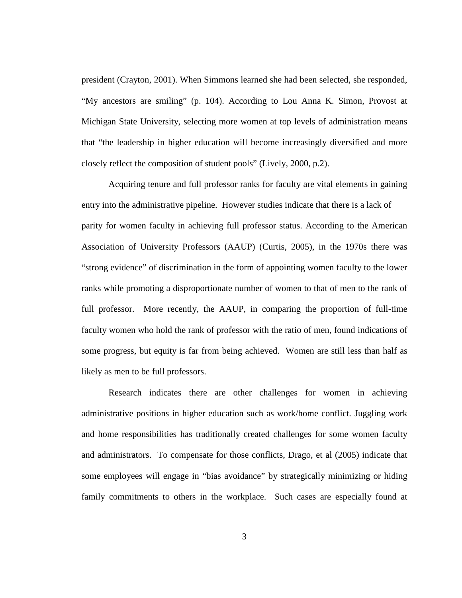president (Crayton, 2001). When Simmons learned she had been selected, she responded, "My ancestors are smiling" (p. 104). According to Lou Anna K. Simon, Provost at Michigan State University, selecting more women at top levels of administration means that "the leadership in higher education will become increasingly diversified and more closely reflect the composition of student pools" (Lively, 2000, p.2).

Acquiring tenure and full professor ranks for faculty are vital elements in gaining entry into the administrative pipeline. However studies indicate that there is a lack of parity for women faculty in achieving full professor status. According to the American Association of University Professors (AAUP) (Curtis, 2005), in the 1970s there was "strong evidence" of discrimination in the form of appointing women faculty to the lower ranks while promoting a disproportionate number of women to that of men to the rank of full professor. More recently, the AAUP, in comparing the proportion of full-time faculty women who hold the rank of professor with the ratio of men, found indications of some progress, but equity is far from being achieved. Women are still less than half as likely as men to be full professors.

Research indicates there are other challenges for women in achieving administrative positions in higher education such as work/home conflict. Juggling work and home responsibilities has traditionally created challenges for some women faculty and administrators. To compensate for those conflicts, Drago, et al (2005) indicate that some employees will engage in "bias avoidance" by strategically minimizing or hiding family commitments to others in the workplace. Such cases are especially found at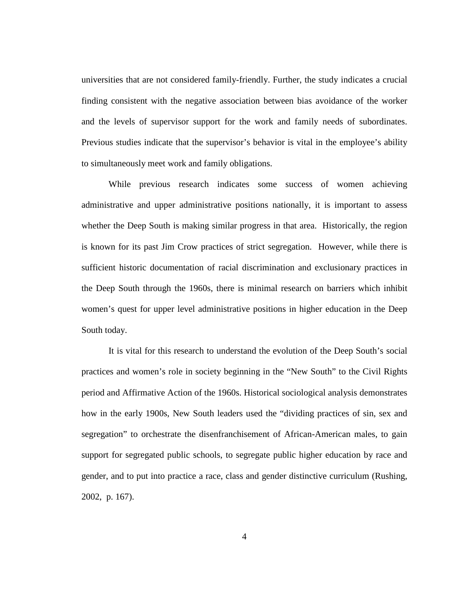universities that are not considered family-friendly. Further, the study indicates a crucial finding consistent with the negative association between bias avoidance of the worker and the levels of supervisor support for the work and family needs of subordinates. Previous studies indicate that the supervisor's behavior is vital in the employee's ability to simultaneously meet work and family obligations.

While previous research indicates some success of women achieving administrative and upper administrative positions nationally, it is important to assess whether the Deep South is making similar progress in that area. Historically, the region is known for its past Jim Crow practices of strict segregation. However, while there is sufficient historic documentation of racial discrimination and exclusionary practices in the Deep South through the 1960s, there is minimal research on barriers which inhibit women's quest for upper level administrative positions in higher education in the Deep South today.

It is vital for this research to understand the evolution of the Deep South's social practices and women's role in society beginning in the "New South" to the Civil Rights period and Affirmative Action of the 1960s. Historical sociological analysis demonstrates how in the early 1900s, New South leaders used the "dividing practices of sin, sex and segregation" to orchestrate the disenfranchisement of African-American males, to gain support for segregated public schools, to segregate public higher education by race and gender, and to put into practice a race, class and gender distinctive curriculum (Rushing, 2002, p. 167).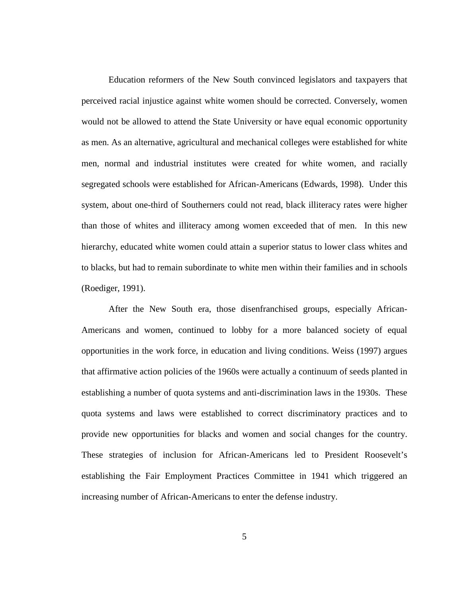Education reformers of the New South convinced legislators and taxpayers that perceived racial injustice against white women should be corrected. Conversely, women would not be allowed to attend the State University or have equal economic opportunity as men. As an alternative, agricultural and mechanical colleges were established for white men, normal and industrial institutes were created for white women, and racially segregated schools were established for African-Americans (Edwards, 1998). Under this system, about one-third of Southerners could not read, black illiteracy rates were higher than those of whites and illiteracy among women exceeded that of men. In this new hierarchy, educated white women could attain a superior status to lower class whites and to blacks, but had to remain subordinate to white men within their families and in schools (Roediger, 1991).

After the New South era, those disenfranchised groups, especially African-Americans and women, continued to lobby for a more balanced society of equal opportunities in the work force, in education and living conditions. Weiss (1997) argues that affirmative action policies of the 1960s were actually a continuum of seeds planted in establishing a number of quota systems and anti-discrimination laws in the 1930s. These quota systems and laws were established to correct discriminatory practices and to provide new opportunities for blacks and women and social changes for the country. These strategies of inclusion for African-Americans led to President Roosevelt's establishing the Fair Employment Practices Committee in 1941 which triggered an increasing number of African-Americans to enter the defense industry.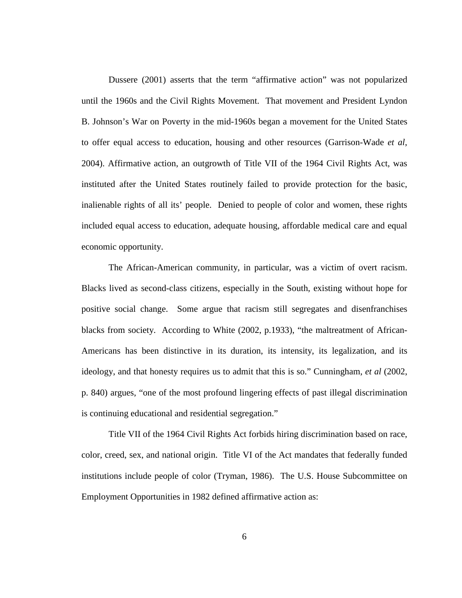Dussere (2001) asserts that the term "affirmative action" was not popularized until the 1960s and the Civil Rights Movement. That movement and President Lyndon B. Johnson's War on Poverty in the mid-1960s began a movement for the United States to offer equal access to education, housing and other resources (Garrison-Wade *et al*, 2004). Affirmative action, an outgrowth of Title VII of the 1964 Civil Rights Act, was instituted after the United States routinely failed to provide protection for the basic, inalienable rights of all its' people. Denied to people of color and women, these rights included equal access to education, adequate housing, affordable medical care and equal economic opportunity.

The African-American community, in particular, was a victim of overt racism. Blacks lived as second-class citizens, especially in the South, existing without hope for positive social change. Some argue that racism still segregates and disenfranchises blacks from society. According to White (2002, p.1933), "the maltreatment of African-Americans has been distinctive in its duration, its intensity, its legalization, and its ideology, and that honesty requires us to admit that this is so." Cunningham, *et al* (2002, p. 840) argues, "one of the most profound lingering effects of past illegal discrimination is continuing educational and residential segregation."

Title VII of the 1964 Civil Rights Act forbids hiring discrimination based on race, color, creed, sex, and national origin. Title VI of the Act mandates that federally funded institutions include people of color (Tryman, 1986). The U.S. House Subcommittee on Employment Opportunities in 1982 defined affirmative action as: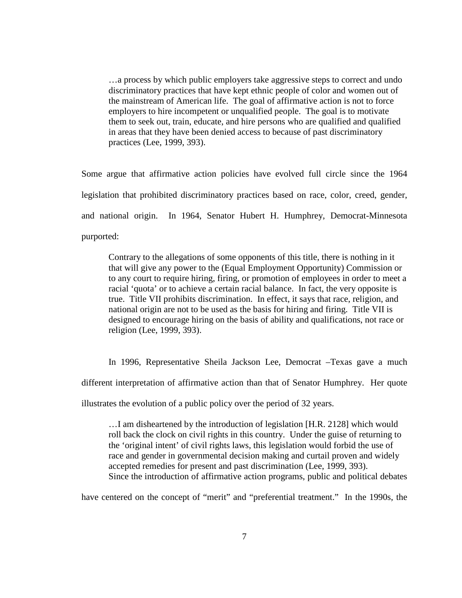…a process by which public employers take aggressive steps to correct and undo discriminatory practices that have kept ethnic people of color and women out of the mainstream of American life. The goal of affirmative action is not to force employers to hire incompetent or unqualified people. The goal is to motivate them to seek out, train, educate, and hire persons who are qualified and qualified in areas that they have been denied access to because of past discriminatory practices (Lee, 1999, 393).

Some argue that affirmative action policies have evolved full circle since the 1964 legislation that prohibited discriminatory practices based on race, color, creed, gender, and national origin. In 1964, Senator Hubert H. Humphrey, Democrat-Minnesota purported:

Contrary to the allegations of some opponents of this title, there is nothing in it that will give any power to the (Equal Employment Opportunity) Commission or to any court to require hiring, firing, or promotion of employees in order to meet a racial 'quota' or to achieve a certain racial balance. In fact, the very opposite is true. Title VII prohibits discrimination. In effect, it says that race, religion, and national origin are not to be used as the basis for hiring and firing. Title VII is designed to encourage hiring on the basis of ability and qualifications, not race or religion (Lee, 1999, 393).

In 1996, Representative Sheila Jackson Lee, Democrat –Texas gave a much different interpretation of affirmative action than that of Senator Humphrey. Her quote illustrates the evolution of a public policy over the period of 32 years.

…I am disheartened by the introduction of legislation [H.R. 2128] which would roll back the clock on civil rights in this country. Under the guise of returning to the 'original intent' of civil rights laws, this legislation would forbid the use of race and gender in governmental decision making and curtail proven and widely accepted remedies for present and past discrimination (Lee, 1999, 393). Since the introduction of affirmative action programs, public and political debates

have centered on the concept of "merit" and "preferential treatment." In the 1990s, the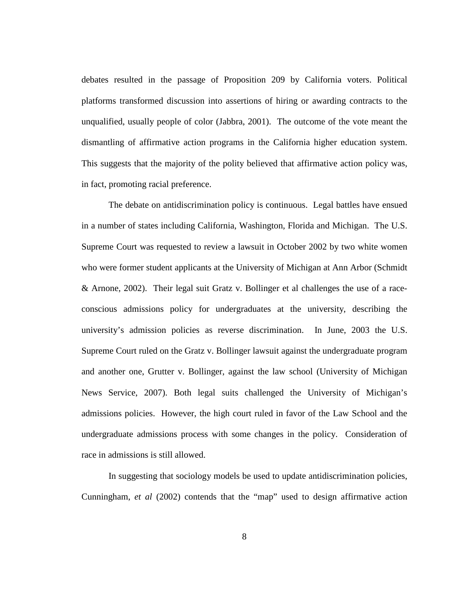debates resulted in the passage of Proposition 209 by California voters. Political platforms transformed discussion into assertions of hiring or awarding contracts to the unqualified, usually people of color (Jabbra, 2001). The outcome of the vote meant the dismantling of affirmative action programs in the California higher education system. This suggests that the majority of the polity believed that affirmative action policy was, in fact, promoting racial preference.

The debate on antidiscrimination policy is continuous. Legal battles have ensued in a number of states including California, Washington, Florida and Michigan. The U.S. Supreme Court was requested to review a lawsuit in October 2002 by two white women who were former student applicants at the University of Michigan at Ann Arbor (Schmidt & Arnone, 2002). Their legal suit Gratz v. Bollinger et al challenges the use of a raceconscious admissions policy for undergraduates at the university, describing the university's admission policies as reverse discrimination. In June, 2003 the U.S. Supreme Court ruled on the Gratz v. Bollinger lawsuit against the undergraduate program and another one, Grutter v. Bollinger, against the law school (University of Michigan News Service, 2007). Both legal suits challenged the University of Michigan's admissions policies. However, the high court ruled in favor of the Law School and the undergraduate admissions process with some changes in the policy. Consideration of race in admissions is still allowed.

In suggesting that sociology models be used to update antidiscrimination policies, Cunningham, *et al* (2002) contends that the "map" used to design affirmative action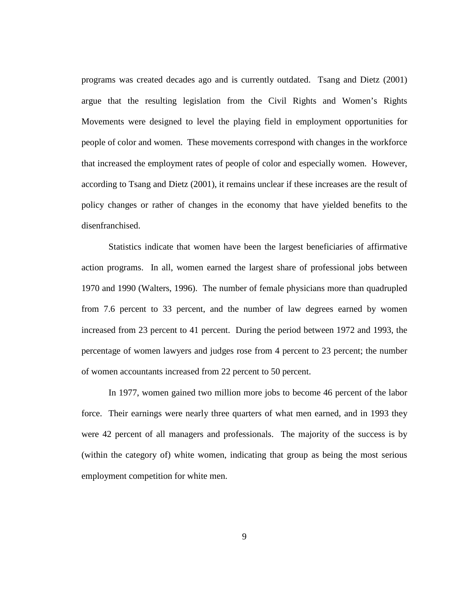programs was created decades ago and is currently outdated. Tsang and Dietz (2001) argue that the resulting legislation from the Civil Rights and Women's Rights Movements were designed to level the playing field in employment opportunities for people of color and women. These movements correspond with changes in the workforce that increased the employment rates of people of color and especially women. However, according to Tsang and Dietz (2001), it remains unclear if these increases are the result of policy changes or rather of changes in the economy that have yielded benefits to the disenfranchised.

Statistics indicate that women have been the largest beneficiaries of affirmative action programs. In all, women earned the largest share of professional jobs between 1970 and 1990 (Walters, 1996). The number of female physicians more than quadrupled from 7.6 percent to 33 percent, and the number of law degrees earned by women increased from 23 percent to 41 percent. During the period between 1972 and 1993, the percentage of women lawyers and judges rose from 4 percent to 23 percent; the number of women accountants increased from 22 percent to 50 percent.

In 1977, women gained two million more jobs to become 46 percent of the labor force. Their earnings were nearly three quarters of what men earned, and in 1993 they were 42 percent of all managers and professionals. The majority of the success is by (within the category of) white women, indicating that group as being the most serious employment competition for white men.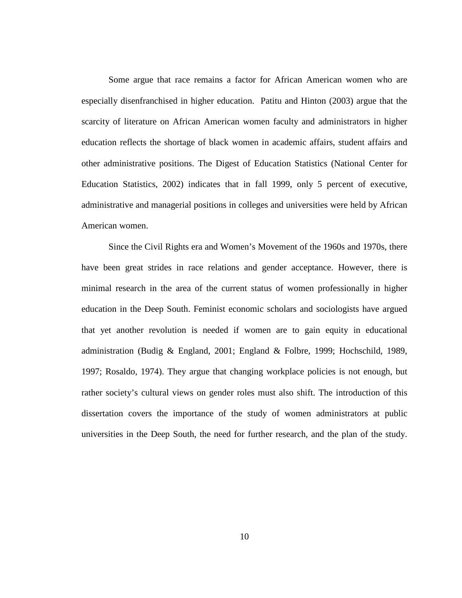Some argue that race remains a factor for African American women who are especially disenfranchised in higher education. Patitu and Hinton (2003) argue that the scarcity of literature on African American women faculty and administrators in higher education reflects the shortage of black women in academic affairs, student affairs and other administrative positions. The Digest of Education Statistics (National Center for Education Statistics, 2002) indicates that in fall 1999, only 5 percent of executive, administrative and managerial positions in colleges and universities were held by African American women.

Since the Civil Rights era and Women's Movement of the 1960s and 1970s, there have been great strides in race relations and gender acceptance. However, there is minimal research in the area of the current status of women professionally in higher education in the Deep South. Feminist economic scholars and sociologists have argued that yet another revolution is needed if women are to gain equity in educational administration (Budig & England, 2001; England & Folbre, 1999; Hochschild, 1989, 1997; Rosaldo, 1974). They argue that changing workplace policies is not enough, but rather society's cultural views on gender roles must also shift. The introduction of this dissertation covers the importance of the study of women administrators at public universities in the Deep South, the need for further research, and the plan of the study.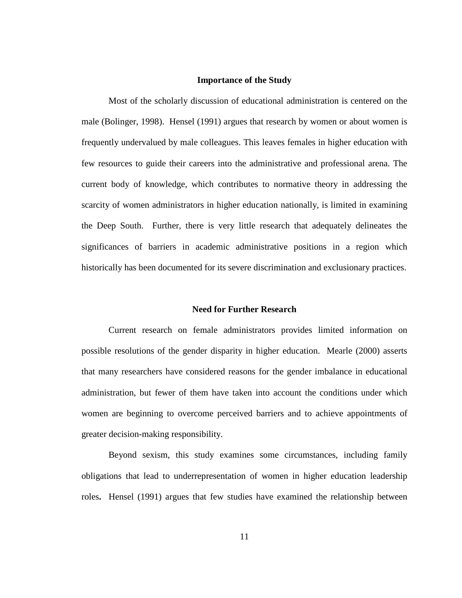#### **Importance of the Study**

Most of the scholarly discussion of educational administration is centered on the male (Bolinger, 1998). Hensel (1991) argues that research by women or about women is frequently undervalued by male colleagues. This leaves females in higher education with few resources to guide their careers into the administrative and professional arena. The current body of knowledge, which contributes to normative theory in addressing the scarcity of women administrators in higher education nationally, is limited in examining the Deep South. Further, there is very little research that adequately delineates the significances of barriers in academic administrative positions in a region which historically has been documented for its severe discrimination and exclusionary practices.

#### **Need for Further Research**

Current research on female administrators provides limited information on possible resolutions of the gender disparity in higher education. Mearle (2000) asserts that many researchers have considered reasons for the gender imbalance in educational administration, but fewer of them have taken into account the conditions under which women are beginning to overcome perceived barriers and to achieve appointments of greater decision-making responsibility.

Beyond sexism, this study examines some circumstances, including family obligations that lead to underrepresentation of women in higher education leadership roles**.** Hensel (1991) argues that few studies have examined the relationship between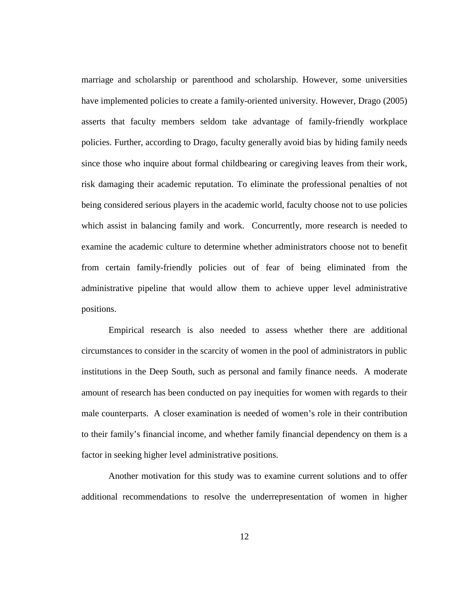marriage and scholarship or parenthood and scholarship. However, some universities have implemented policies to create a family-oriented university. However, Drago (2005) asserts that faculty members seldom take advantage of family-friendly workplace policies. Further, according to Drago, faculty generally avoid bias by hiding family needs since those who inquire about formal childbearing or caregiving leaves from their work, risk damaging their academic reputation. To eliminate the professional penalties of not being considered serious players in the academic world, faculty choose not to use policies which assist in balancing family and work. Concurrently, more research is needed to examine the academic culture to determine whether administrators choose not to benefit from certain family-friendly policies out of fear of being eliminated from the administrative pipeline that would allow them to achieve upper level administrative positions.

Empirical research is also needed to assess whether there are additional circumstances to consider in the scarcity of women in the pool of administrators in public institutions in the Deep South, such as personal and family finance needs. A moderate amount of research has been conducted on pay inequities for women with regards to their male counterparts. A closer examination is needed of women's role in their contribution to their family's financial income, and whether family financial dependency on them is a factor in seeking higher level administrative positions.

Another motivation for this study was to examine current solutions and to offer additional recommendations to resolve the underrepresentation of women in higher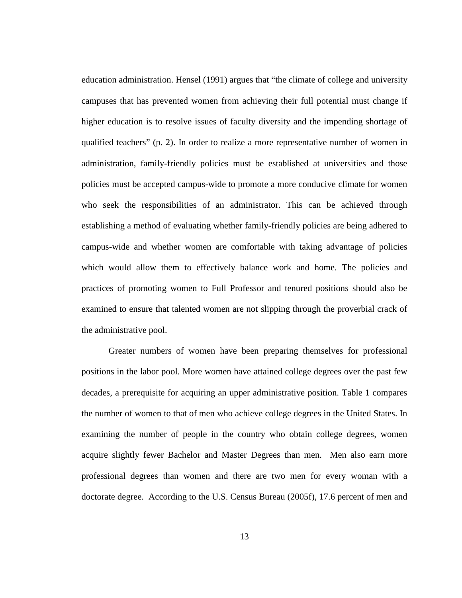education administration. Hensel (1991) argues that "the climate of college and university campuses that has prevented women from achieving their full potential must change if higher education is to resolve issues of faculty diversity and the impending shortage of qualified teachers" (p. 2). In order to realize a more representative number of women in administration, family-friendly policies must be established at universities and those policies must be accepted campus-wide to promote a more conducive climate for women who seek the responsibilities of an administrator. This can be achieved through establishing a method of evaluating whether family-friendly policies are being adhered to campus-wide and whether women are comfortable with taking advantage of policies which would allow them to effectively balance work and home. The policies and practices of promoting women to Full Professor and tenured positions should also be examined to ensure that talented women are not slipping through the proverbial crack of the administrative pool.

Greater numbers of women have been preparing themselves for professional positions in the labor pool. More women have attained college degrees over the past few decades, a prerequisite for acquiring an upper administrative position. Table 1 compares the number of women to that of men who achieve college degrees in the United States. In examining the number of people in the country who obtain college degrees, women acquire slightly fewer Bachelor and Master Degrees than men. Men also earn more professional degrees than women and there are two men for every woman with a doctorate degree. According to the U.S. Census Bureau (2005f), 17.6 percent of men and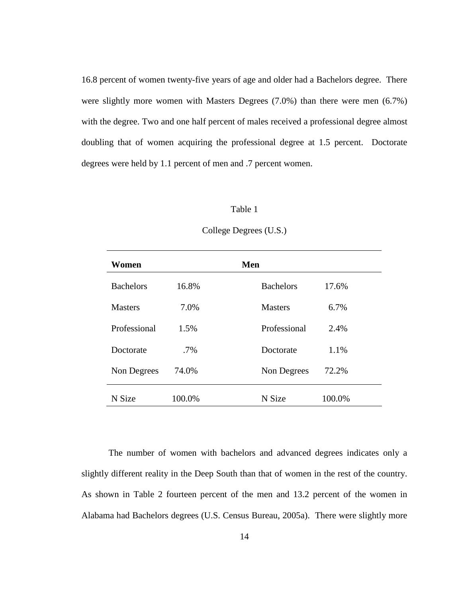16.8 percent of women twenty-five years of age and older had a Bachelors degree. There were slightly more women with Masters Degrees (7.0%) than there were men (6.7%) with the degree. Two and one half percent of males received a professional degree almost doubling that of women acquiring the professional degree at 1.5 percent. Doctorate degrees were held by 1.1 percent of men and .7 percent women.

#### Table 1

| Women            |        | Men              |        |
|------------------|--------|------------------|--------|
| <b>Bachelors</b> | 16.8%  | <b>Bachelors</b> | 17.6%  |
| <b>Masters</b>   | 7.0%   | <b>Masters</b>   | 6.7%   |
| Professional     | 1.5%   | Professional     | 2.4%   |
| Doctorate        | $.7\%$ | Doctorate        | 1.1%   |
| Non Degrees      | 74.0%  | Non Degrees      | 72.2%  |
| N Size           | 100.0% | N Size           | 100.0% |

## College Degrees (U.S.)

The number of women with bachelors and advanced degrees indicates only a slightly different reality in the Deep South than that of women in the rest of the country. As shown in Table 2 fourteen percent of the men and 13.2 percent of the women in Alabama had Bachelors degrees (U.S. Census Bureau, 2005a). There were slightly more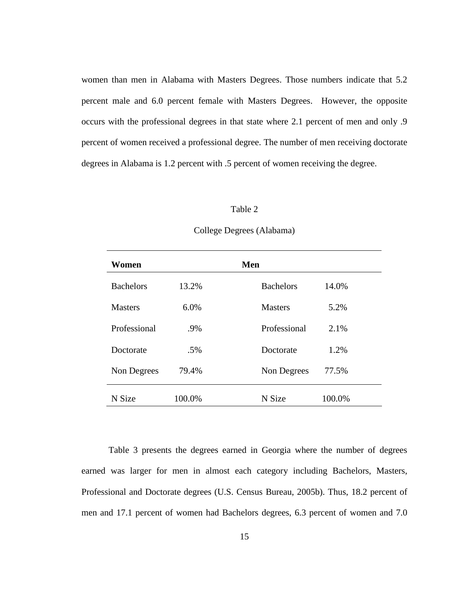women than men in Alabama with Masters Degrees. Those numbers indicate that 5.2 percent male and 6.0 percent female with Masters Degrees. However, the opposite occurs with the professional degrees in that state where 2.1 percent of men and only .9 percent of women received a professional degree. The number of men receiving doctorate degrees in Alabama is 1.2 percent with .5 percent of women receiving the degree.

#### Table 2

| Women            |        | Men              |        |
|------------------|--------|------------------|--------|
| <b>Bachelors</b> | 13.2%  | <b>Bachelors</b> | 14.0%  |
| <b>Masters</b>   | 6.0%   | <b>Masters</b>   | 5.2%   |
| Professional     | .9%    | Professional     | 2.1%   |
| Doctorate        | .5%    | Doctorate        | 1.2%   |
| Non Degrees      | 79.4%  | Non Degrees      | 77.5%  |
| N Size           | 100.0% | N Size           | 100.0% |

#### College Degrees (Alabama)

Table 3 presents the degrees earned in Georgia where the number of degrees earned was larger for men in almost each category including Bachelors, Masters, Professional and Doctorate degrees (U.S. Census Bureau, 2005b). Thus, 18.2 percent of men and 17.1 percent of women had Bachelors degrees, 6.3 percent of women and 7.0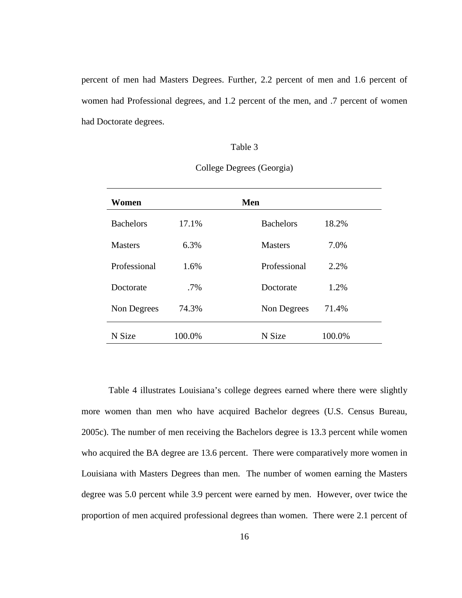percent of men had Masters Degrees. Further, 2.2 percent of men and 1.6 percent of women had Professional degrees, and 1.2 percent of the men, and .7 percent of women had Doctorate degrees.

### Table 3

| Women            |        | Men                       |  |
|------------------|--------|---------------------------|--|
| <b>Bachelors</b> | 17.1%  | <b>Bachelors</b><br>18.2% |  |
| <b>Masters</b>   | 6.3%   | 7.0%<br><b>Masters</b>    |  |
| Professional     | 1.6%   | Professional<br>2.2%      |  |
| Doctorate        | $.7\%$ | 1.2%<br>Doctorate         |  |
| Non Degrees      | 74.3%  | 71.4%<br>Non Degrees      |  |
| N Size           | 100.0% | N Size<br>100.0%          |  |

College Degrees (Georgia)

 Table 4 illustrates Louisiana's college degrees earned where there were slightly more women than men who have acquired Bachelor degrees (U.S. Census Bureau, 2005c). The number of men receiving the Bachelors degree is 13.3 percent while women who acquired the BA degree are 13.6 percent. There were comparatively more women in Louisiana with Masters Degrees than men. The number of women earning the Masters degree was 5.0 percent while 3.9 percent were earned by men. However, over twice the proportion of men acquired professional degrees than women. There were 2.1 percent of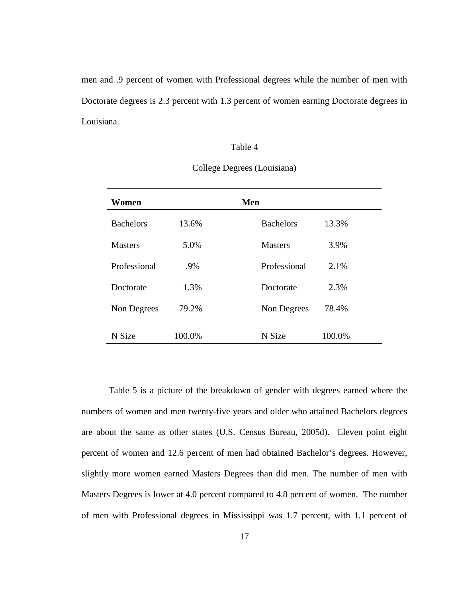men and .9 percent of women with Professional degrees while the number of men with Doctorate degrees is 2.3 percent with 1.3 percent of women earning Doctorate degrees in Louisiana.

## Table 4

| Women            |        | Men                       |  |
|------------------|--------|---------------------------|--|
| <b>Bachelors</b> | 13.6%  | <b>Bachelors</b><br>13.3% |  |
| <b>Masters</b>   | 5.0%   | 3.9%<br><b>Masters</b>    |  |
| Professional     | .9%    | Professional<br>2.1%      |  |
| Doctorate        | 1.3%   | 2.3%<br>Doctorate         |  |
| Non Degrees      | 79.2%  | 78.4%<br>Non Degrees      |  |
| N Size           | 100.0% | 100.0%<br>N Size          |  |

College Degrees (Louisiana)

 Table 5 is a picture of the breakdown of gender with degrees earned where the numbers of women and men twenty-five years and older who attained Bachelors degrees are about the same as other states (U.S. Census Bureau, 2005d). Eleven point eight percent of women and 12.6 percent of men had obtained Bachelor's degrees. However, slightly more women earned Masters Degrees than did men. The number of men with Masters Degrees is lower at 4.0 percent compared to 4.8 percent of women. The number of men with Professional degrees in Mississippi was 1.7 percent, with 1.1 percent of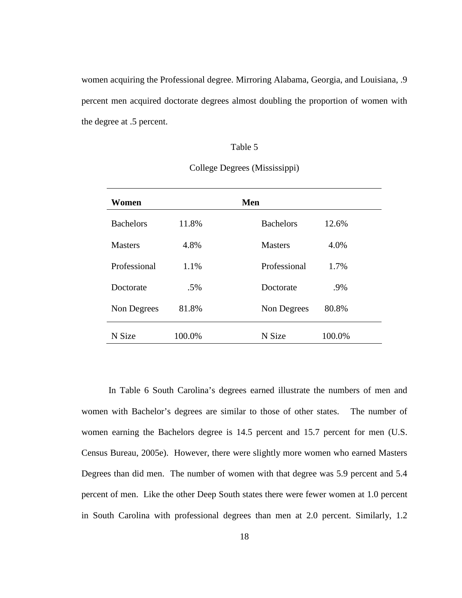women acquiring the Professional degree. Mirroring Alabama, Georgia, and Louisiana, .9 percent men acquired doctorate degrees almost doubling the proportion of women with the degree at .5 percent.

## Table 5

| Women            |        | Men                       |  |
|------------------|--------|---------------------------|--|
| <b>Bachelors</b> | 11.8%  | 12.6%<br><b>Bachelors</b> |  |
| <b>Masters</b>   | 4.8%   | 4.0%<br><b>Masters</b>    |  |
| Professional     | 1.1%   | Professional<br>1.7%      |  |
| Doctorate        | .5%    | .9%<br>Doctorate          |  |
| Non Degrees      | 81.8%  | 80.8%<br>Non Degrees      |  |
| N Size           | 100.0% | 100.0%<br>N Size          |  |

College Degrees (Mississippi)

In Table 6 South Carolina's degrees earned illustrate the numbers of men and women with Bachelor's degrees are similar to those of other states. The number of women earning the Bachelors degree is 14.5 percent and 15.7 percent for men (U.S. Census Bureau, 2005e). However, there were slightly more women who earned Masters Degrees than did men. The number of women with that degree was 5.9 percent and 5.4 percent of men. Like the other Deep South states there were fewer women at 1.0 percent in South Carolina with professional degrees than men at 2.0 percent. Similarly, 1.2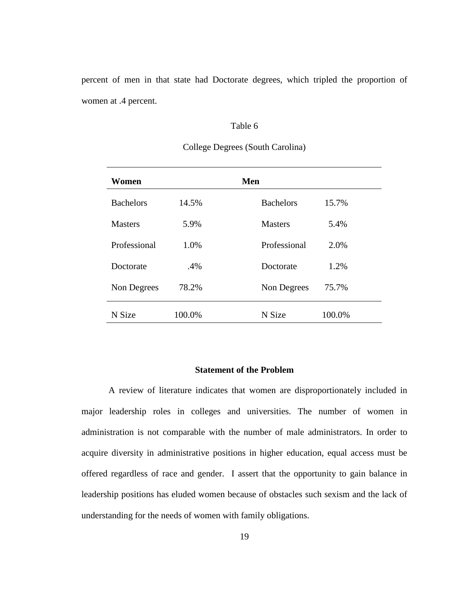percent of men in that state had Doctorate degrees, which tripled the proportion of women at .4 percent.

## Table 6

| Women            |        | Men                       |
|------------------|--------|---------------------------|
| <b>Bachelors</b> | 14.5%  | <b>Bachelors</b><br>15.7% |
| <b>Masters</b>   | 5.9%   | <b>Masters</b><br>5.4%    |
| Professional     | 1.0%   | Professional<br>2.0%      |
| Doctorate        | .4%    | 1.2%<br>Doctorate         |
| Non Degrees      | 78.2%  | 75.7%<br>Non Degrees      |
| N Size           | 100.0% | 100.0%<br>N Size          |

# College Degrees (South Carolina)

## **Statement of the Problem**

A review of literature indicates that women are disproportionately included in major leadership roles in colleges and universities. The number of women in administration is not comparable with the number of male administrators. In order to acquire diversity in administrative positions in higher education, equal access must be offered regardless of race and gender. I assert that the opportunity to gain balance in leadership positions has eluded women because of obstacles such sexism and the lack of understanding for the needs of women with family obligations.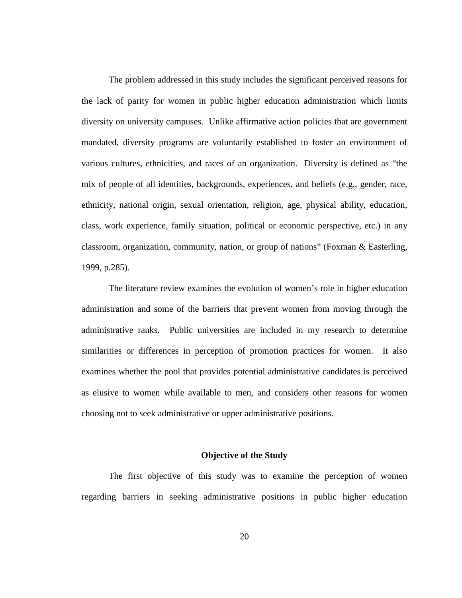The problem addressed in this study includes the significant perceived reasons for the lack of parity for women in public higher education administration which limits diversity on university campuses. Unlike affirmative action policies that are government mandated, diversity programs are voluntarily established to foster an environment of various cultures, ethnicities, and races of an organization. Diversity is defined as "the mix of people of all identities, backgrounds, experiences, and beliefs (e.g., gender, race, ethnicity, national origin, sexual orientation, religion, age, physical ability, education, class, work experience, family situation, political or economic perspective, etc.) in any classroom, organization, community, nation, or group of nations" (Foxman & Easterling, 1999, p.285).

The literature review examines the evolution of women's role in higher education administration and some of the barriers that prevent women from moving through the administrative ranks. Public universities are included in my research to determine similarities or differences in perception of promotion practices for women. It also examines whether the pool that provides potential administrative candidates is perceived as elusive to women while available to men, and considers other reasons for women choosing not to seek administrative or upper administrative positions.

#### **Objective of the Study**

 The first objective of this study was to examine the perception of women regarding barriers in seeking administrative positions in public higher education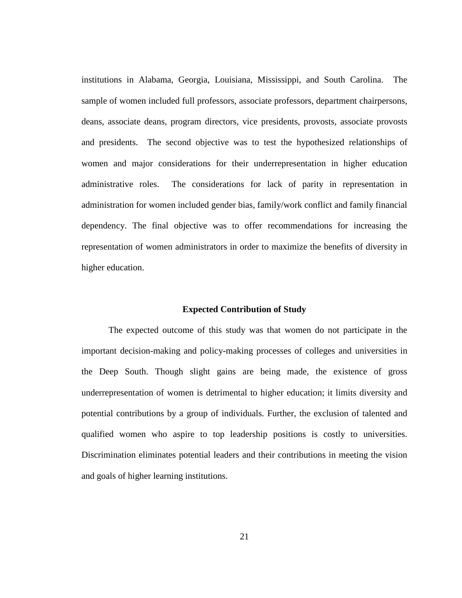institutions in Alabama, Georgia, Louisiana, Mississippi, and South Carolina. The sample of women included full professors, associate professors, department chairpersons, deans, associate deans, program directors, vice presidents, provosts, associate provosts and presidents. The second objective was to test the hypothesized relationships of women and major considerations for their underrepresentation in higher education administrative roles. The considerations for lack of parity in representation in administration for women included gender bias, family/work conflict and family financial dependency. The final objective was to offer recommendations for increasing the representation of women administrators in order to maximize the benefits of diversity in higher education.

#### **Expected Contribution of Study**

The expected outcome of this study was that women do not participate in the important decision-making and policy-making processes of colleges and universities in the Deep South. Though slight gains are being made, the existence of gross underrepresentation of women is detrimental to higher education; it limits diversity and potential contributions by a group of individuals. Further, the exclusion of talented and qualified women who aspire to top leadership positions is costly to universities. Discrimination eliminates potential leaders and their contributions in meeting the vision and goals of higher learning institutions.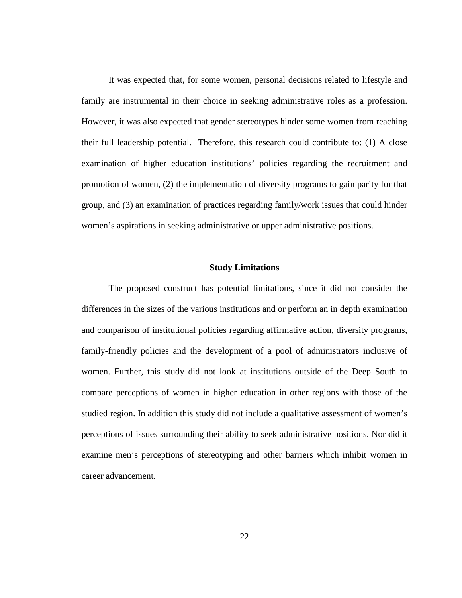It was expected that, for some women, personal decisions related to lifestyle and family are instrumental in their choice in seeking administrative roles as a profession. However, it was also expected that gender stereotypes hinder some women from reaching their full leadership potential. Therefore, this research could contribute to: (1) A close examination of higher education institutions' policies regarding the recruitment and promotion of women, (2) the implementation of diversity programs to gain parity for that group, and (3) an examination of practices regarding family/work issues that could hinder women's aspirations in seeking administrative or upper administrative positions.

### **Study Limitations**

 The proposed construct has potential limitations, since it did not consider the differences in the sizes of the various institutions and or perform an in depth examination and comparison of institutional policies regarding affirmative action, diversity programs, family-friendly policies and the development of a pool of administrators inclusive of women. Further, this study did not look at institutions outside of the Deep South to compare perceptions of women in higher education in other regions with those of the studied region. In addition this study did not include a qualitative assessment of women's perceptions of issues surrounding their ability to seek administrative positions. Nor did it examine men's perceptions of stereotyping and other barriers which inhibit women in career advancement.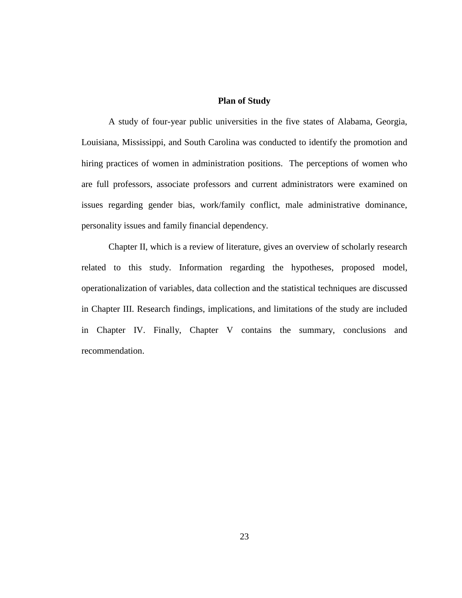## **Plan of Study**

 A study of four-year public universities in the five states of Alabama, Georgia, Louisiana, Mississippi, and South Carolina was conducted to identify the promotion and hiring practices of women in administration positions. The perceptions of women who are full professors, associate professors and current administrators were examined on issues regarding gender bias, work/family conflict, male administrative dominance, personality issues and family financial dependency.

Chapter II, which is a review of literature, gives an overview of scholarly research related to this study. Information regarding the hypotheses, proposed model, operationalization of variables, data collection and the statistical techniques are discussed in Chapter III. Research findings, implications, and limitations of the study are included in Chapter IV. Finally, Chapter V contains the summary, conclusions and recommendation.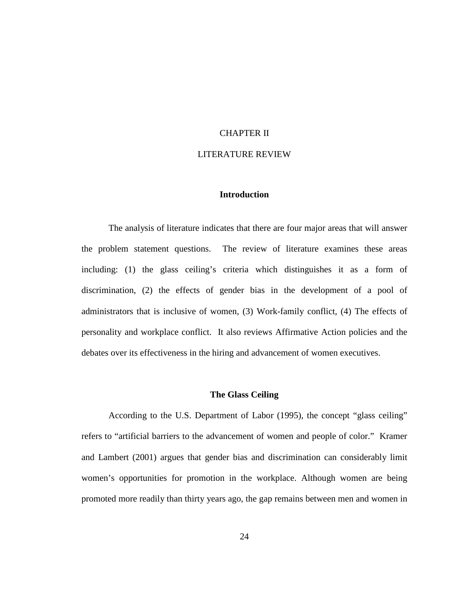# CHAPTER II

# LITERATURE REVIEW

# **Introduction**

The analysis of literature indicates that there are four major areas that will answer the problem statement questions. The review of literature examines these areas including: (1) the glass ceiling's criteria which distinguishes it as a form of discrimination, (2) the effects of gender bias in the development of a pool of administrators that is inclusive of women, (3) Work-family conflict, (4) The effects of personality and workplace conflict. It also reviews Affirmative Action policies and the debates over its effectiveness in the hiring and advancement of women executives.

# **The Glass Ceiling**

 According to the U.S. Department of Labor (1995), the concept "glass ceiling" refers to "artificial barriers to the advancement of women and people of color." Kramer and Lambert (2001) argues that gender bias and discrimination can considerably limit women's opportunities for promotion in the workplace. Although women are being promoted more readily than thirty years ago, the gap remains between men and women in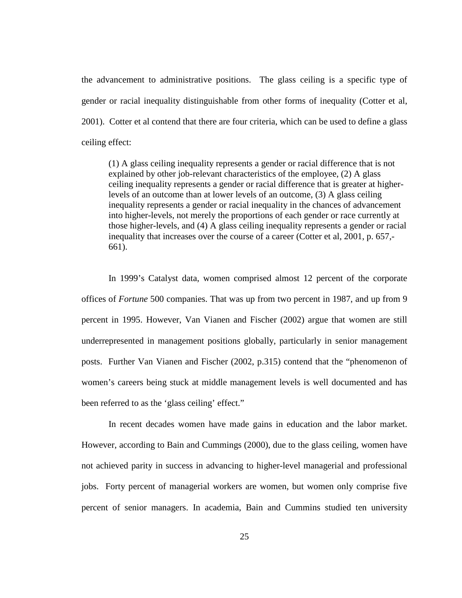the advancement to administrative positions. The glass ceiling is a specific type of gender or racial inequality distinguishable from other forms of inequality (Cotter et al, 2001). Cotter et al contend that there are four criteria, which can be used to define a glass ceiling effect:

(1) A glass ceiling inequality represents a gender or racial difference that is not explained by other job-relevant characteristics of the employee, (2) A glass ceiling inequality represents a gender or racial difference that is greater at higherlevels of an outcome than at lower levels of an outcome, (3) A glass ceiling inequality represents a gender or racial inequality in the chances of advancement into higher-levels, not merely the proportions of each gender or race currently at those higher-levels, and (4) A glass ceiling inequality represents a gender or racial inequality that increases over the course of a career (Cotter et al, 2001, p. 657,- 661).

 In 1999's Catalyst data, women comprised almost 12 percent of the corporate offices of *Fortune* 500 companies. That was up from two percent in 1987, and up from 9 percent in 1995. However, Van Vianen and Fischer (2002) argue that women are still underrepresented in management positions globally, particularly in senior management posts. Further Van Vianen and Fischer (2002, p.315) contend that the "phenomenon of women's careers being stuck at middle management levels is well documented and has been referred to as the 'glass ceiling' effect."

 In recent decades women have made gains in education and the labor market. However, according to Bain and Cummings (2000), due to the glass ceiling, women have not achieved parity in success in advancing to higher-level managerial and professional jobs. Forty percent of managerial workers are women, but women only comprise five percent of senior managers. In academia, Bain and Cummins studied ten university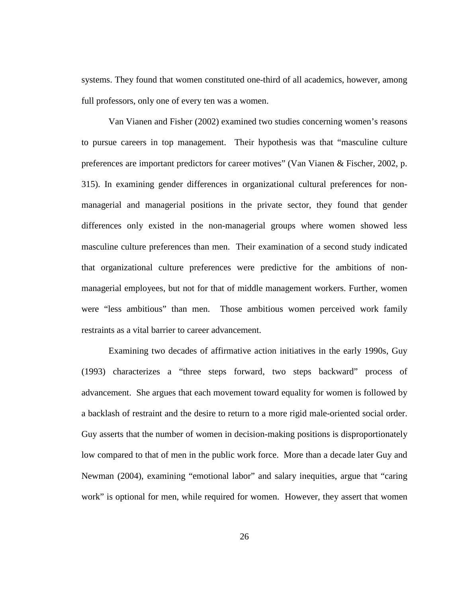systems. They found that women constituted one-third of all academics, however, among full professors, only one of every ten was a women.

 Van Vianen and Fisher (2002) examined two studies concerning women's reasons to pursue careers in top management. Their hypothesis was that "masculine culture preferences are important predictors for career motives" (Van Vianen & Fischer, 2002, p. 315). In examining gender differences in organizational cultural preferences for nonmanagerial and managerial positions in the private sector, they found that gender differences only existed in the non-managerial groups where women showed less masculine culture preferences than men. Their examination of a second study indicated that organizational culture preferences were predictive for the ambitions of nonmanagerial employees, but not for that of middle management workers. Further, women were "less ambitious" than men. Those ambitious women perceived work family restraints as a vital barrier to career advancement.

Examining two decades of affirmative action initiatives in the early 1990s, Guy (1993) characterizes a "three steps forward, two steps backward" process of advancement. She argues that each movement toward equality for women is followed by a backlash of restraint and the desire to return to a more rigid male-oriented social order. Guy asserts that the number of women in decision-making positions is disproportionately low compared to that of men in the public work force. More than a decade later Guy and Newman (2004), examining "emotional labor" and salary inequities, argue that "caring work" is optional for men, while required for women. However, they assert that women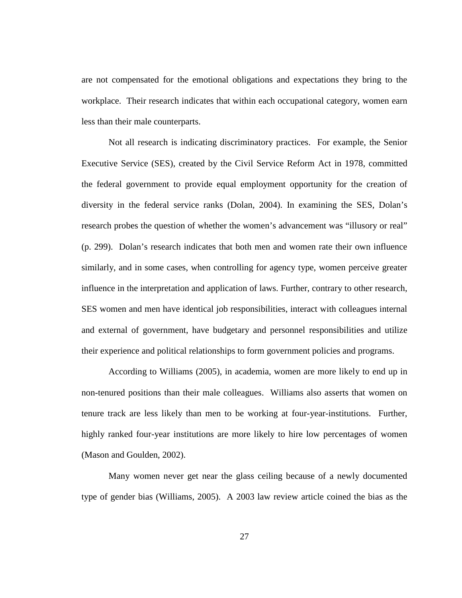are not compensated for the emotional obligations and expectations they bring to the workplace. Their research indicates that within each occupational category, women earn less than their male counterparts.

Not all research is indicating discriminatory practices. For example, the Senior Executive Service (SES), created by the Civil Service Reform Act in 1978, committed the federal government to provide equal employment opportunity for the creation of diversity in the federal service ranks (Dolan, 2004). In examining the SES, Dolan's research probes the question of whether the women's advancement was "illusory or real" (p. 299). Dolan's research indicates that both men and women rate their own influence similarly, and in some cases, when controlling for agency type, women perceive greater influence in the interpretation and application of laws. Further, contrary to other research, SES women and men have identical job responsibilities, interact with colleagues internal and external of government, have budgetary and personnel responsibilities and utilize their experience and political relationships to form government policies and programs.

According to Williams (2005), in academia, women are more likely to end up in non-tenured positions than their male colleagues. Williams also asserts that women on tenure track are less likely than men to be working at four-year-institutions. Further, highly ranked four-year institutions are more likely to hire low percentages of women (Mason and Goulden, 2002).

Many women never get near the glass ceiling because of a newly documented type of gender bias (Williams, 2005). A 2003 law review article coined the bias as the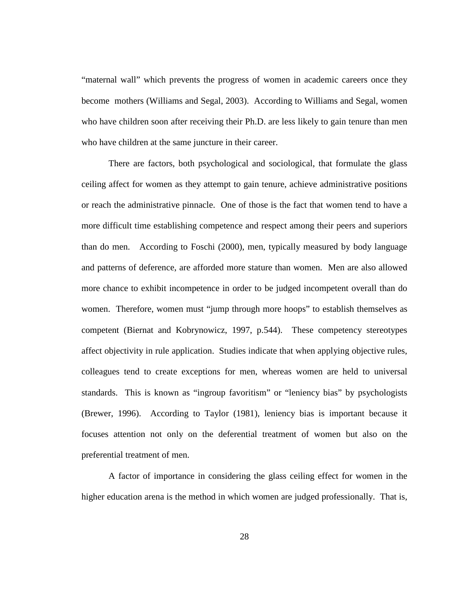"maternal wall" which prevents the progress of women in academic careers once they become mothers (Williams and Segal, 2003). According to Williams and Segal, women who have children soon after receiving their Ph.D. are less likely to gain tenure than men who have children at the same juncture in their career.

There are factors, both psychological and sociological, that formulate the glass ceiling affect for women as they attempt to gain tenure, achieve administrative positions or reach the administrative pinnacle. One of those is the fact that women tend to have a more difficult time establishing competence and respect among their peers and superiors than do men. According to Foschi (2000), men, typically measured by body language and patterns of deference, are afforded more stature than women. Men are also allowed more chance to exhibit incompetence in order to be judged incompetent overall than do women. Therefore, women must "jump through more hoops" to establish themselves as competent (Biernat and Kobrynowicz, 1997, p.544). These competency stereotypes affect objectivity in rule application. Studies indicate that when applying objective rules, colleagues tend to create exceptions for men, whereas women are held to universal standards. This is known as "ingroup favoritism" or "leniency bias" by psychologists (Brewer, 1996). According to Taylor (1981), leniency bias is important because it focuses attention not only on the deferential treatment of women but also on the preferential treatment of men.

A factor of importance in considering the glass ceiling effect for women in the higher education arena is the method in which women are judged professionally. That is,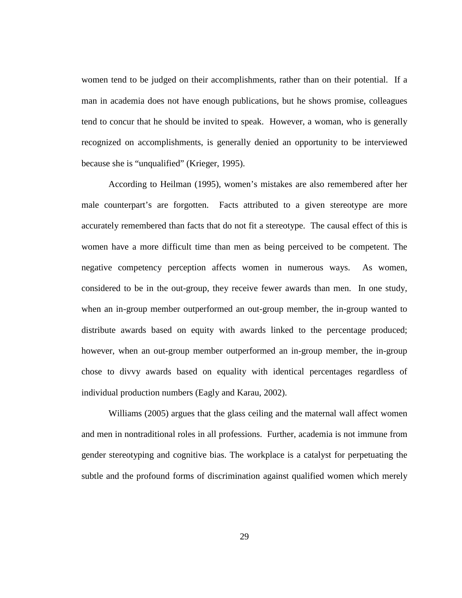women tend to be judged on their accomplishments, rather than on their potential. If a man in academia does not have enough publications, but he shows promise, colleagues tend to concur that he should be invited to speak. However, a woman, who is generally recognized on accomplishments, is generally denied an opportunity to be interviewed because she is "unqualified" (Krieger, 1995).

According to Heilman (1995), women's mistakes are also remembered after her male counterpart's are forgotten. Facts attributed to a given stereotype are more accurately remembered than facts that do not fit a stereotype. The causal effect of this is women have a more difficult time than men as being perceived to be competent. The negative competency perception affects women in numerous ways. As women, considered to be in the out-group, they receive fewer awards than men. In one study, when an in-group member outperformed an out-group member, the in-group wanted to distribute awards based on equity with awards linked to the percentage produced; however, when an out-group member outperformed an in-group member, the in-group chose to divvy awards based on equality with identical percentages regardless of individual production numbers (Eagly and Karau, 2002).

Williams (2005) argues that the glass ceiling and the maternal wall affect women and men in nontraditional roles in all professions. Further, academia is not immune from gender stereotyping and cognitive bias. The workplace is a catalyst for perpetuating the subtle and the profound forms of discrimination against qualified women which merely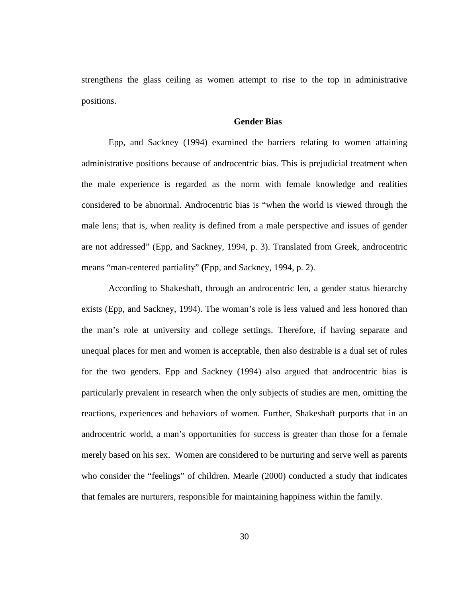strengthens the glass ceiling as women attempt to rise to the top in administrative positions.

# **Gender Bias**

Epp, and Sackney (1994) examined the barriers relating to women attaining administrative positions because of androcentric bias. This is prejudicial treatment when the male experience is regarded as the norm with female knowledge and realities considered to be abnormal. Androcentric bias is "when the world is viewed through the male lens; that is, when reality is defined from a male perspective and issues of gender are not addressed" (Epp, and Sackney, 1994, p. 3). Translated from Greek, androcentric means "man-centered partiality" **(**Epp, and Sackney, 1994, p. 2).

According to Shakeshaft, through an androcentric len, a gender status hierarchy exists (Epp, and Sackney, 1994). The woman's role is less valued and less honored than the man's role at university and college settings. Therefore, if having separate and unequal places for men and women is acceptable, then also desirable is a dual set of rules for the two genders. Epp and Sackney (1994) also argued that androcentric bias is particularly prevalent in research when the only subjects of studies are men, omitting the reactions, experiences and behaviors of women. Further, Shakeshaft purports that in an androcentric world, a man's opportunities for success is greater than those for a female merely based on his sex. Women are considered to be nurturing and serve well as parents who consider the "feelings" of children. Mearle (2000) conducted a study that indicates that females are nurturers, responsible for maintaining happiness within the family.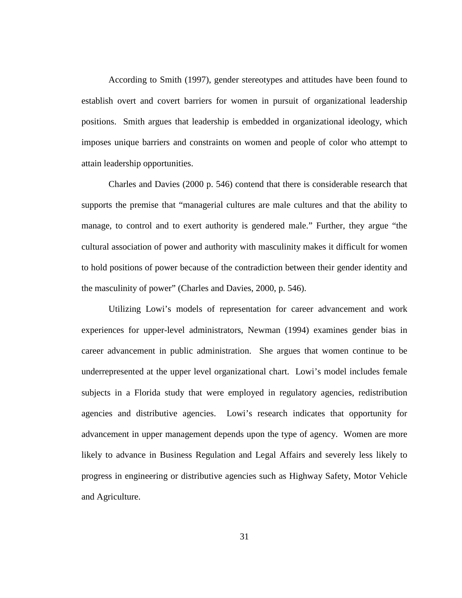According to Smith (1997), gender stereotypes and attitudes have been found to establish overt and covert barriers for women in pursuit of organizational leadership positions. Smith argues that leadership is embedded in organizational ideology, which imposes unique barriers and constraints on women and people of color who attempt to attain leadership opportunities.

Charles and Davies (2000 p. 546) contend that there is considerable research that supports the premise that "managerial cultures are male cultures and that the ability to manage, to control and to exert authority is gendered male." Further, they argue "the cultural association of power and authority with masculinity makes it difficult for women to hold positions of power because of the contradiction between their gender identity and the masculinity of power" (Charles and Davies, 2000, p. 546).

Utilizing Lowi's models of representation for career advancement and work experiences for upper-level administrators, Newman (1994) examines gender bias in career advancement in public administration. She argues that women continue to be underrepresented at the upper level organizational chart. Lowi's model includes female subjects in a Florida study that were employed in regulatory agencies, redistribution agencies and distributive agencies. Lowi's research indicates that opportunity for advancement in upper management depends upon the type of agency. Women are more likely to advance in Business Regulation and Legal Affairs and severely less likely to progress in engineering or distributive agencies such as Highway Safety, Motor Vehicle and Agriculture.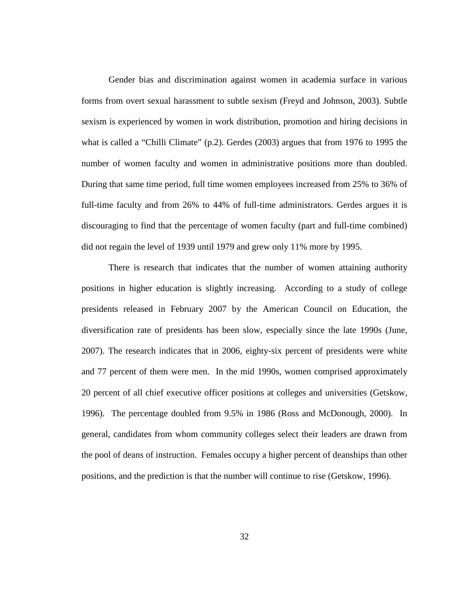Gender bias and discrimination against women in academia surface in various forms from overt sexual harassment to subtle sexism (Freyd and Johnson, 2003). Subtle sexism is experienced by women in work distribution, promotion and hiring decisions in what is called a "Chilli Climate" (p.2). Gerdes (2003) argues that from 1976 to 1995 the number of women faculty and women in administrative positions more than doubled. During that same time period, full time women employees increased from 25% to 36% of full-time faculty and from 26% to 44% of full-time administrators. Gerdes argues it is discouraging to find that the percentage of women faculty (part and full-time combined) did not regain the level of 1939 until 1979 and grew only 11% more by 1995.

There is research that indicates that the number of women attaining authority positions in higher education is slightly increasing. According to a study of college presidents released in February 2007 by the American Council on Education, the diversification rate of presidents has been slow, especially since the late 1990s (June, 2007). The research indicates that in 2006, eighty-six percent of presidents were white and 77 percent of them were men. In the mid 1990s, women comprised approximately 20 percent of all chief executive officer positions at colleges and universities (Getskow, 1996). The percentage doubled from 9.5% in 1986 (Ross and McDonough, 2000). In general, candidates from whom community colleges select their leaders are drawn from the pool of deans of instruction. Females occupy a higher percent of deanships than other positions, and the prediction is that the number will continue to rise (Getskow, 1996).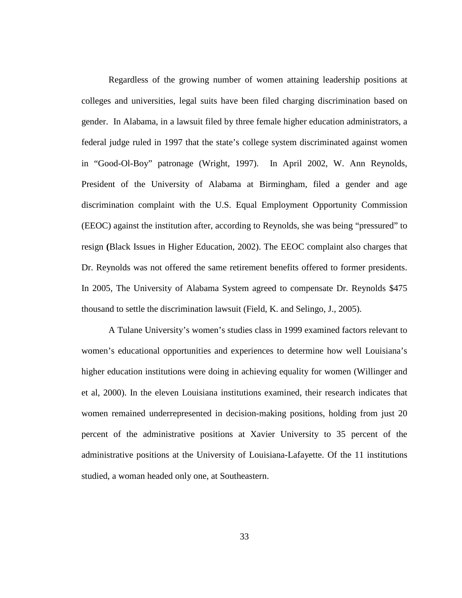Regardless of the growing number of women attaining leadership positions at colleges and universities, legal suits have been filed charging discrimination based on gender. In Alabama, in a lawsuit filed by three female higher education administrators, a federal judge ruled in 1997 that the state's college system discriminated against women in "Good-Ol-Boy" patronage (Wright, 1997). In April 2002, W. Ann Reynolds, President of the University of Alabama at Birmingham, filed a gender and age discrimination complaint with the U.S. Equal Employment Opportunity Commission (EEOC) against the institution after, according to Reynolds, she was being "pressured" to resign **(**Black Issues in Higher Education, 2002). The EEOC complaint also charges that Dr. Reynolds was not offered the same retirement benefits offered to former presidents. In 2005, The University of Alabama System agreed to compensate Dr. Reynolds \$475 thousand to settle the discrimination lawsuit (Field, K. and Selingo, J., 2005).

A Tulane University's women's studies class in 1999 examined factors relevant to women's educational opportunities and experiences to determine how well Louisiana's higher education institutions were doing in achieving equality for women (Willinger and et al, 2000). In the eleven Louisiana institutions examined, their research indicates that women remained underrepresented in decision-making positions, holding from just 20 percent of the administrative positions at Xavier University to 35 percent of the administrative positions at the University of Louisiana-Lafayette. Of the 11 institutions studied, a woman headed only one, at Southeastern.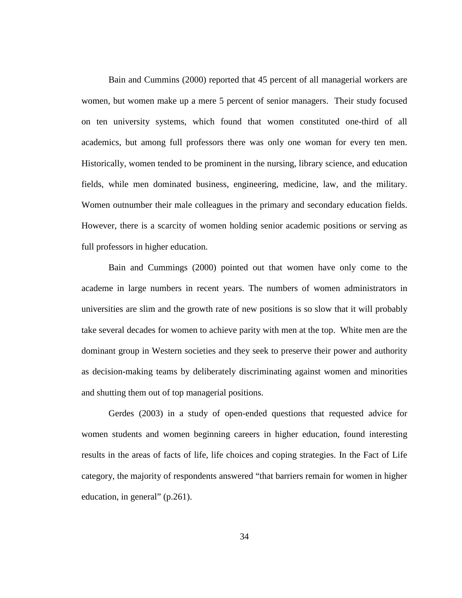Bain and Cummins (2000) reported that 45 percent of all managerial workers are women, but women make up a mere 5 percent of senior managers. Their study focused on ten university systems, which found that women constituted one-third of all academics, but among full professors there was only one woman for every ten men. Historically, women tended to be prominent in the nursing, library science, and education fields, while men dominated business, engineering, medicine, law, and the military. Women outnumber their male colleagues in the primary and secondary education fields. However, there is a scarcity of women holding senior academic positions or serving as full professors in higher education.

Bain and Cummings (2000) pointed out that women have only come to the academe in large numbers in recent years. The numbers of women administrators in universities are slim and the growth rate of new positions is so slow that it will probably take several decades for women to achieve parity with men at the top. White men are the dominant group in Western societies and they seek to preserve their power and authority as decision-making teams by deliberately discriminating against women and minorities and shutting them out of top managerial positions.

Gerdes (2003) in a study of open-ended questions that requested advice for women students and women beginning careers in higher education, found interesting results in the areas of facts of life, life choices and coping strategies. In the Fact of Life category, the majority of respondents answered "that barriers remain for women in higher education, in general" (p.261).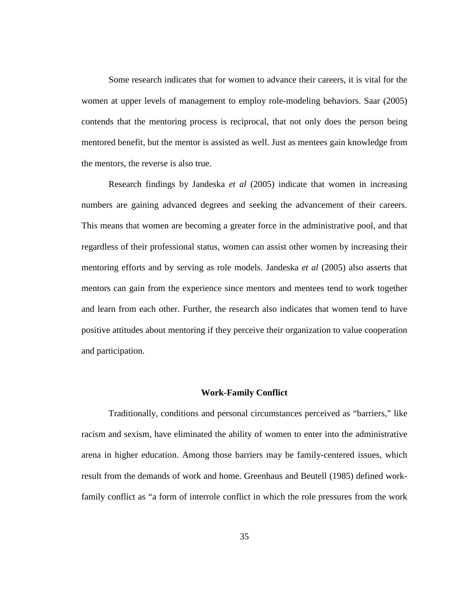Some research indicates that for women to advance their careers, it is vital for the women at upper levels of management to employ role-modeling behaviors. Saar (2005) contends that the mentoring process is reciprocal, that not only does the person being mentored benefit, but the mentor is assisted as well. Just as mentees gain knowledge from the mentors, the reverse is also true.

Research findings by Jandeska *et al* (2005) indicate that women in increasing numbers are gaining advanced degrees and seeking the advancement of their careers. This means that women are becoming a greater force in the administrative pool, and that regardless of their professional status, women can assist other women by increasing their mentoring efforts and by serving as role models. Jandeska *et al* (2005) also asserts that mentors can gain from the experience since mentors and mentees tend to work together and learn from each other. Further, the research also indicates that women tend to have positive attitudes about mentoring if they perceive their organization to value cooperation and participation.

#### **Work-Family Conflict**

Traditionally, conditions and personal circumstances perceived as "barriers," like racism and sexism, have eliminated the ability of women to enter into the administrative arena in higher education. Among those barriers may be family-centered issues, which result from the demands of work and home. Greenhaus and Beutell (1985) defined workfamily conflict as "a form of interrole conflict in which the role pressures from the work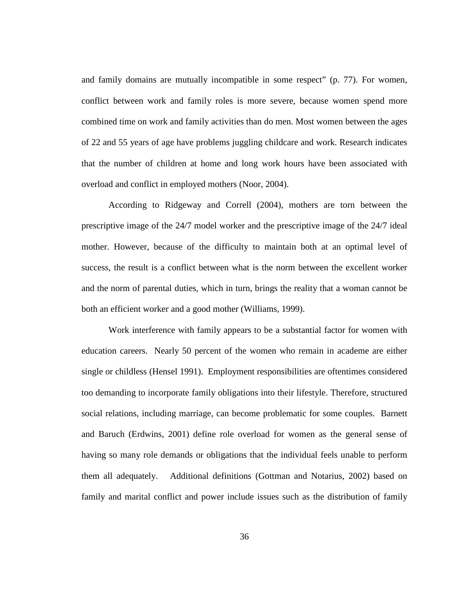and family domains are mutually incompatible in some respect" (p. 77). For women, conflict between work and family roles is more severe, because women spend more combined time on work and family activities than do men. Most women between the ages of 22 and 55 years of age have problems juggling childcare and work. Research indicates that the number of children at home and long work hours have been associated with overload and conflict in employed mothers (Noor, 2004).

According to Ridgeway and Correll (2004), mothers are torn between the prescriptive image of the 24/7 model worker and the prescriptive image of the 24/7 ideal mother. However, because of the difficulty to maintain both at an optimal level of success, the result is a conflict between what is the norm between the excellent worker and the norm of parental duties, which in turn, brings the reality that a woman cannot be both an efficient worker and a good mother (Williams, 1999).

Work interference with family appears to be a substantial factor for women with education careers. Nearly 50 percent of the women who remain in academe are either single or childless (Hensel 1991). Employment responsibilities are oftentimes considered too demanding to incorporate family obligations into their lifestyle. Therefore, structured social relations, including marriage, can become problematic for some couples. Barnett and Baruch (Erdwins, 2001) define role overload for women as the general sense of having so many role demands or obligations that the individual feels unable to perform them all adequately. Additional definitions (Gottman and Notarius, 2002) based on family and marital conflict and power include issues such as the distribution of family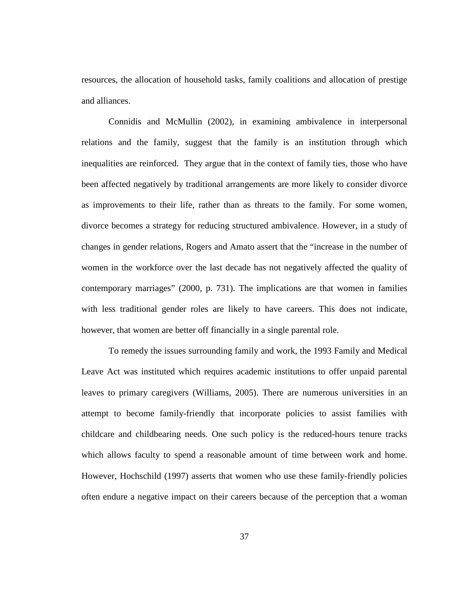resources, the allocation of household tasks, family coalitions and allocation of prestige and alliances.

Connidis and McMullin (2002), in examining ambivalence in interpersonal relations and the family, suggest that the family is an institution through which inequalities are reinforced. They argue that in the context of family ties, those who have been affected negatively by traditional arrangements are more likely to consider divorce as improvements to their life, rather than as threats to the family. For some women, divorce becomes a strategy for reducing structured ambivalence. However, in a study of changes in gender relations, Rogers and Amato assert that the "increase in the number of women in the workforce over the last decade has not negatively affected the quality of contemporary marriages" (2000, p. 731). The implications are that women in families with less traditional gender roles are likely to have careers. This does not indicate, however, that women are better off financially in a single parental role.

To remedy the issues surrounding family and work, the 1993 Family and Medical Leave Act was instituted which requires academic institutions to offer unpaid parental leaves to primary caregivers (Williams, 2005). There are numerous universities in an attempt to become family-friendly that incorporate policies to assist families with childcare and childbearing needs. One such policy is the reduced-hours tenure tracks which allows faculty to spend a reasonable amount of time between work and home. However, Hochschild (1997) asserts that women who use these family-friendly policies often endure a negative impact on their careers because of the perception that a woman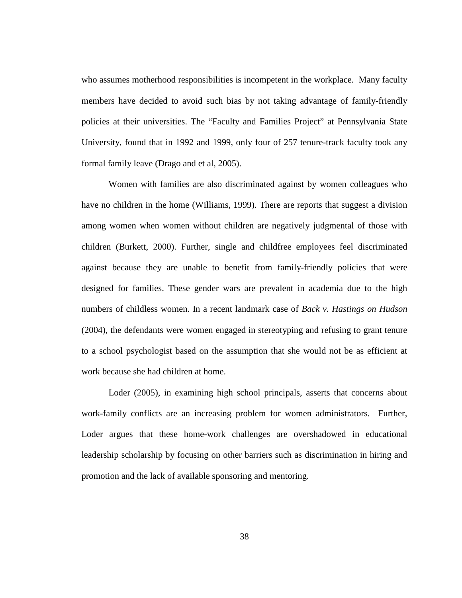who assumes motherhood responsibilities is incompetent in the workplace. Many faculty members have decided to avoid such bias by not taking advantage of family-friendly policies at their universities. The "Faculty and Families Project" at Pennsylvania State University, found that in 1992 and 1999, only four of 257 tenure-track faculty took any formal family leave (Drago and et al, 2005).

Women with families are also discriminated against by women colleagues who have no children in the home (Williams, 1999). There are reports that suggest a division among women when women without children are negatively judgmental of those with children (Burkett, 2000). Further, single and childfree employees feel discriminated against because they are unable to benefit from family-friendly policies that were designed for families. These gender wars are prevalent in academia due to the high numbers of childless women. In a recent landmark case of *Back v. Hastings on Hudson* (2004), the defendants were women engaged in stereotyping and refusing to grant tenure to a school psychologist based on the assumption that she would not be as efficient at work because she had children at home.

Loder (2005), in examining high school principals, asserts that concerns about work-family conflicts are an increasing problem for women administrators. Further, Loder argues that these home-work challenges are overshadowed in educational leadership scholarship by focusing on other barriers such as discrimination in hiring and promotion and the lack of available sponsoring and mentoring.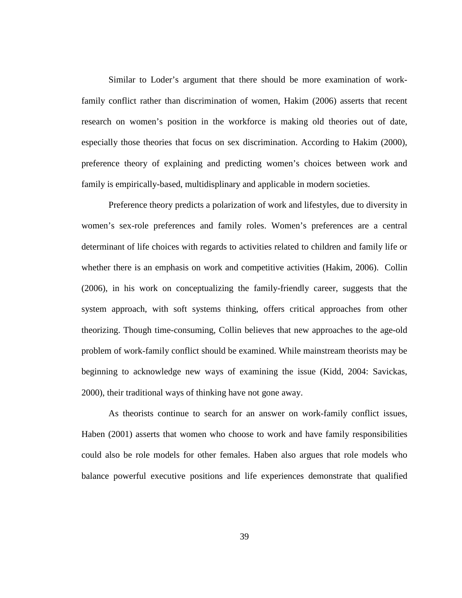Similar to Loder's argument that there should be more examination of workfamily conflict rather than discrimination of women, Hakim (2006) asserts that recent research on women's position in the workforce is making old theories out of date, especially those theories that focus on sex discrimination. According to Hakim (2000), preference theory of explaining and predicting women's choices between work and family is empirically-based, multidisplinary and applicable in modern societies.

Preference theory predicts a polarization of work and lifestyles, due to diversity in women's sex-role preferences and family roles. Women's preferences are a central determinant of life choices with regards to activities related to children and family life or whether there is an emphasis on work and competitive activities (Hakim, 2006). Collin (2006), in his work on conceptualizing the family-friendly career, suggests that the system approach, with soft systems thinking, offers critical approaches from other theorizing. Though time-consuming, Collin believes that new approaches to the age-old problem of work-family conflict should be examined. While mainstream theorists may be beginning to acknowledge new ways of examining the issue (Kidd, 2004: Savickas, 2000), their traditional ways of thinking have not gone away.

As theorists continue to search for an answer on work-family conflict issues, Haben (2001) asserts that women who choose to work and have family responsibilities could also be role models for other females. Haben also argues that role models who balance powerful executive positions and life experiences demonstrate that qualified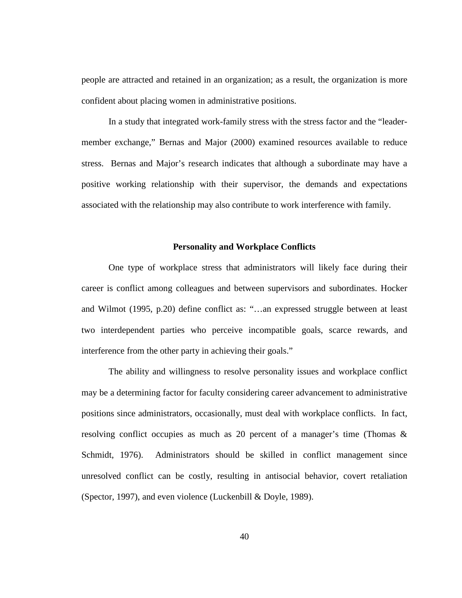people are attracted and retained in an organization; as a result, the organization is more confident about placing women in administrative positions.

In a study that integrated work-family stress with the stress factor and the "leadermember exchange," Bernas and Major (2000) examined resources available to reduce stress. Bernas and Major's research indicates that although a subordinate may have a positive working relationship with their supervisor, the demands and expectations associated with the relationship may also contribute to work interference with family.

# **Personality and Workplace Conflicts**

 One type of workplace stress that administrators will likely face during their career is conflict among colleagues and between supervisors and subordinates. Hocker and Wilmot (1995, p.20) define conflict as: "…an expressed struggle between at least two interdependent parties who perceive incompatible goals, scarce rewards, and interference from the other party in achieving their goals."

 The ability and willingness to resolve personality issues and workplace conflict may be a determining factor for faculty considering career advancement to administrative positions since administrators, occasionally, must deal with workplace conflicts. In fact, resolving conflict occupies as much as 20 percent of a manager's time (Thomas & Schmidt, 1976). Administrators should be skilled in conflict management since unresolved conflict can be costly, resulting in antisocial behavior, covert retaliation (Spector, 1997), and even violence (Luckenbill & Doyle, 1989).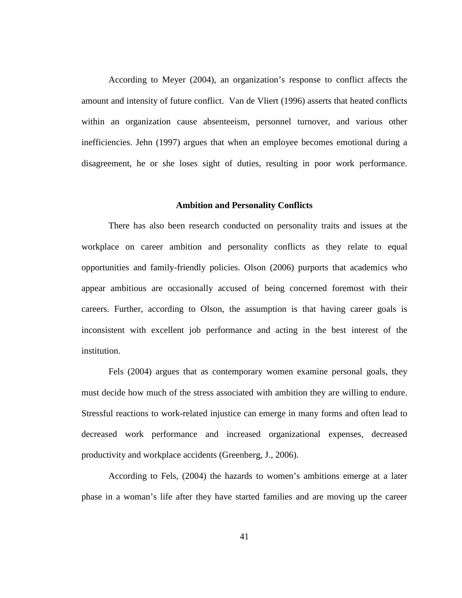According to Meyer (2004), an organization's response to conflict affects the amount and intensity of future conflict. Van de Vliert (1996) asserts that heated conflicts within an organization cause absenteeism, personnel turnover, and various other inefficiencies. Jehn (1997) argues that when an employee becomes emotional during a disagreement, he or she loses sight of duties, resulting in poor work performance.

# **Ambition and Personality Conflicts**

 There has also been research conducted on personality traits and issues at the workplace on career ambition and personality conflicts as they relate to equal opportunities and family-friendly policies. Olson (2006) purports that academics who appear ambitious are occasionally accused of being concerned foremost with their careers. Further, according to Olson, the assumption is that having career goals is inconsistent with excellent job performance and acting in the best interest of the institution.

Fels (2004) argues that as contemporary women examine personal goals, they must decide how much of the stress associated with ambition they are willing to endure. Stressful reactions to work-related injustice can emerge in many forms and often lead to decreased work performance and increased organizational expenses, decreased productivity and workplace accidents (Greenberg, J., 2006).

According to Fels, (2004) the hazards to women's ambitions emerge at a later phase in a woman's life after they have started families and are moving up the career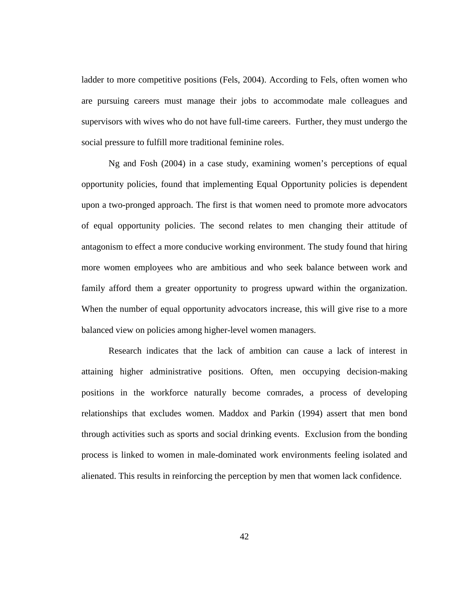ladder to more competitive positions (Fels, 2004). According to Fels, often women who are pursuing careers must manage their jobs to accommodate male colleagues and supervisors with wives who do not have full-time careers. Further, they must undergo the social pressure to fulfill more traditional feminine roles.

Ng and Fosh (2004) in a case study, examining women's perceptions of equal opportunity policies, found that implementing Equal Opportunity policies is dependent upon a two-pronged approach. The first is that women need to promote more advocators of equal opportunity policies. The second relates to men changing their attitude of antagonism to effect a more conducive working environment. The study found that hiring more women employees who are ambitious and who seek balance between work and family afford them a greater opportunity to progress upward within the organization. When the number of equal opportunity advocators increase, this will give rise to a more balanced view on policies among higher-level women managers.

 Research indicates that the lack of ambition can cause a lack of interest in attaining higher administrative positions. Often, men occupying decision-making positions in the workforce naturally become comrades, a process of developing relationships that excludes women. Maddox and Parkin (1994) assert that men bond through activities such as sports and social drinking events. Exclusion from the bonding process is linked to women in male-dominated work environments feeling isolated and alienated. This results in reinforcing the perception by men that women lack confidence.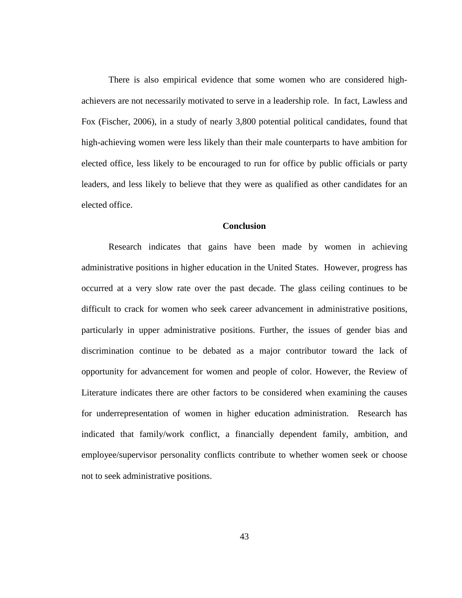There is also empirical evidence that some women who are considered highachievers are not necessarily motivated to serve in a leadership role. In fact, Lawless and Fox (Fischer, 2006), in a study of nearly 3,800 potential political candidates, found that high-achieving women were less likely than their male counterparts to have ambition for elected office, less likely to be encouraged to run for office by public officials or party leaders, and less likely to believe that they were as qualified as other candidates for an elected office.

# **Conclusion**

Research indicates that gains have been made by women in achieving administrative positions in higher education in the United States. However, progress has occurred at a very slow rate over the past decade. The glass ceiling continues to be difficult to crack for women who seek career advancement in administrative positions, particularly in upper administrative positions. Further, the issues of gender bias and discrimination continue to be debated as a major contributor toward the lack of opportunity for advancement for women and people of color. However, the Review of Literature indicates there are other factors to be considered when examining the causes for underrepresentation of women in higher education administration. Research has indicated that family/work conflict, a financially dependent family, ambition, and employee/supervisor personality conflicts contribute to whether women seek or choose not to seek administrative positions.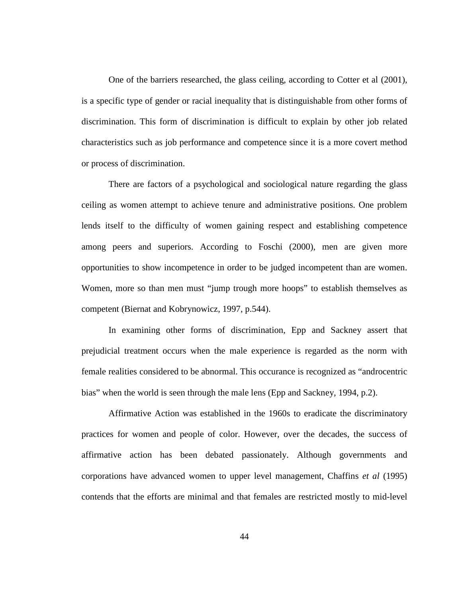One of the barriers researched, the glass ceiling, according to Cotter et al (2001), is a specific type of gender or racial inequality that is distinguishable from other forms of discrimination. This form of discrimination is difficult to explain by other job related characteristics such as job performance and competence since it is a more covert method or process of discrimination.

There are factors of a psychological and sociological nature regarding the glass ceiling as women attempt to achieve tenure and administrative positions. One problem lends itself to the difficulty of women gaining respect and establishing competence among peers and superiors. According to Foschi (2000), men are given more opportunities to show incompetence in order to be judged incompetent than are women. Women, more so than men must "jump trough more hoops" to establish themselves as competent (Biernat and Kobrynowicz, 1997, p.544).

In examining other forms of discrimination, Epp and Sackney assert that prejudicial treatment occurs when the male experience is regarded as the norm with female realities considered to be abnormal. This occurance is recognized as "androcentric bias" when the world is seen through the male lens (Epp and Sackney, 1994, p.2).

Affirmative Action was established in the 1960s to eradicate the discriminatory practices for women and people of color. However, over the decades, the success of affirmative action has been debated passionately. Although governments and corporations have advanced women to upper level management, Chaffins *et al* (1995) contends that the efforts are minimal and that females are restricted mostly to mid-level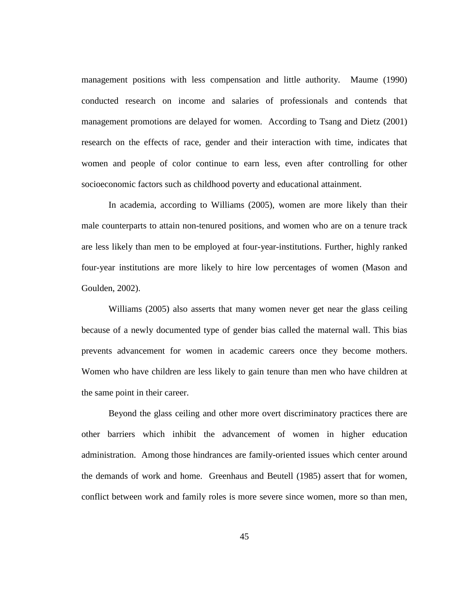management positions with less compensation and little authority. Maume (1990) conducted research on income and salaries of professionals and contends that management promotions are delayed for women. According to Tsang and Dietz (2001) research on the effects of race, gender and their interaction with time, indicates that women and people of color continue to earn less, even after controlling for other socioeconomic factors such as childhood poverty and educational attainment.

In academia, according to Williams (2005), women are more likely than their male counterparts to attain non-tenured positions, and women who are on a tenure track are less likely than men to be employed at four-year-institutions. Further, highly ranked four-year institutions are more likely to hire low percentages of women (Mason and Goulden, 2002).

Williams (2005) also asserts that many women never get near the glass ceiling because of a newly documented type of gender bias called the maternal wall. This bias prevents advancement for women in academic careers once they become mothers. Women who have children are less likely to gain tenure than men who have children at the same point in their career.

Beyond the glass ceiling and other more overt discriminatory practices there are other barriers which inhibit the advancement of women in higher education administration. Among those hindrances are family-oriented issues which center around the demands of work and home. Greenhaus and Beutell (1985) assert that for women, conflict between work and family roles is more severe since women, more so than men,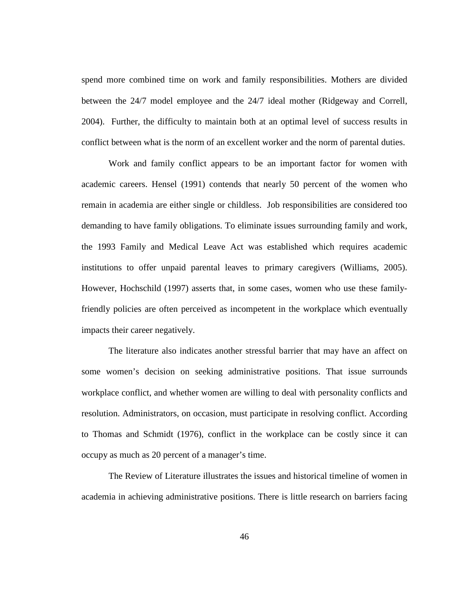spend more combined time on work and family responsibilities. Mothers are divided between the 24/7 model employee and the 24/7 ideal mother (Ridgeway and Correll, 2004). Further, the difficulty to maintain both at an optimal level of success results in conflict between what is the norm of an excellent worker and the norm of parental duties.

Work and family conflict appears to be an important factor for women with academic careers. Hensel (1991) contends that nearly 50 percent of the women who remain in academia are either single or childless. Job responsibilities are considered too demanding to have family obligations. To eliminate issues surrounding family and work, the 1993 Family and Medical Leave Act was established which requires academic institutions to offer unpaid parental leaves to primary caregivers (Williams, 2005). However, Hochschild (1997) asserts that, in some cases, women who use these familyfriendly policies are often perceived as incompetent in the workplace which eventually impacts their career negatively.

The literature also indicates another stressful barrier that may have an affect on some women's decision on seeking administrative positions. That issue surrounds workplace conflict, and whether women are willing to deal with personality conflicts and resolution. Administrators, on occasion, must participate in resolving conflict. According to Thomas and Schmidt (1976), conflict in the workplace can be costly since it can occupy as much as 20 percent of a manager's time.

The Review of Literature illustrates the issues and historical timeline of women in academia in achieving administrative positions. There is little research on barriers facing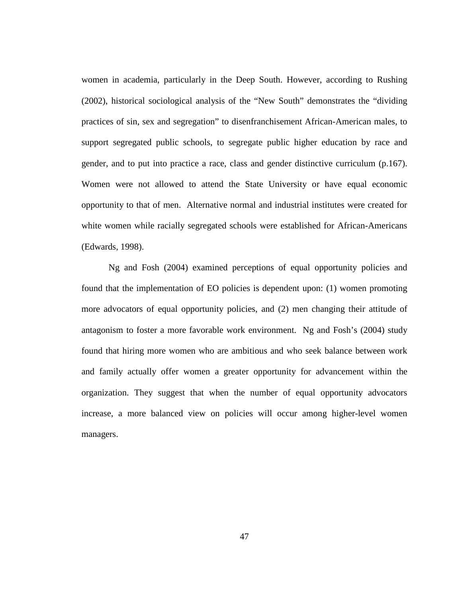women in academia, particularly in the Deep South. However, according to Rushing (2002), historical sociological analysis of the "New South" demonstrates the "dividing practices of sin, sex and segregation" to disenfranchisement African-American males, to support segregated public schools, to segregate public higher education by race and gender, and to put into practice a race, class and gender distinctive curriculum (p.167). Women were not allowed to attend the State University or have equal economic opportunity to that of men. Alternative normal and industrial institutes were created for white women while racially segregated schools were established for African-Americans (Edwards, 1998).

Ng and Fosh (2004) examined perceptions of equal opportunity policies and found that the implementation of EO policies is dependent upon: (1) women promoting more advocators of equal opportunity policies, and (2) men changing their attitude of antagonism to foster a more favorable work environment. Ng and Fosh's (2004) study found that hiring more women who are ambitious and who seek balance between work and family actually offer women a greater opportunity for advancement within the organization. They suggest that when the number of equal opportunity advocators increase, a more balanced view on policies will occur among higher-level women managers.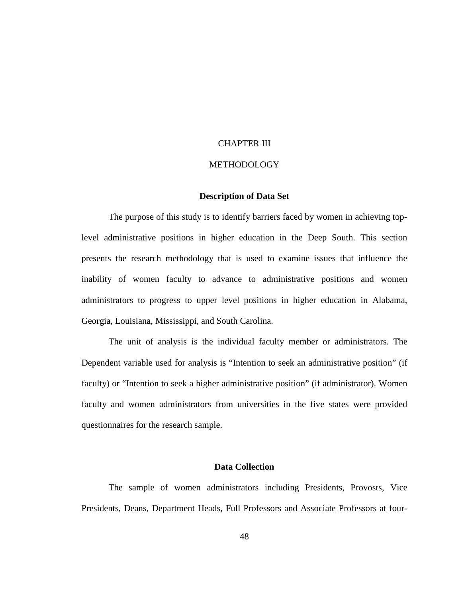## CHAPTER III

# METHODOLOGY

# **Description of Data Set**

 The purpose of this study is to identify barriers faced by women in achieving toplevel administrative positions in higher education in the Deep South. This section presents the research methodology that is used to examine issues that influence the inability of women faculty to advance to administrative positions and women administrators to progress to upper level positions in higher education in Alabama, Georgia, Louisiana, Mississippi, and South Carolina.

 The unit of analysis is the individual faculty member or administrators. The Dependent variable used for analysis is "Intention to seek an administrative position" (if faculty) or "Intention to seek a higher administrative position" (if administrator). Women faculty and women administrators from universities in the five states were provided questionnaires for the research sample.

# **Data Collection**

The sample of women administrators including Presidents, Provosts, Vice Presidents, Deans, Department Heads, Full Professors and Associate Professors at four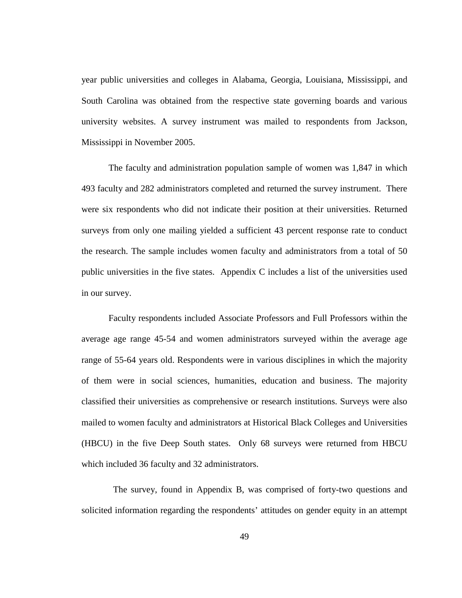year public universities and colleges in Alabama, Georgia, Louisiana, Mississippi, and South Carolina was obtained from the respective state governing boards and various university websites. A survey instrument was mailed to respondents from Jackson, Mississippi in November 2005.

The faculty and administration population sample of women was 1,847 in which 493 faculty and 282 administrators completed and returned the survey instrument. There were six respondents who did not indicate their position at their universities. Returned surveys from only one mailing yielded a sufficient 43 percent response rate to conduct the research. The sample includes women faculty and administrators from a total of 50 public universities in the five states. Appendix C includes a list of the universities used in our survey.

Faculty respondents included Associate Professors and Full Professors within the average age range 45-54 and women administrators surveyed within the average age range of 55-64 years old. Respondents were in various disciplines in which the majority of them were in social sciences, humanities, education and business. The majority classified their universities as comprehensive or research institutions. Surveys were also mailed to women faculty and administrators at Historical Black Colleges and Universities (HBCU) in the five Deep South states. Only 68 surveys were returned from HBCU which included 36 faculty and 32 administrators.

 The survey, found in Appendix B, was comprised of forty-two questions and solicited information regarding the respondents' attitudes on gender equity in an attempt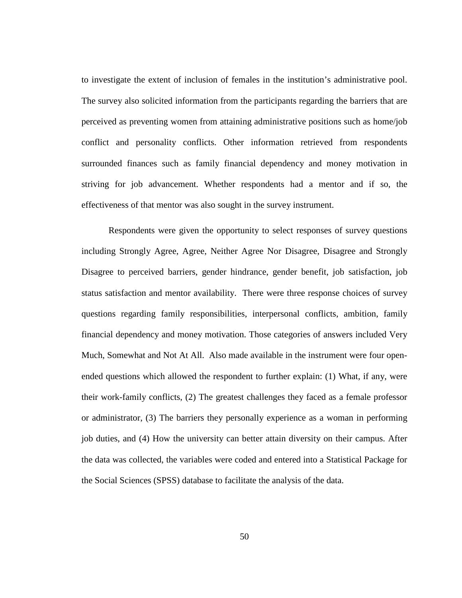to investigate the extent of inclusion of females in the institution's administrative pool. The survey also solicited information from the participants regarding the barriers that are perceived as preventing women from attaining administrative positions such as home/job conflict and personality conflicts. Other information retrieved from respondents surrounded finances such as family financial dependency and money motivation in striving for job advancement. Whether respondents had a mentor and if so, the effectiveness of that mentor was also sought in the survey instrument.

Respondents were given the opportunity to select responses of survey questions including Strongly Agree, Agree, Neither Agree Nor Disagree, Disagree and Strongly Disagree to perceived barriers, gender hindrance, gender benefit, job satisfaction, job status satisfaction and mentor availability. There were three response choices of survey questions regarding family responsibilities, interpersonal conflicts, ambition, family financial dependency and money motivation. Those categories of answers included Very Much, Somewhat and Not At All. Also made available in the instrument were four openended questions which allowed the respondent to further explain: (1) What, if any, were their work-family conflicts, (2) The greatest challenges they faced as a female professor or administrator, (3) The barriers they personally experience as a woman in performing job duties, and (4) How the university can better attain diversity on their campus. After the data was collected, the variables were coded and entered into a Statistical Package for the Social Sciences (SPSS) database to facilitate the analysis of the data.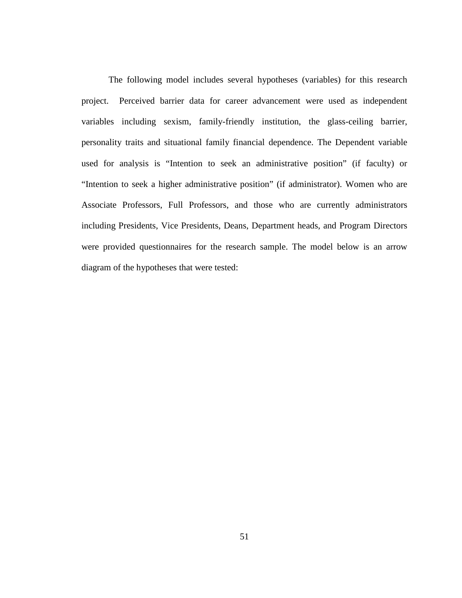The following model includes several hypotheses (variables) for this research project. Perceived barrier data for career advancement were used as independent variables including sexism, family-friendly institution, the glass-ceiling barrier, personality traits and situational family financial dependence. The Dependent variable used for analysis is "Intention to seek an administrative position" (if faculty) or "Intention to seek a higher administrative position" (if administrator). Women who are Associate Professors, Full Professors, and those who are currently administrators including Presidents, Vice Presidents, Deans, Department heads, and Program Directors were provided questionnaires for the research sample. The model below is an arrow diagram of the hypotheses that were tested: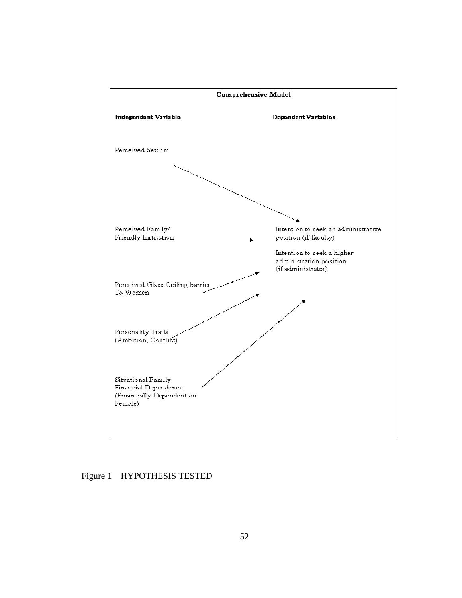

Figure 1 HYPOTHESIS TESTED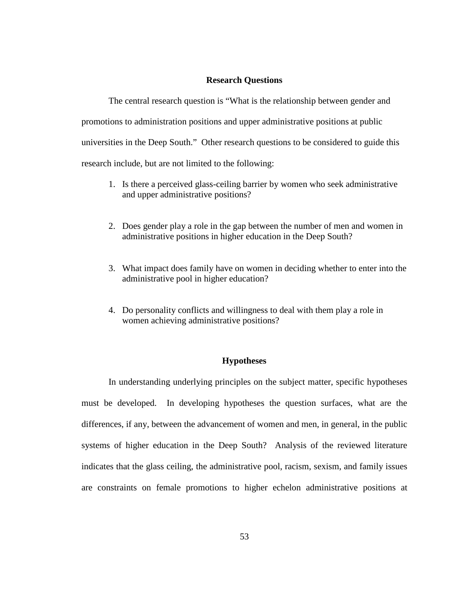# **Research Questions**

The central research question is "What is the relationship between gender and promotions to administration positions and upper administrative positions at public universities in the Deep South." Other research questions to be considered to guide this research include, but are not limited to the following:

- 1. Is there a perceived glass-ceiling barrier by women who seek administrative and upper administrative positions?
- 2. Does gender play a role in the gap between the number of men and women in administrative positions in higher education in the Deep South?
- 3. What impact does family have on women in deciding whether to enter into the administrative pool in higher education?
- 4. Do personality conflicts and willingness to deal with them play a role in women achieving administrative positions?

# **Hypotheses**

 In understanding underlying principles on the subject matter, specific hypotheses must be developed. In developing hypotheses the question surfaces, what are the differences, if any, between the advancement of women and men, in general, in the public systems of higher education in the Deep South? Analysis of the reviewed literature indicates that the glass ceiling, the administrative pool, racism, sexism, and family issues are constraints on female promotions to higher echelon administrative positions at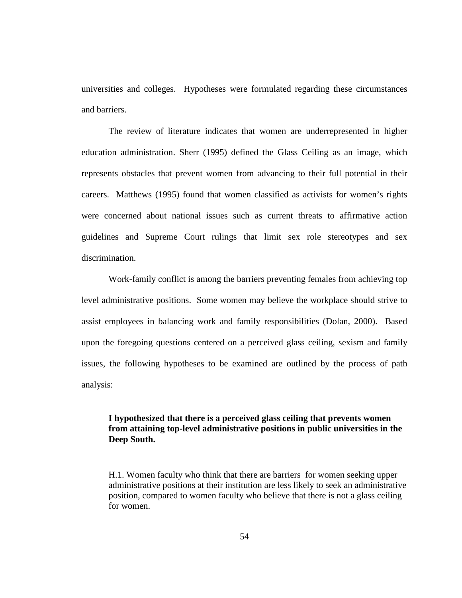universities and colleges. Hypotheses were formulated regarding these circumstances and barriers.

 The review of literature indicates that women are underrepresented in higher education administration. Sherr (1995) defined the Glass Ceiling as an image, which represents obstacles that prevent women from advancing to their full potential in their careers. Matthews (1995) found that women classified as activists for women's rights were concerned about national issues such as current threats to affirmative action guidelines and Supreme Court rulings that limit sex role stereotypes and sex discrimination.

Work-family conflict is among the barriers preventing females from achieving top level administrative positions. Some women may believe the workplace should strive to assist employees in balancing work and family responsibilities (Dolan, 2000). Based upon the foregoing questions centered on a perceived glass ceiling, sexism and family issues, the following hypotheses to be examined are outlined by the process of path analysis:

# **I hypothesized that there is a perceived glass ceiling that prevents women from attaining top-level administrative positions in public universities in the Deep South.**

H.1. Women faculty who think that there are barriers for women seeking upper administrative positions at their institution are less likely to seek an administrative position, compared to women faculty who believe that there is not a glass ceiling for women.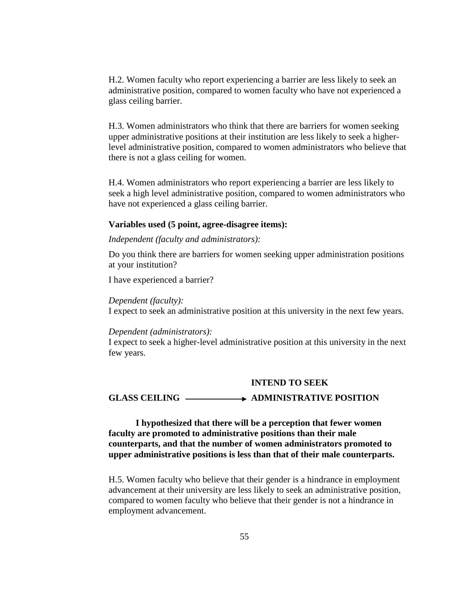H.2. Women faculty who report experiencing a barrier are less likely to seek an administrative position, compared to women faculty who have not experienced a glass ceiling barrier.

H.3. Women administrators who think that there are barriers for women seeking upper administrative positions at their institution are less likely to seek a higherlevel administrative position, compared to women administrators who believe that there is not a glass ceiling for women.

H.4. Women administrators who report experiencing a barrier are less likely to seek a high level administrative position, compared to women administrators who have not experienced a glass ceiling barrier.

#### **Variables used (5 point, agree-disagree items):**

#### *Independent (faculty and administrators):*

Do you think there are barriers for women seeking upper administration positions at your institution?

I have experienced a barrier?

#### *Dependent (faculty):*

I expect to seek an administrative position at this university in the next few years.

# *Dependent (administrators):*

I expect to seek a higher-level administrative position at this university in the next few years.

# **INTEND TO SEEK**

# GLASS CEILING **ADMINISTRATIVE POSITION**

# **I hypothesized that there will be a perception that fewer women faculty are promoted to administrative positions than their male counterparts, and that the number of women administrators promoted to upper administrative positions is less than that of their male counterparts.**

H.5. Women faculty who believe that their gender is a hindrance in employment advancement at their university are less likely to seek an administrative position, compared to women faculty who believe that their gender is not a hindrance in employment advancement.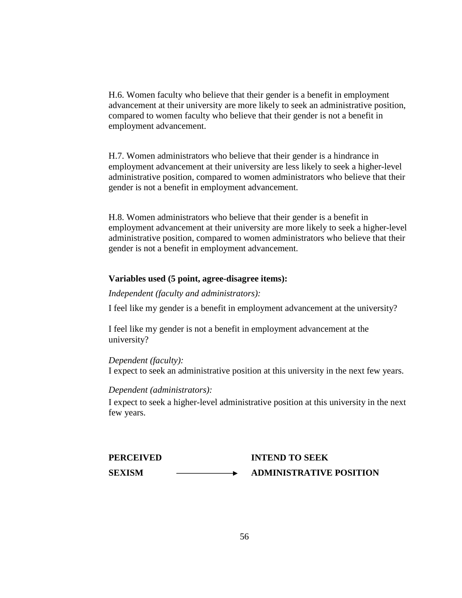H.6. Women faculty who believe that their gender is a benefit in employment advancement at their university are more likely to seek an administrative position, compared to women faculty who believe that their gender is not a benefit in employment advancement.

H.7. Women administrators who believe that their gender is a hindrance in employment advancement at their university are less likely to seek a higher-level administrative position, compared to women administrators who believe that their gender is not a benefit in employment advancement.

H.8. Women administrators who believe that their gender is a benefit in employment advancement at their university are more likely to seek a higher-level administrative position, compared to women administrators who believe that their gender is not a benefit in employment advancement.

# **Variables used (5 point, agree-disagree items):**

*Independent (faculty and administrators):* 

I feel like my gender is a benefit in employment advancement at the university?

I feel like my gender is not a benefit in employment advancement at the university?

*Dependent (faculty):*  I expect to seek an administrative position at this university in the next few years.

# *Dependent (administrators):*

I expect to seek a higher-level administrative position at this university in the next few years.

| <b>PERCEIVED</b> | <b>INTEND TO SEEK</b>          |
|------------------|--------------------------------|
| <b>SEXISM</b>    | <b>ADMINISTRATIVE POSITION</b> |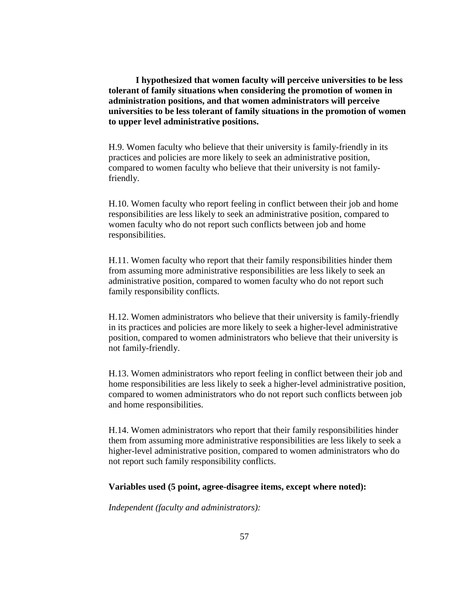**I hypothesized that women faculty will perceive universities to be less tolerant of family situations when considering the promotion of women in administration positions, and that women administrators will perceive universities to be less tolerant of family situations in the promotion of women to upper level administrative positions.** 

H.9. Women faculty who believe that their university is family-friendly in its practices and policies are more likely to seek an administrative position, compared to women faculty who believe that their university is not familyfriendly.

H.10. Women faculty who report feeling in conflict between their job and home responsibilities are less likely to seek an administrative position, compared to women faculty who do not report such conflicts between job and home responsibilities.

H.11. Women faculty who report that their family responsibilities hinder them from assuming more administrative responsibilities are less likely to seek an administrative position, compared to women faculty who do not report such family responsibility conflicts.

H.12. Women administrators who believe that their university is family-friendly in its practices and policies are more likely to seek a higher-level administrative position, compared to women administrators who believe that their university is not family-friendly.

H.13. Women administrators who report feeling in conflict between their job and home responsibilities are less likely to seek a higher-level administrative position, compared to women administrators who do not report such conflicts between job and home responsibilities.

H.14. Women administrators who report that their family responsibilities hinder them from assuming more administrative responsibilities are less likely to seek a higher-level administrative position, compared to women administrators who do not report such family responsibility conflicts.

# **Variables used (5 point, agree-disagree items, except where noted):**

*Independent (faculty and administrators):*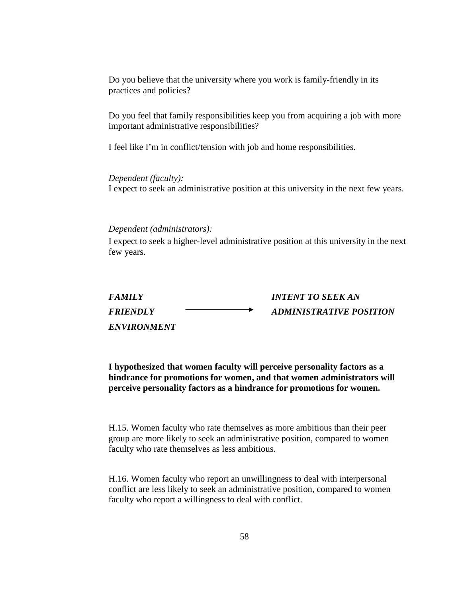Do you believe that the university where you work is family-friendly in its practices and policies?

Do you feel that family responsibilities keep you from acquiring a job with more important administrative responsibilities?

I feel like I'm in conflict/tension with job and home responsibilities.

*Dependent (faculty):*  I expect to seek an administrative position at this university in the next few years.

#### *Dependent (administrators):*

I expect to seek a higher-level administrative position at this university in the next few years.

| <b>FAMILY</b>      | <b>INTENT TO SEEK AN</b> |
|--------------------|--------------------------|
| <b>FRIENDLY</b>    | ADMINISTRATIVE POSITION  |
| <i>ENVIRONMENT</i> |                          |

**I hypothesized that women faculty will perceive personality factors as a hindrance for promotions for women, and that women administrators will perceive personality factors as a hindrance for promotions for women.** 

H.15. Women faculty who rate themselves as more ambitious than their peer group are more likely to seek an administrative position, compared to women faculty who rate themselves as less ambitious.

H.16. Women faculty who report an unwillingness to deal with interpersonal conflict are less likely to seek an administrative position, compared to women faculty who report a willingness to deal with conflict.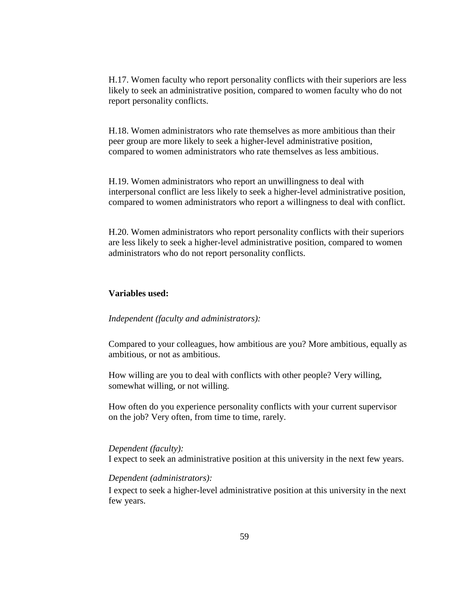H.17. Women faculty who report personality conflicts with their superiors are less likely to seek an administrative position, compared to women faculty who do not report personality conflicts.

H.18. Women administrators who rate themselves as more ambitious than their peer group are more likely to seek a higher-level administrative position, compared to women administrators who rate themselves as less ambitious.

H.19. Women administrators who report an unwillingness to deal with interpersonal conflict are less likely to seek a higher-level administrative position, compared to women administrators who report a willingness to deal with conflict.

H.20. Women administrators who report personality conflicts with their superiors are less likely to seek a higher-level administrative position, compared to women administrators who do not report personality conflicts.

# **Variables used:**

#### *Independent (faculty and administrators):*

Compared to your colleagues, how ambitious are you? More ambitious, equally as ambitious, or not as ambitious.

How willing are you to deal with conflicts with other people? Very willing, somewhat willing, or not willing.

How often do you experience personality conflicts with your current supervisor on the job? Very often, from time to time, rarely.

#### *Dependent (faculty):*

I expect to seek an administrative position at this university in the next few years.

# *Dependent (administrators):*

I expect to seek a higher-level administrative position at this university in the next few years.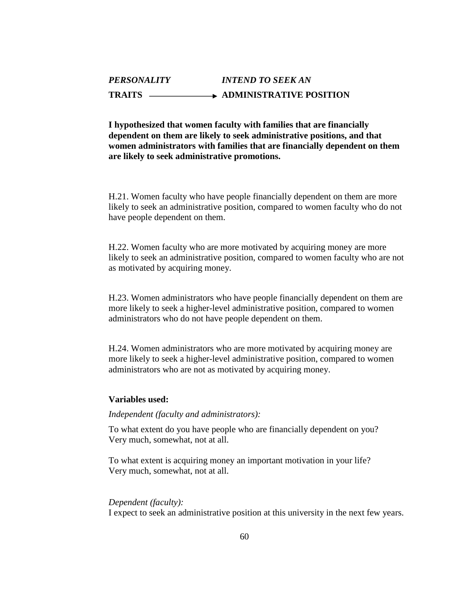## *PERSONALITY INTEND TO SEEK AN*  TRAITS **ADMINISTRATIVE POSITION**

**I hypothesized that women faculty with families that are financially dependent on them are likely to seek administrative positions, and that women administrators with families that are financially dependent on them are likely to seek administrative promotions.** 

H.21. Women faculty who have people financially dependent on them are more likely to seek an administrative position, compared to women faculty who do not have people dependent on them.

H.22. Women faculty who are more motivated by acquiring money are more likely to seek an administrative position, compared to women faculty who are not as motivated by acquiring money.

H.23. Women administrators who have people financially dependent on them are more likely to seek a higher-level administrative position, compared to women administrators who do not have people dependent on them.

H.24. Women administrators who are more motivated by acquiring money are more likely to seek a higher-level administrative position, compared to women administrators who are not as motivated by acquiring money.

#### **Variables used:**

### *Independent (faculty and administrators):*

To what extent do you have people who are financially dependent on you? Very much, somewhat, not at all.

To what extent is acquiring money an important motivation in your life? Very much, somewhat, not at all.

#### *Dependent (faculty):*

I expect to seek an administrative position at this university in the next few years.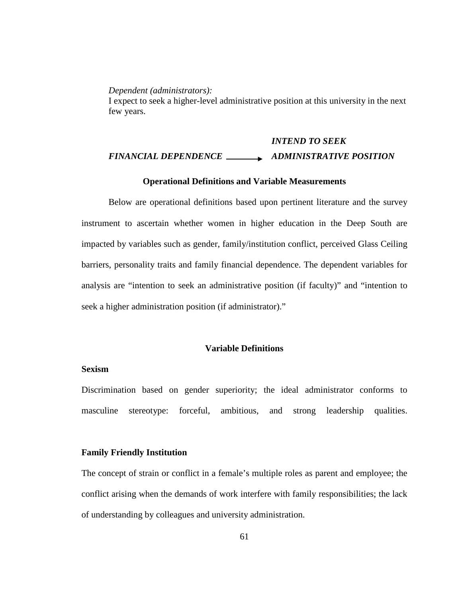*Dependent (administrators):* 

I expect to seek a higher-level administrative position at this university in the next few years.

# *INTEND TO SEEK FINANCIAL DEPENDENCE ADMINISTRATIVE POSITION*

#### **Operational Definitions and Variable Measurements**

Below are operational definitions based upon pertinent literature and the survey instrument to ascertain whether women in higher education in the Deep South are impacted by variables such as gender, family/institution conflict, perceived Glass Ceiling barriers, personality traits and family financial dependence. The dependent variables for analysis are "intention to seek an administrative position (if faculty)" and "intention to seek a higher administration position (if administrator)."

### **Variable Definitions**

### **Sexism**

Discrimination based on gender superiority; the ideal administrator conforms to masculine stereotype: forceful, ambitious, and strong leadership qualities.

### **Family Friendly Institution**

The concept of strain or conflict in a female's multiple roles as parent and employee; the conflict arising when the demands of work interfere with family responsibilities; the lack of understanding by colleagues and university administration.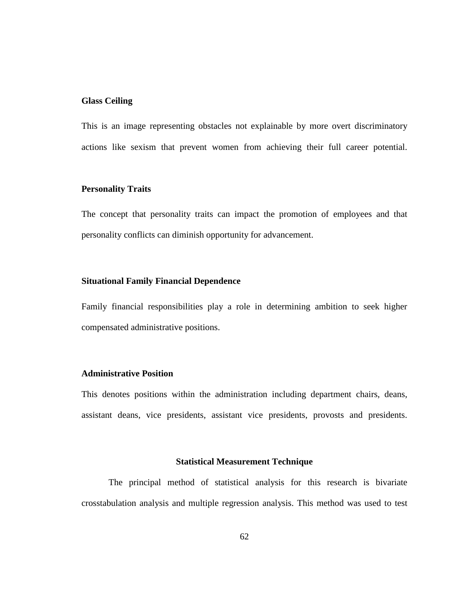### **Glass Ceiling**

This is an image representing obstacles not explainable by more overt discriminatory actions like sexism that prevent women from achieving their full career potential.

### **Personality Traits**

The concept that personality traits can impact the promotion of employees and that personality conflicts can diminish opportunity for advancement.

### **Situational Family Financial Dependence**

Family financial responsibilities play a role in determining ambition to seek higher compensated administrative positions.

### **Administrative Position**

This denotes positions within the administration including department chairs, deans, assistant deans, vice presidents, assistant vice presidents, provosts and presidents.

### **Statistical Measurement Technique**

The principal method of statistical analysis for this research is bivariate crosstabulation analysis and multiple regression analysis. This method was used to test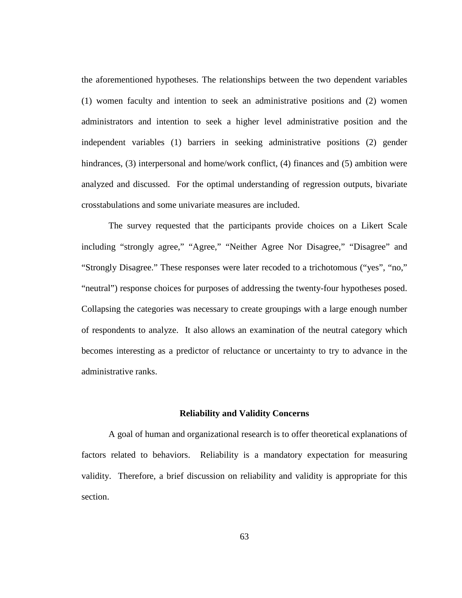the aforementioned hypotheses. The relationships between the two dependent variables (1) women faculty and intention to seek an administrative positions and (2) women administrators and intention to seek a higher level administrative position and the independent variables (1) barriers in seeking administrative positions (2) gender hindrances, (3) interpersonal and home/work conflict, (4) finances and (5) ambition were analyzed and discussed. For the optimal understanding of regression outputs, bivariate crosstabulations and some univariate measures are included.

The survey requested that the participants provide choices on a Likert Scale including "strongly agree," "Agree," "Neither Agree Nor Disagree," "Disagree" and "Strongly Disagree." These responses were later recoded to a trichotomous ("yes", "no," "neutral") response choices for purposes of addressing the twenty-four hypotheses posed. Collapsing the categories was necessary to create groupings with a large enough number of respondents to analyze. It also allows an examination of the neutral category which becomes interesting as a predictor of reluctance or uncertainty to try to advance in the administrative ranks.

### **Reliability and Validity Concerns**

A goal of human and organizational research is to offer theoretical explanations of factors related to behaviors. Reliability is a mandatory expectation for measuring validity. Therefore, a brief discussion on reliability and validity is appropriate for this section.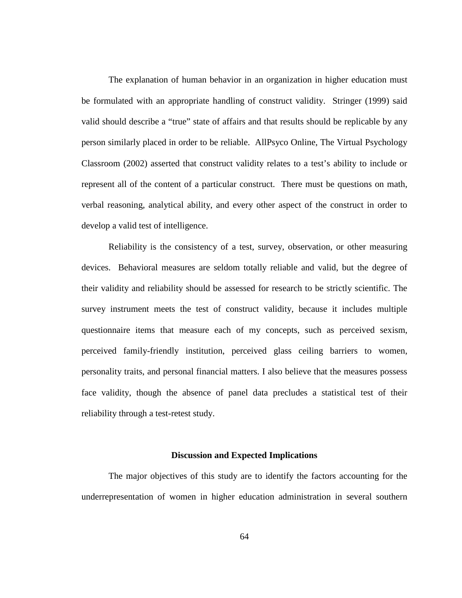The explanation of human behavior in an organization in higher education must be formulated with an appropriate handling of construct validity. Stringer (1999) said valid should describe a "true" state of affairs and that results should be replicable by any person similarly placed in order to be reliable. AllPsyco Online, The Virtual Psychology Classroom (2002) asserted that construct validity relates to a test's ability to include or represent all of the content of a particular construct. There must be questions on math, verbal reasoning, analytical ability, and every other aspect of the construct in order to develop a valid test of intelligence.

Reliability is the consistency of a test, survey, observation, or other measuring devices. Behavioral measures are seldom totally reliable and valid, but the degree of their validity and reliability should be assessed for research to be strictly scientific. The survey instrument meets the test of construct validity, because it includes multiple questionnaire items that measure each of my concepts, such as perceived sexism, perceived family-friendly institution, perceived glass ceiling barriers to women, personality traits, and personal financial matters. I also believe that the measures possess face validity, though the absence of panel data precludes a statistical test of their reliability through a test-retest study.

#### **Discussion and Expected Implications**

The major objectives of this study are to identify the factors accounting for the underrepresentation of women in higher education administration in several southern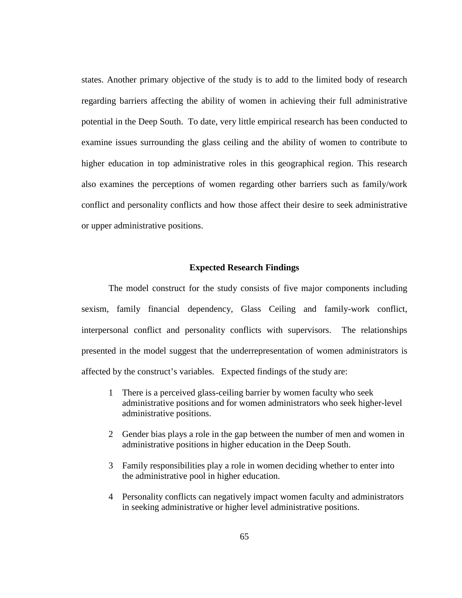states. Another primary objective of the study is to add to the limited body of research regarding barriers affecting the ability of women in achieving their full administrative potential in the Deep South. To date, very little empirical research has been conducted to examine issues surrounding the glass ceiling and the ability of women to contribute to higher education in top administrative roles in this geographical region. This research also examines the perceptions of women regarding other barriers such as family/work conflict and personality conflicts and how those affect their desire to seek administrative or upper administrative positions.

### **Expected Research Findings**

The model construct for the study consists of five major components including sexism, family financial dependency, Glass Ceiling and family-work conflict, interpersonal conflict and personality conflicts with supervisors. The relationships presented in the model suggest that the underrepresentation of women administrators is affected by the construct's variables. Expected findings of the study are:

- 1 There is a perceived glass-ceiling barrier by women faculty who seek administrative positions and for women administrators who seek higher-level administrative positions.
- 2 Gender bias plays a role in the gap between the number of men and women in administrative positions in higher education in the Deep South.
- 3 Family responsibilities play a role in women deciding whether to enter into the administrative pool in higher education.
- 4 Personality conflicts can negatively impact women faculty and administrators in seeking administrative or higher level administrative positions.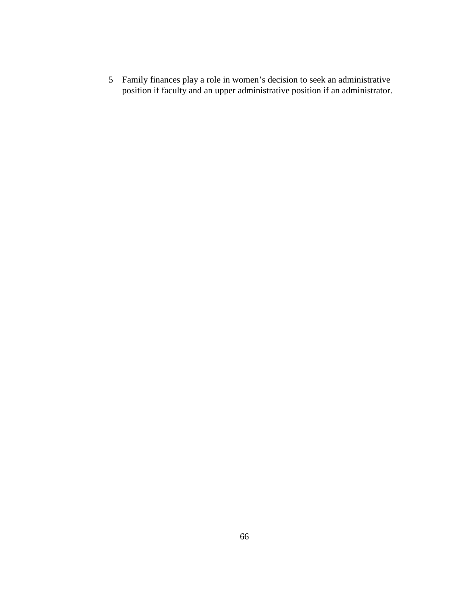Family finances play a role in women's decision to seek an administrative position if faculty and an upper administrative position if an administrator.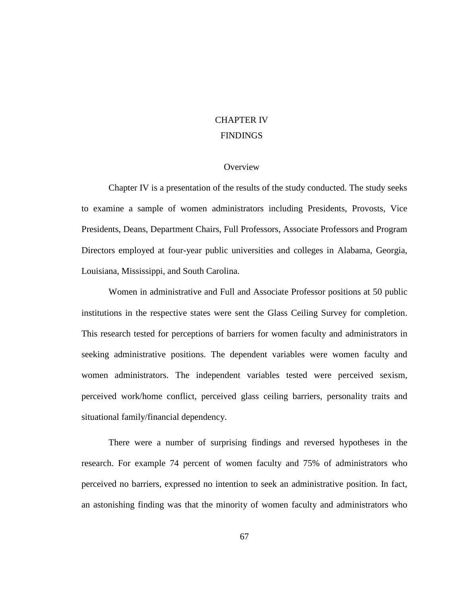# CHAPTER IV FINDINGS

### **Overview**

Chapter IV is a presentation of the results of the study conducted. The study seeks to examine a sample of women administrators including Presidents, Provosts, Vice Presidents, Deans, Department Chairs, Full Professors, Associate Professors and Program Directors employed at four-year public universities and colleges in Alabama, Georgia, Louisiana, Mississippi, and South Carolina.

Women in administrative and Full and Associate Professor positions at 50 public institutions in the respective states were sent the Glass Ceiling Survey for completion. This research tested for perceptions of barriers for women faculty and administrators in seeking administrative positions. The dependent variables were women faculty and women administrators. The independent variables tested were perceived sexism, perceived work/home conflict, perceived glass ceiling barriers, personality traits and situational family/financial dependency.

There were a number of surprising findings and reversed hypotheses in the research. For example 74 percent of women faculty and 75% of administrators who perceived no barriers, expressed no intention to seek an administrative position. In fact, an astonishing finding was that the minority of women faculty and administrators who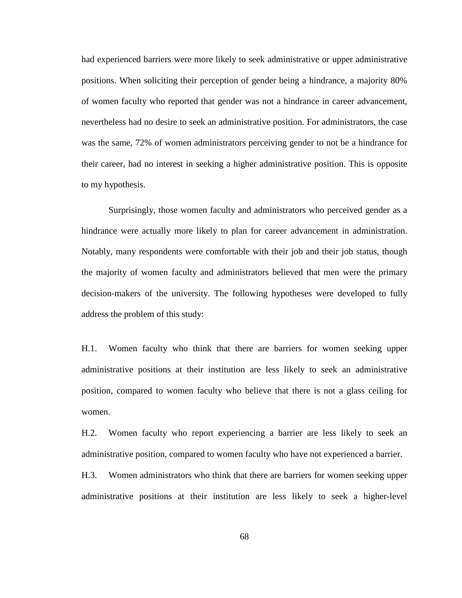had experienced barriers were more likely to seek administrative or upper administrative positions. When soliciting their perception of gender being a hindrance, a majority 80% of women faculty who reported that gender was not a hindrance in career advancement, nevertheless had no desire to seek an administrative position. For administrators, the case was the same, 72% of women administrators perceiving gender to not be a hindrance for their career, had no interest in seeking a higher administrative position. This is opposite to my hypothesis.

Surprisingly, those women faculty and administrators who perceived gender as a hindrance were actually more likely to plan for career advancement in administration. Notably, many respondents were comfortable with their job and their job status, though the majority of women faculty and administrators believed that men were the primary decision-makers of the university. The following hypotheses were developed to fully address the problem of this study:

H.1. Women faculty who think that there are barriers for women seeking upper administrative positions at their institution are less likely to seek an administrative position, compared to women faculty who believe that there is not a glass ceiling for women.

H.2. Women faculty who report experiencing a barrier are less likely to seek an administrative position, compared to women faculty who have not experienced a barrier.

H.3. Women administrators who think that there are barriers for women seeking upper administrative positions at their institution are less likely to seek a higher-level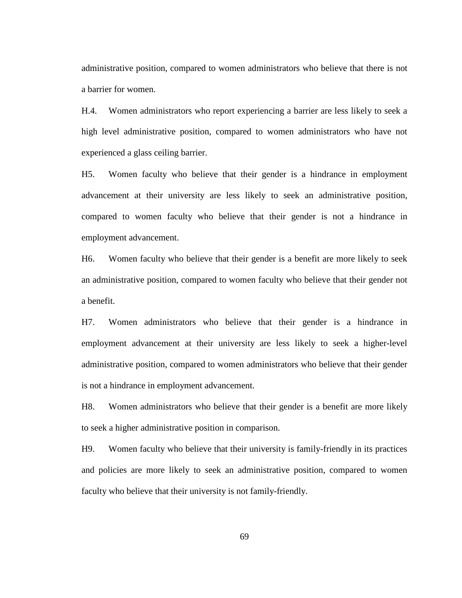administrative position, compared to women administrators who believe that there is not a barrier for women.

H.4. Women administrators who report experiencing a barrier are less likely to seek a high level administrative position, compared to women administrators who have not experienced a glass ceiling barrier.

H5. Women faculty who believe that their gender is a hindrance in employment advancement at their university are less likely to seek an administrative position, compared to women faculty who believe that their gender is not a hindrance in employment advancement.

H6. Women faculty who believe that their gender is a benefit are more likely to seek an administrative position, compared to women faculty who believe that their gender not a benefit.

H7. Women administrators who believe that their gender is a hindrance in employment advancement at their university are less likely to seek a higher-level administrative position, compared to women administrators who believe that their gender is not a hindrance in employment advancement.

H8. Women administrators who believe that their gender is a benefit are more likely to seek a higher administrative position in comparison.

H9. Women faculty who believe that their university is family-friendly in its practices and policies are more likely to seek an administrative position, compared to women faculty who believe that their university is not family-friendly.

69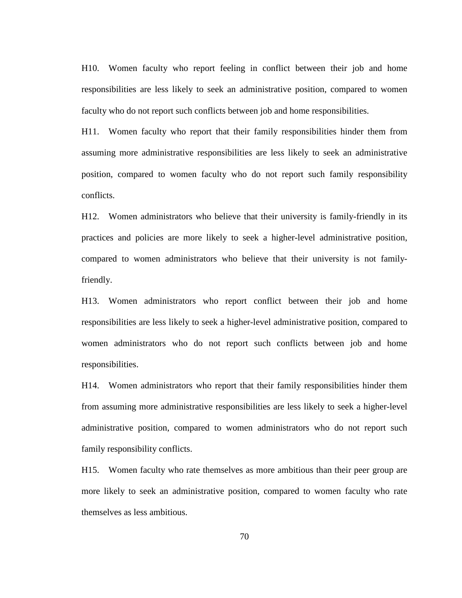H10. Women faculty who report feeling in conflict between their job and home responsibilities are less likely to seek an administrative position, compared to women faculty who do not report such conflicts between job and home responsibilities.

H11. Women faculty who report that their family responsibilities hinder them from assuming more administrative responsibilities are less likely to seek an administrative position, compared to women faculty who do not report such family responsibility conflicts.

H12. Women administrators who believe that their university is family-friendly in its practices and policies are more likely to seek a higher-level administrative position, compared to women administrators who believe that their university is not familyfriendly.

H13. Women administrators who report conflict between their job and home responsibilities are less likely to seek a higher-level administrative position, compared to women administrators who do not report such conflicts between job and home responsibilities.

H14. Women administrators who report that their family responsibilities hinder them from assuming more administrative responsibilities are less likely to seek a higher-level administrative position, compared to women administrators who do not report such family responsibility conflicts.

H15. Women faculty who rate themselves as more ambitious than their peer group are more likely to seek an administrative position, compared to women faculty who rate themselves as less ambitious.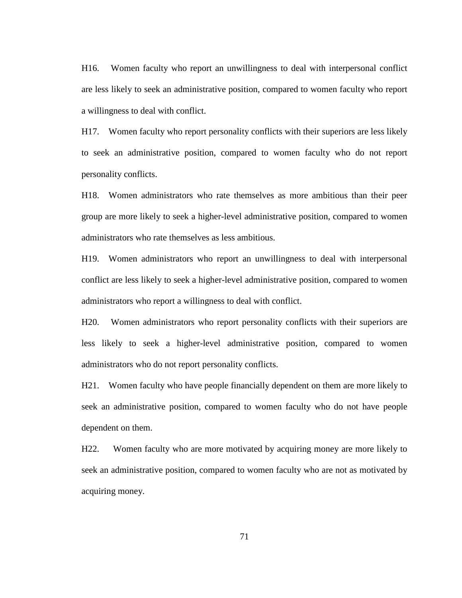H16. Women faculty who report an unwillingness to deal with interpersonal conflict are less likely to seek an administrative position, compared to women faculty who report a willingness to deal with conflict.

H17. Women faculty who report personality conflicts with their superiors are less likely to seek an administrative position, compared to women faculty who do not report personality conflicts.

H18. Women administrators who rate themselves as more ambitious than their peer group are more likely to seek a higher-level administrative position, compared to women administrators who rate themselves as less ambitious.

H19. Women administrators who report an unwillingness to deal with interpersonal conflict are less likely to seek a higher-level administrative position, compared to women administrators who report a willingness to deal with conflict.

H20. Women administrators who report personality conflicts with their superiors are less likely to seek a higher-level administrative position, compared to women administrators who do not report personality conflicts.

H21. Women faculty who have people financially dependent on them are more likely to seek an administrative position, compared to women faculty who do not have people dependent on them.

H22. Women faculty who are more motivated by acquiring money are more likely to seek an administrative position, compared to women faculty who are not as motivated by acquiring money.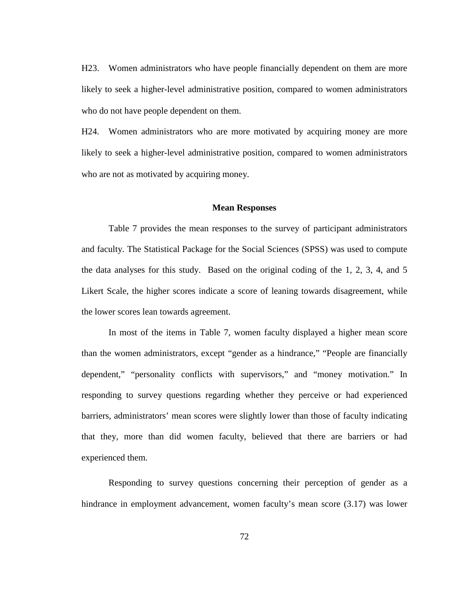H23. Women administrators who have people financially dependent on them are more likely to seek a higher-level administrative position, compared to women administrators who do not have people dependent on them.

H24. Women administrators who are more motivated by acquiring money are more likely to seek a higher-level administrative position, compared to women administrators who are not as motivated by acquiring money.

### **Mean Responses**

Table 7 provides the mean responses to the survey of participant administrators and faculty. The Statistical Package for the Social Sciences (SPSS) was used to compute the data analyses for this study. Based on the original coding of the 1, 2, 3, 4, and 5 Likert Scale, the higher scores indicate a score of leaning towards disagreement, while the lower scores lean towards agreement.

In most of the items in Table 7, women faculty displayed a higher mean score than the women administrators, except "gender as a hindrance," "People are financially dependent," "personality conflicts with supervisors," and "money motivation." In responding to survey questions regarding whether they perceive or had experienced barriers, administrators' mean scores were slightly lower than those of faculty indicating that they, more than did women faculty, believed that there are barriers or had experienced them.

Responding to survey questions concerning their perception of gender as a hindrance in employment advancement, women faculty's mean score (3.17) was lower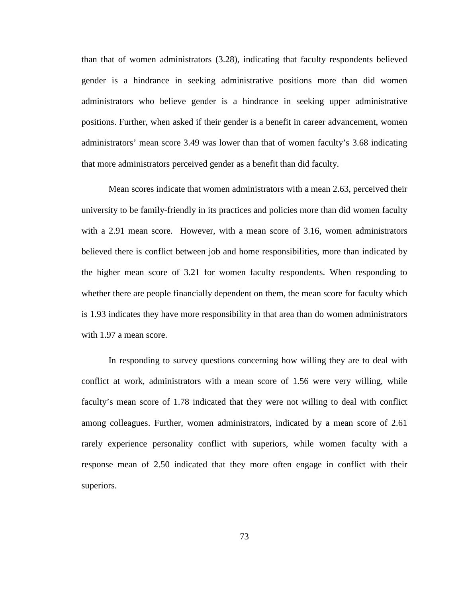than that of women administrators (3.28), indicating that faculty respondents believed gender is a hindrance in seeking administrative positions more than did women administrators who believe gender is a hindrance in seeking upper administrative positions. Further, when asked if their gender is a benefit in career advancement, women administrators' mean score 3.49 was lower than that of women faculty's 3.68 indicating that more administrators perceived gender as a benefit than did faculty.

Mean scores indicate that women administrators with a mean 2.63, perceived their university to be family-friendly in its practices and policies more than did women faculty with a 2.91 mean score. However, with a mean score of 3.16, women administrators believed there is conflict between job and home responsibilities, more than indicated by the higher mean score of 3.21 for women faculty respondents. When responding to whether there are people financially dependent on them, the mean score for faculty which is 1.93 indicates they have more responsibility in that area than do women administrators with 1.97 a mean score.

In responding to survey questions concerning how willing they are to deal with conflict at work, administrators with a mean score of 1.56 were very willing, while faculty's mean score of 1.78 indicated that they were not willing to deal with conflict among colleagues. Further, women administrators, indicated by a mean score of 2.61 rarely experience personality conflict with superiors, while women faculty with a response mean of 2.50 indicated that they more often engage in conflict with their superiors.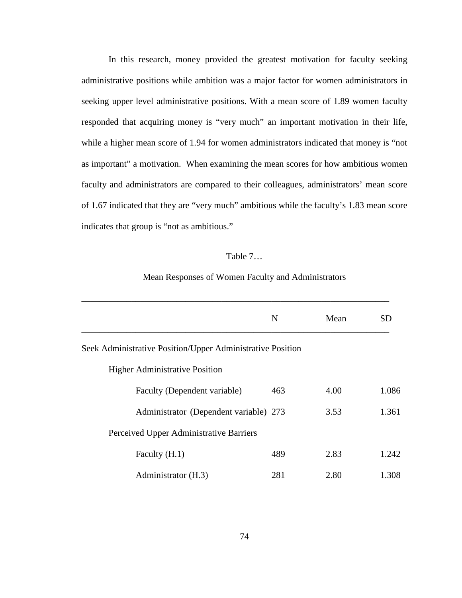In this research, money provided the greatest motivation for faculty seeking administrative positions while ambition was a major factor for women administrators in seeking upper level administrative positions. With a mean score of 1.89 women faculty responded that acquiring money is "very much" an important motivation in their life, while a higher mean score of 1.94 for women administrators indicated that money is "not as important" a motivation. When examining the mean scores for how ambitious women faculty and administrators are compared to their colleagues, administrators' mean score of 1.67 indicated that they are "very much" ambitious while the faculty's 1.83 mean score indicates that group is "not as ambitious."

### Table 7…

### Mean Responses of Women Faculty and Administrators

|                                                            | N   | Mean | SD    |
|------------------------------------------------------------|-----|------|-------|
| Seek Administrative Position/Upper Administrative Position |     |      |       |
| <b>Higher Administrative Position</b>                      |     |      |       |
| Faculty (Dependent variable)                               | 463 | 4.00 | 1.086 |
| Administrator (Dependent variable) 273                     |     | 3.53 | 1.361 |
| Perceived Upper Administrative Barriers                    |     |      |       |
| Faculty (H.1)                                              | 489 | 2.83 | 1.242 |
| Administrator (H.3)                                        | 281 | 2.80 | 1.308 |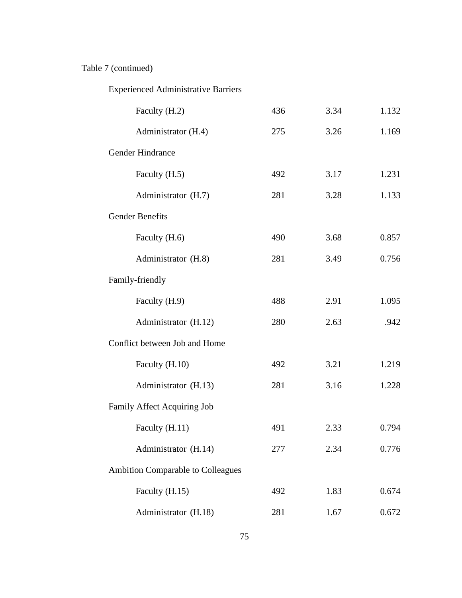# Table 7 (continued)

# Experienced Administrative Barriers

| Faculty (H.2)                     | 436 | 3.34 | 1.132 |
|-----------------------------------|-----|------|-------|
| Administrator (H.4)               | 275 | 3.26 | 1.169 |
| Gender Hindrance                  |     |      |       |
| Faculty (H.5)                     | 492 | 3.17 | 1.231 |
| Administrator (H.7)               | 281 | 3.28 | 1.133 |
| <b>Gender Benefits</b>            |     |      |       |
| Faculty (H.6)                     | 490 | 3.68 | 0.857 |
| Administrator (H.8)               | 281 | 3.49 | 0.756 |
| Family-friendly                   |     |      |       |
| Faculty (H.9)                     | 488 | 2.91 | 1.095 |
| Administrator (H.12)              | 280 | 2.63 | .942  |
| Conflict between Job and Home     |     |      |       |
| Faculty (H.10)                    | 492 | 3.21 | 1.219 |
| Administrator (H.13)              | 281 | 3.16 | 1.228 |
| Family Affect Acquiring Job       |     |      |       |
| Faculty (H.11)                    | 491 | 2.33 | 0.794 |
| Administrator (H.14)              | 277 | 2.34 | 0.776 |
| Ambition Comparable to Colleagues |     |      |       |
| Faculty (H.15)                    | 492 | 1.83 | 0.674 |
| Administrator (H.18)              | 281 | 1.67 | 0.672 |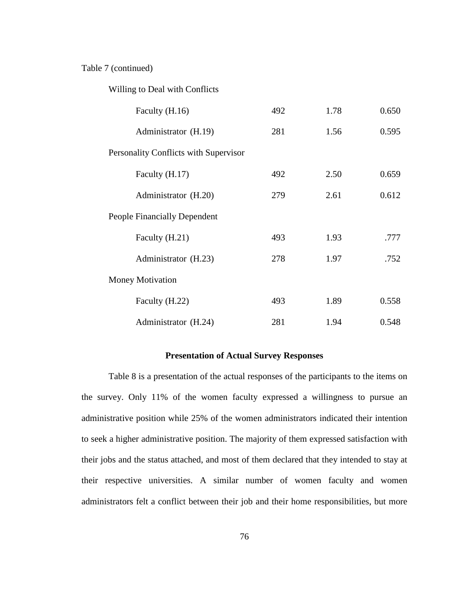### Table 7 (continued)

Willing to Deal with Conflicts

| Faculty (H.16)                        | 492 | 1.78 | 0.650 |
|---------------------------------------|-----|------|-------|
| Administrator (H.19)                  | 281 | 1.56 | 0.595 |
| Personality Conflicts with Supervisor |     |      |       |
| Faculty (H.17)                        | 492 | 2.50 | 0.659 |
| Administrator (H.20)                  | 279 | 2.61 | 0.612 |
| <b>People Financially Dependent</b>   |     |      |       |
| Faculty (H.21)                        | 493 | 1.93 | .777  |
| Administrator (H.23)                  | 278 | 1.97 | .752  |
| <b>Money Motivation</b>               |     |      |       |
| Faculty (H.22)                        | 493 | 1.89 | 0.558 |
| Administrator (H.24)                  | 281 | 1.94 | 0.548 |

### **Presentation of Actual Survey Responses**

Table 8 is a presentation of the actual responses of the participants to the items on the survey. Only 11% of the women faculty expressed a willingness to pursue an administrative position while 25% of the women administrators indicated their intention to seek a higher administrative position. The majority of them expressed satisfaction with their jobs and the status attached, and most of them declared that they intended to stay at their respective universities. A similar number of women faculty and women administrators felt a conflict between their job and their home responsibilities, but more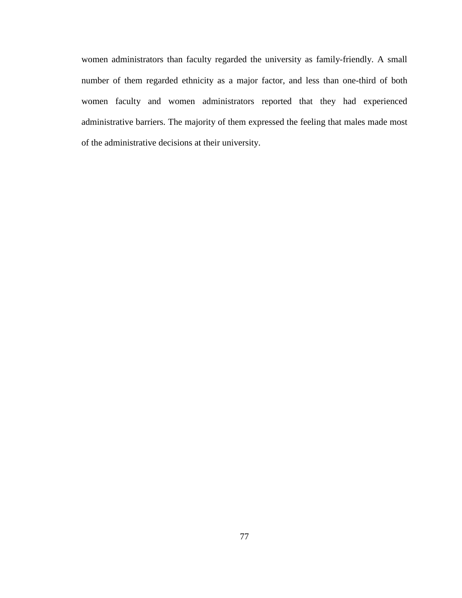women administrators than faculty regarded the university as family-friendly. A small number of them regarded ethnicity as a major factor, and less than one-third of both women faculty and women administrators reported that they had experienced administrative barriers. The majority of them expressed the feeling that males made most of the administrative decisions at their university.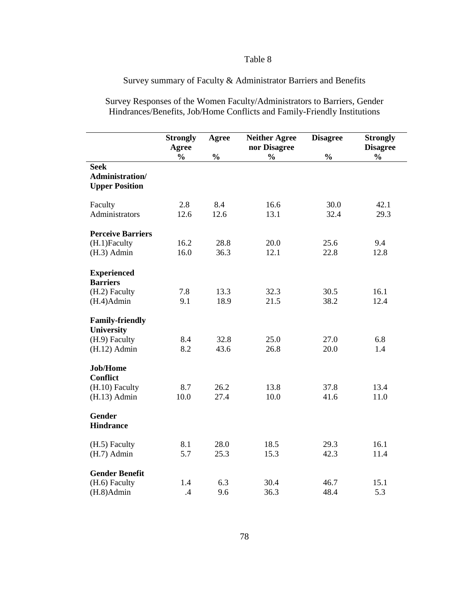### Table 8

## Survey summary of Faculty & Administrator Barriers and Benefits

Survey Responses of the Women Faculty/Administrators to Barriers, Gender Hindrances/Benefits, Job/Home Conflicts and Family-Friendly Institutions

|                                                                                | <b>Strongly</b><br>Agree | Agree         | <b>Neither Agree</b><br>nor Disagree | <b>Disagree</b> | <b>Strongly</b><br><b>Disagree</b> |
|--------------------------------------------------------------------------------|--------------------------|---------------|--------------------------------------|-----------------|------------------------------------|
|                                                                                | $\frac{0}{0}$            | $\frac{0}{0}$ | $\frac{0}{0}$                        | $\frac{0}{0}$   | $\frac{0}{0}$                      |
| <b>Seek</b><br>Administration/<br><b>Upper Position</b>                        |                          |               |                                      |                 |                                    |
| Faculty<br>Administrators                                                      | 2.8<br>12.6              | 8.4<br>12.6   | 16.6<br>13.1                         | 30.0<br>32.4    | 42.1<br>29.3                       |
| <b>Perceive Barriers</b><br>(H.1)Faculty<br>$(H.3)$ Admin                      | 16.2<br>16.0             | 28.8<br>36.3  | 20.0<br>12.1                         | 25.6<br>22.8    | 9.4<br>12.8                        |
| <b>Experienced</b><br><b>Barriers</b><br>(H.2) Faculty<br>$(H.4)$ Admin        | 7.8<br>9.1               | 13.3<br>18.9  | 32.3<br>21.5                         | 30.5<br>38.2    | 16.1<br>12.4                       |
| <b>Family-friendly</b><br><b>University</b><br>(H.9) Faculty<br>$(H.12)$ Admin | 8.4<br>8.2               | 32.8<br>43.6  | 25.0<br>26.8                         | 27.0<br>20.0    | 6.8<br>1.4                         |
| <b>Job/Home</b><br><b>Conflict</b><br>(H.10) Faculty<br>$(H.13)$ Admin         | 8.7<br>10.0              | 26.2<br>27.4  | 13.8<br>10.0                         | 37.8<br>41.6    | 13.4<br>11.0                       |
| <b>Gender</b><br><b>Hindrance</b>                                              |                          |               |                                      |                 |                                    |
| (H.5) Faculty<br>$(H.7)$ Admin                                                 | 8.1<br>5.7               | 28.0<br>25.3  | 18.5<br>15.3                         | 29.3<br>42.3    | 16.1<br>11.4                       |
| <b>Gender Benefit</b><br>(H.6) Faculty<br>$(H.8)$ Admin                        | 1.4<br>.4                | 6.3<br>9.6    | 30.4<br>36.3                         | 46.7<br>48.4    | 15.1<br>5.3                        |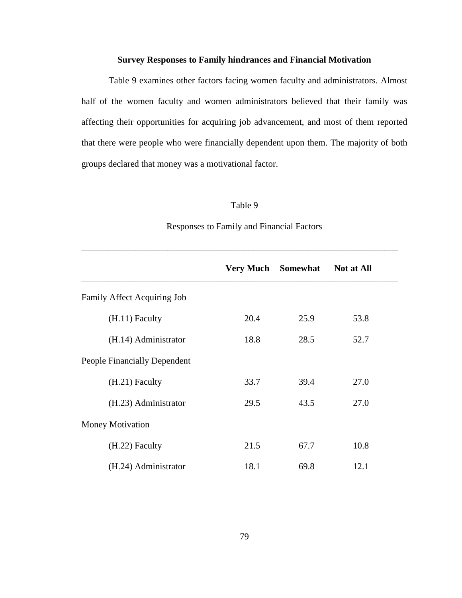### **Survey Responses to Family hindrances and Financial Motivation**

Table 9 examines other factors facing women faculty and administrators. Almost half of the women faculty and women administrators believed that their family was affecting their opportunities for acquiring job advancement, and most of them reported that there were people who were financially dependent upon them. The majority of both groups declared that money was a motivational factor.

### Table 9

|                                     | <b>Very Much</b> | Somewhat | <b>Not at All</b> |
|-------------------------------------|------------------|----------|-------------------|
| Family Affect Acquiring Job         |                  |          |                   |
| $(H.11)$ Faculty                    | 20.4             | 25.9     | 53.8              |
| (H.14) Administrator                | 18.8             | 28.5     | 52.7              |
| <b>People Financially Dependent</b> |                  |          |                   |
| $(H.21)$ Faculty                    | 33.7             | 39.4     | 27.0              |
| (H.23) Administrator                | 29.5             | 43.5     | 27.0              |
| <b>Money Motivation</b>             |                  |          |                   |
| (H.22) Faculty                      | 21.5             | 67.7     | 10.8              |
| (H.24) Administrator                | 18.1             | 69.8     | 12.1              |

### Responses to Family and Financial Factors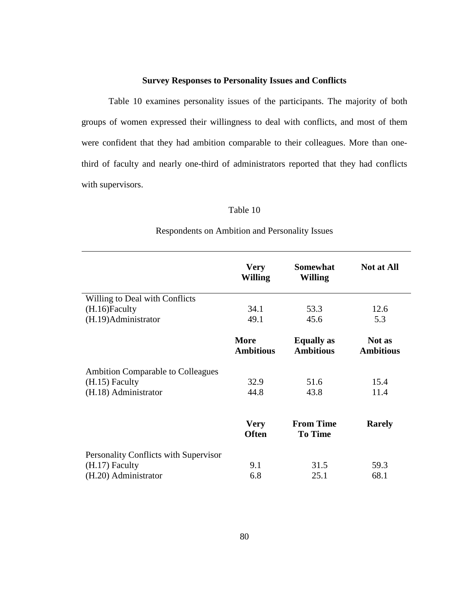### **Survey Responses to Personality Issues and Conflicts**

 Table 10 examines personality issues of the participants. The majority of both groups of women expressed their willingness to deal with conflicts, and most of them were confident that they had ambition comparable to their colleagues. More than onethird of faculty and nearly one-third of administrators reported that they had conflicts with supervisors.

### Table 10

|                                       | <b>Very</b><br><b>Willing</b>   | <b>Somewhat</b><br><b>Willing</b>     | <b>Not at All</b>          |
|---------------------------------------|---------------------------------|---------------------------------------|----------------------------|
| Willing to Deal with Conflicts        |                                 |                                       |                            |
| (H.16)Faculty                         | 34.1                            | 53.3                                  | 12.6                       |
| (H.19) Administrator                  | 49.1                            | 45.6                                  | 5.3                        |
|                                       | <b>More</b><br><b>Ambitious</b> | <b>Equally</b> as<br><b>Ambitious</b> | Not as<br><b>Ambitious</b> |
| Ambition Comparable to Colleagues     |                                 |                                       |                            |
| $(H.15)$ Faculty                      | 32.9                            | 51.6                                  | 15.4                       |
| (H.18) Administrator                  | 44.8                            | 43.8                                  | 11.4                       |
|                                       | <b>Very</b><br><b>Often</b>     | <b>From Time</b><br><b>To Time</b>    | <b>Rarely</b>              |
| Personality Conflicts with Supervisor |                                 |                                       |                            |
| $(H.17)$ Faculty                      | 9.1                             | 31.5                                  | 59.3                       |
| (H.20) Administrator                  | 6.8                             | 25.1                                  | 68.1                       |

### Respondents on Ambition and Personality Issues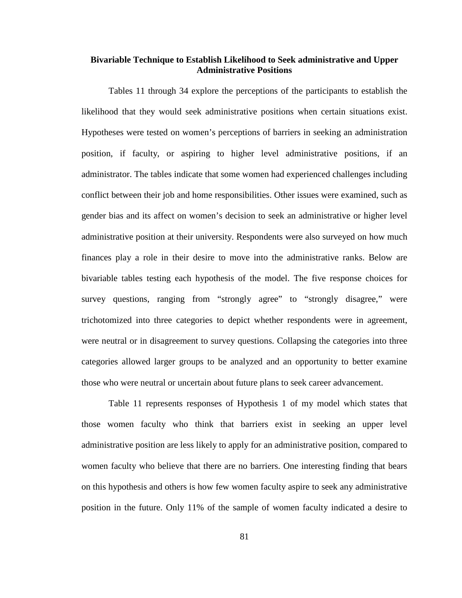### **Bivariable Technique to Establish Likelihood to Seek administrative and Upper Administrative Positions**

Tables 11 through 34 explore the perceptions of the participants to establish the likelihood that they would seek administrative positions when certain situations exist. Hypotheses were tested on women's perceptions of barriers in seeking an administration position, if faculty, or aspiring to higher level administrative positions, if an administrator. The tables indicate that some women had experienced challenges including conflict between their job and home responsibilities. Other issues were examined, such as gender bias and its affect on women's decision to seek an administrative or higher level administrative position at their university. Respondents were also surveyed on how much finances play a role in their desire to move into the administrative ranks. Below are bivariable tables testing each hypothesis of the model. The five response choices for survey questions, ranging from "strongly agree" to "strongly disagree," were trichotomized into three categories to depict whether respondents were in agreement, were neutral or in disagreement to survey questions. Collapsing the categories into three categories allowed larger groups to be analyzed and an opportunity to better examine those who were neutral or uncertain about future plans to seek career advancement.

Table 11 represents responses of Hypothesis 1 of my model which states that those women faculty who think that barriers exist in seeking an upper level administrative position are less likely to apply for an administrative position, compared to women faculty who believe that there are no barriers. One interesting finding that bears on this hypothesis and others is how few women faculty aspire to seek any administrative position in the future. Only 11% of the sample of women faculty indicated a desire to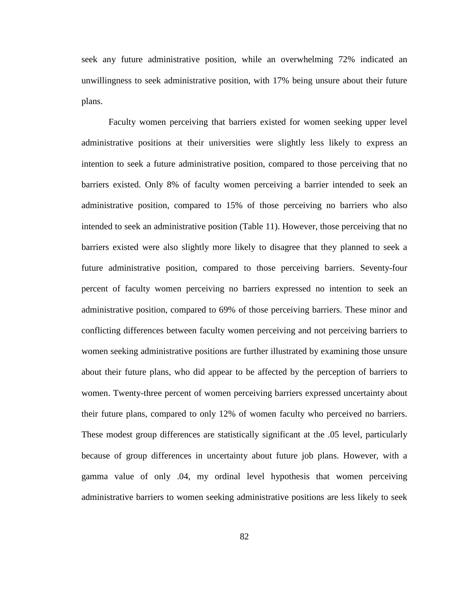seek any future administrative position, while an overwhelming 72% indicated an unwillingness to seek administrative position, with 17% being unsure about their future plans.

Faculty women perceiving that barriers existed for women seeking upper level administrative positions at their universities were slightly less likely to express an intention to seek a future administrative position, compared to those perceiving that no barriers existed. Only 8% of faculty women perceiving a barrier intended to seek an administrative position, compared to 15% of those perceiving no barriers who also intended to seek an administrative position (Table 11). However, those perceiving that no barriers existed were also slightly more likely to disagree that they planned to seek a future administrative position, compared to those perceiving barriers. Seventy-four percent of faculty women perceiving no barriers expressed no intention to seek an administrative position, compared to 69% of those perceiving barriers. These minor and conflicting differences between faculty women perceiving and not perceiving barriers to women seeking administrative positions are further illustrated by examining those unsure about their future plans, who did appear to be affected by the perception of barriers to women. Twenty-three percent of women perceiving barriers expressed uncertainty about their future plans, compared to only 12% of women faculty who perceived no barriers. These modest group differences are statistically significant at the .05 level, particularly because of group differences in uncertainty about future job plans. However, with a gamma value of only .04, my ordinal level hypothesis that women perceiving administrative barriers to women seeking administrative positions are less likely to seek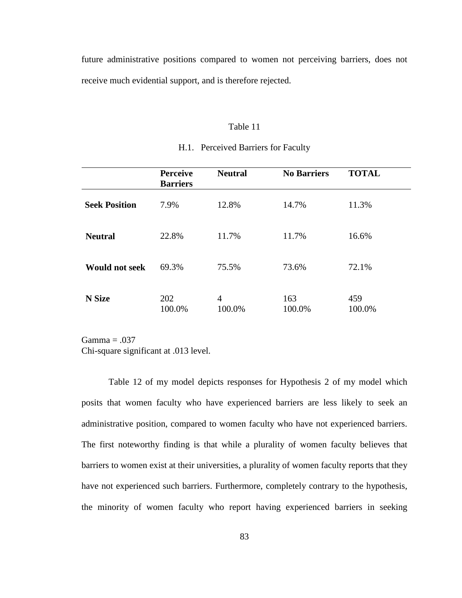future administrative positions compared to women not perceiving barriers, does not receive much evidential support, and is therefore rejected.

### Table 11

|                       | <b>Perceive</b><br><b>Barriers</b> | <b>Neutral</b> | <b>No Barriers</b> | <b>TOTAL</b>  |
|-----------------------|------------------------------------|----------------|--------------------|---------------|
| <b>Seek Position</b>  | 7.9%                               | 12.8%          | 14.7%              | 11.3%         |
| <b>Neutral</b>        | 22.8%                              | 11.7%          | 11.7%              | 16.6%         |
| <b>Would not seek</b> | 69.3%                              | 75.5%          | 73.6%              | 72.1%         |
| N Size                | 202<br>100.0%                      | 4<br>100.0%    | 163<br>100.0%      | 459<br>100.0% |

### H.1. Perceived Barriers for Faculty

 $Gamma = .037$ Chi-square significant at .013 level.

Table 12 of my model depicts responses for Hypothesis 2 of my model which posits that women faculty who have experienced barriers are less likely to seek an administrative position, compared to women faculty who have not experienced barriers. The first noteworthy finding is that while a plurality of women faculty believes that barriers to women exist at their universities, a plurality of women faculty reports that they have not experienced such barriers. Furthermore, completely contrary to the hypothesis, the minority of women faculty who report having experienced barriers in seeking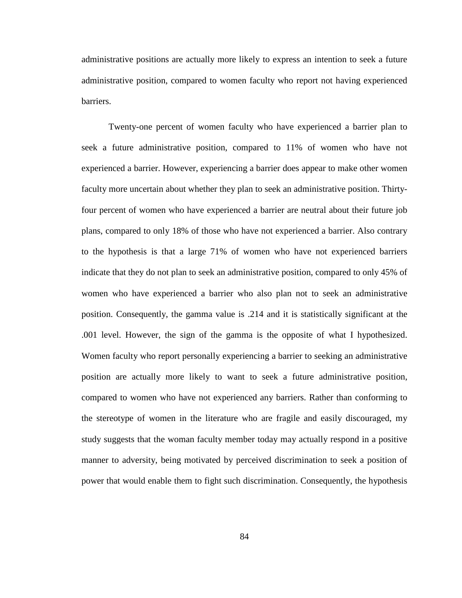administrative positions are actually more likely to express an intention to seek a future administrative position, compared to women faculty who report not having experienced barriers.

Twenty-one percent of women faculty who have experienced a barrier plan to seek a future administrative position, compared to 11% of women who have not experienced a barrier. However, experiencing a barrier does appear to make other women faculty more uncertain about whether they plan to seek an administrative position. Thirtyfour percent of women who have experienced a barrier are neutral about their future job plans, compared to only 18% of those who have not experienced a barrier. Also contrary to the hypothesis is that a large 71% of women who have not experienced barriers indicate that they do not plan to seek an administrative position, compared to only 45% of women who have experienced a barrier who also plan not to seek an administrative position. Consequently, the gamma value is .214 and it is statistically significant at the .001 level. However, the sign of the gamma is the opposite of what I hypothesized. Women faculty who report personally experiencing a barrier to seeking an administrative position are actually more likely to want to seek a future administrative position, compared to women who have not experienced any barriers. Rather than conforming to the stereotype of women in the literature who are fragile and easily discouraged, my study suggests that the woman faculty member today may actually respond in a positive manner to adversity, being motivated by perceived discrimination to seek a position of power that would enable them to fight such discrimination. Consequently, the hypothesis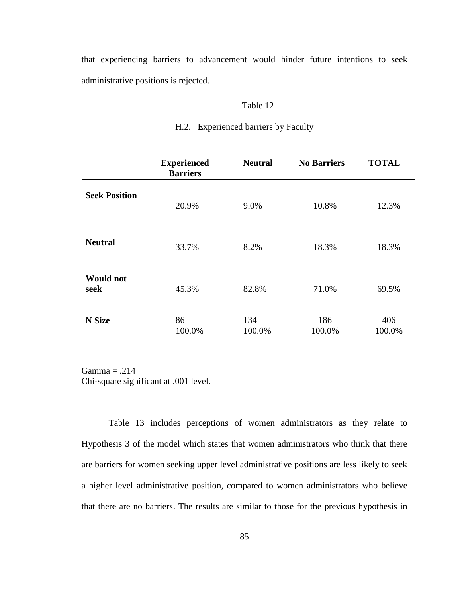that experiencing barriers to advancement would hinder future intentions to seek administrative positions is rejected.

### Table 12

|                          | <b>Experienced</b><br><b>Barriers</b> | <b>Neutral</b> | <b>No Barriers</b> | <b>TOTAL</b>  |
|--------------------------|---------------------------------------|----------------|--------------------|---------------|
| <b>Seek Position</b>     | 20.9%                                 | 9.0%           | 10.8%              | 12.3%         |
| <b>Neutral</b>           | 33.7%                                 | 8.2%           | 18.3%              | 18.3%         |
| <b>Would not</b><br>seek | 45.3%                                 | 82.8%          | 71.0%              | 69.5%         |
| <b>N</b> Size            | 86<br>100.0%                          | 134<br>100.0%  | 186<br>100.0%      | 406<br>100.0% |

### H.2. Experienced barriers by Faculty

 $Gamma = .214$ 

\_\_\_\_\_\_\_\_\_\_\_\_\_\_\_\_\_\_

Chi-square significant at .001 level.

Table 13 includes perceptions of women administrators as they relate to Hypothesis 3 of the model which states that women administrators who think that there are barriers for women seeking upper level administrative positions are less likely to seek a higher level administrative position, compared to women administrators who believe that there are no barriers. The results are similar to those for the previous hypothesis in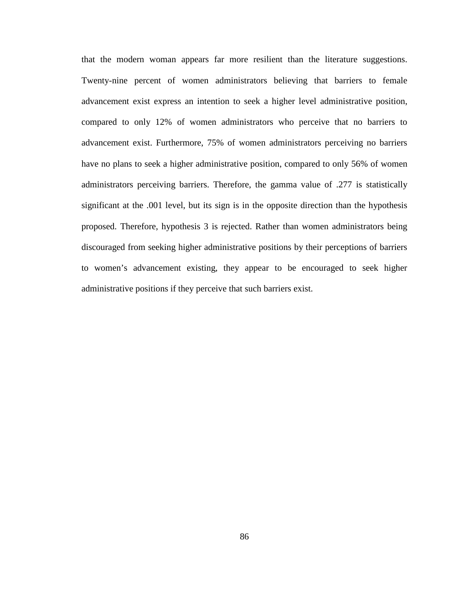that the modern woman appears far more resilient than the literature suggestions. Twenty-nine percent of women administrators believing that barriers to female advancement exist express an intention to seek a higher level administrative position, compared to only 12% of women administrators who perceive that no barriers to advancement exist. Furthermore, 75% of women administrators perceiving no barriers have no plans to seek a higher administrative position, compared to only 56% of women administrators perceiving barriers. Therefore, the gamma value of .277 is statistically significant at the .001 level, but its sign is in the opposite direction than the hypothesis proposed. Therefore, hypothesis 3 is rejected. Rather than women administrators being discouraged from seeking higher administrative positions by their perceptions of barriers to women's advancement existing, they appear to be encouraged to seek higher administrative positions if they perceive that such barriers exist.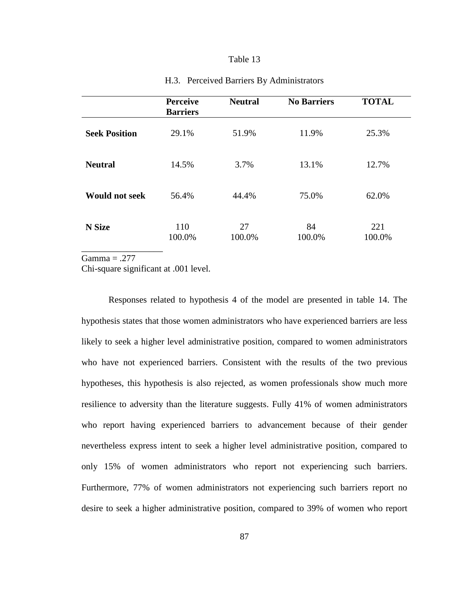#### Table 13

|                       | <b>Perceive</b><br><b>Barriers</b> | <b>Neutral</b> | <b>No Barriers</b> | <b>TOTAL</b>  |
|-----------------------|------------------------------------|----------------|--------------------|---------------|
| <b>Seek Position</b>  | 29.1%                              | 51.9%          | 11.9%              | 25.3%         |
| <b>Neutral</b>        | 14.5%                              | 3.7%           | 13.1%              | 12.7%         |
| <b>Would not seek</b> | 56.4%                              | 44.4%          | 75.0%              | 62.0%         |
| N Size                | 110<br>100.0%                      | 27<br>100.0%   | 84<br>100.0%       | 221<br>100.0% |

#### H.3. Perceived Barriers By Administrators

 $Gamma = .277$ 

Chi-square significant at .001 level.

Responses related to hypothesis 4 of the model are presented in table 14. The hypothesis states that those women administrators who have experienced barriers are less likely to seek a higher level administrative position, compared to women administrators who have not experienced barriers. Consistent with the results of the two previous hypotheses, this hypothesis is also rejected, as women professionals show much more resilience to adversity than the literature suggests. Fully 41% of women administrators who report having experienced barriers to advancement because of their gender nevertheless express intent to seek a higher level administrative position, compared to only 15% of women administrators who report not experiencing such barriers. Furthermore, 77% of women administrators not experiencing such barriers report no desire to seek a higher administrative position, compared to 39% of women who report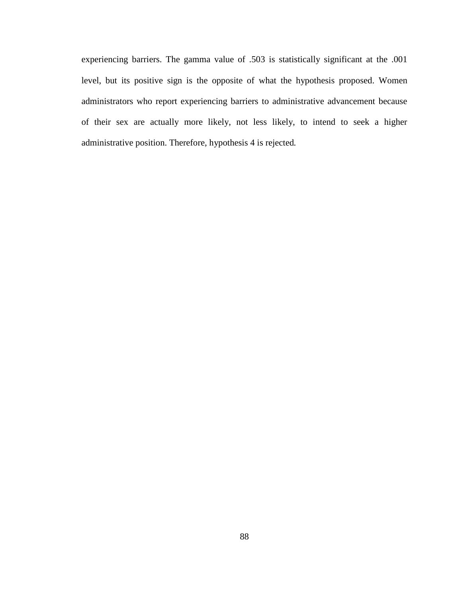experiencing barriers. The gamma value of .503 is statistically significant at the .001 level, but its positive sign is the opposite of what the hypothesis proposed. Women administrators who report experiencing barriers to administrative advancement because of their sex are actually more likely, not less likely, to intend to seek a higher administrative position. Therefore, hypothesis 4 is rejected*.*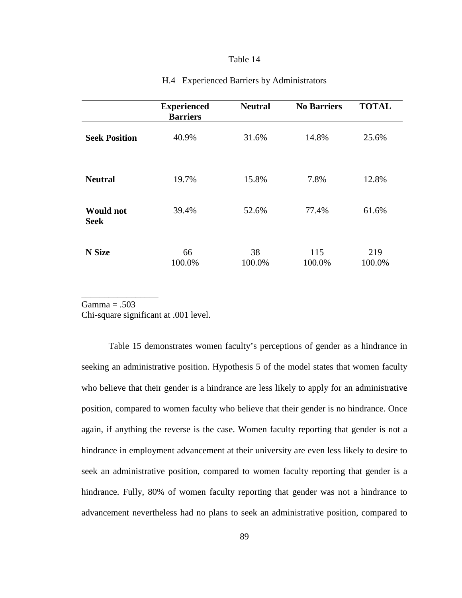### Table 14

|                                 | <b>Experienced</b><br><b>Barriers</b> | <b>Neutral</b> | <b>No Barriers</b> | <b>TOTAL</b>  |  |
|---------------------------------|---------------------------------------|----------------|--------------------|---------------|--|
| <b>Seek Position</b>            | 40.9%                                 | 31.6%          | 14.8%              | 25.6%         |  |
| <b>Neutral</b>                  | 19.7%                                 | 15.8%          | 7.8%               | 12.8%         |  |
| <b>Would not</b><br><b>Seek</b> | 39.4%                                 | 52.6%          | 77.4%              | 61.6%         |  |
| <b>N</b> Size                   | 66<br>100.0%                          | 38<br>100.0%   | 115<br>100.0%      | 219<br>100.0% |  |

### H.4 Experienced Barriers by Administrators

 $Gamma = .503$ 

\_\_\_\_\_\_\_\_\_\_\_\_\_\_\_\_\_

Chi-square significant at .001 level.

Table 15 demonstrates women faculty's perceptions of gender as a hindrance in seeking an administrative position. Hypothesis 5 of the model states that women faculty who believe that their gender is a hindrance are less likely to apply for an administrative position, compared to women faculty who believe that their gender is no hindrance. Once again, if anything the reverse is the case. Women faculty reporting that gender is not a hindrance in employment advancement at their university are even less likely to desire to seek an administrative position, compared to women faculty reporting that gender is a hindrance. Fully, 80% of women faculty reporting that gender was not a hindrance to advancement nevertheless had no plans to seek an administrative position, compared to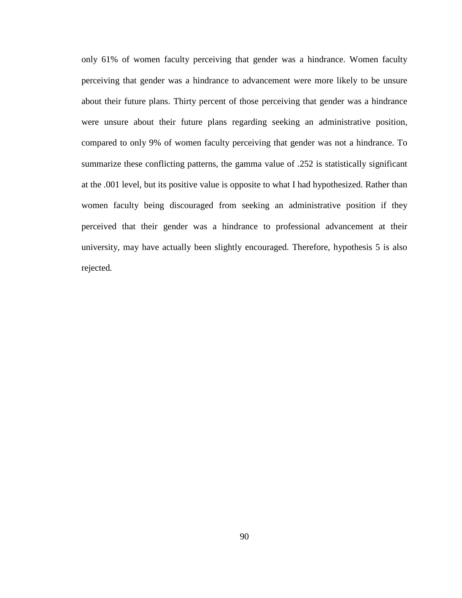only 61% of women faculty perceiving that gender was a hindrance. Women faculty perceiving that gender was a hindrance to advancement were more likely to be unsure about their future plans. Thirty percent of those perceiving that gender was a hindrance were unsure about their future plans regarding seeking an administrative position, compared to only 9% of women faculty perceiving that gender was not a hindrance. To summarize these conflicting patterns, the gamma value of .252 is statistically significant at the .001 level, but its positive value is opposite to what I had hypothesized. Rather than women faculty being discouraged from seeking an administrative position if they perceived that their gender was a hindrance to professional advancement at their university, may have actually been slightly encouraged. Therefore, hypothesis 5 is also rejected*.*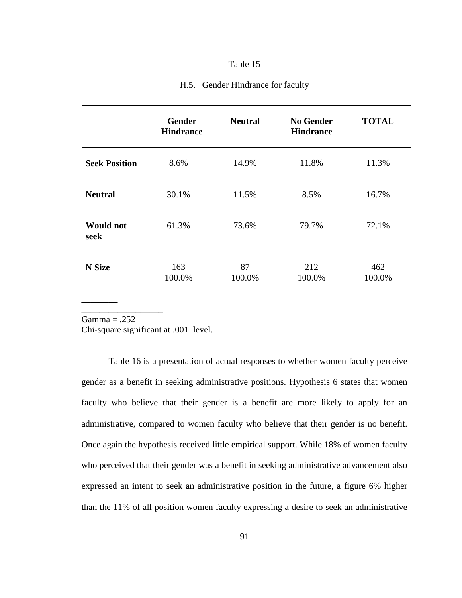#### Table 15

|                          | <b>Gender</b><br><b>Hindrance</b> | <b>Neutral</b> | <b>No Gender</b><br><b>Hindrance</b> | <b>TOTAL</b> |
|--------------------------|-----------------------------------|----------------|--------------------------------------|--------------|
| <b>Seek Position</b>     | 8.6%                              | 14.9%          | 11.8%                                | 11.3%        |
| <b>Neutral</b>           | 30.1%                             | 11.5%          | 8.5%                                 | 16.7%        |
| <b>Would not</b><br>seek | 61.3%                             | 73.6%          | 79.7%                                | 72.1%        |

87 100.0%

212 100.0%

462 100.0%

### H.5. Gender Hindrance for faculty

 $Gamma = .252$ 

\_\_\_\_\_\_\_\_\_\_\_\_\_\_\_\_\_\_

**N Size** 

**\_\_\_\_\_\_\_\_** 

Chi-square significant at .001 level.

163 100.0%

Table 16 is a presentation of actual responses to whether women faculty perceive gender as a benefit in seeking administrative positions. Hypothesis 6 states that women faculty who believe that their gender is a benefit are more likely to apply for an administrative, compared to women faculty who believe that their gender is no benefit. Once again the hypothesis received little empirical support. While 18% of women faculty who perceived that their gender was a benefit in seeking administrative advancement also expressed an intent to seek an administrative position in the future, a figure 6% higher than the 11% of all position women faculty expressing a desire to seek an administrative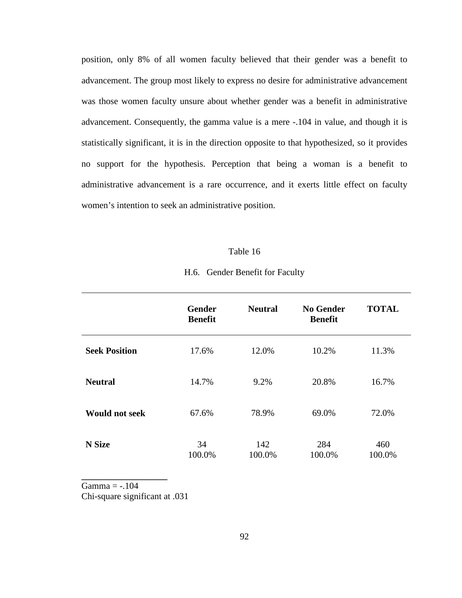position, only 8% of all women faculty believed that their gender was a benefit to advancement. The group most likely to express no desire for administrative advancement was those women faculty unsure about whether gender was a benefit in administrative advancement. Consequently, the gamma value is a mere -.104 in value, and though it is statistically significant, it is in the direction opposite to that hypothesized, so it provides no support for the hypothesis. Perception that being a woman is a benefit to administrative advancement is a rare occurrence, and it exerts little effect on faculty women's intention to seek an administrative position.

#### Table 16

| H.6. Gender Benefit for Faculty |  |
|---------------------------------|--|
|                                 |  |

|                       | <b>Gender</b><br><b>Benefit</b> | <b>Neutral</b> | <b>No Gender</b><br><b>Benefit</b> | <b>TOTAL</b>  |
|-----------------------|---------------------------------|----------------|------------------------------------|---------------|
| <b>Seek Position</b>  | 17.6%                           | 12.0%          | 10.2%                              | 11.3%         |
| <b>Neutral</b>        | 14.7%                           | 9.2%           | 20.8%                              | 16.7%         |
| <b>Would not seek</b> | 67.6%                           | 78.9%          | 69.0%                              | 72.0%         |
| <b>N</b> Size         | 34<br>100.0%                    | 142<br>100.0%  | 284<br>100.0%                      | 460<br>100.0% |

Gamma  $= -.104$ Chi-square significant at .031

**\_\_\_\_\_\_\_\_\_\_\_\_\_\_\_\_\_\_\_**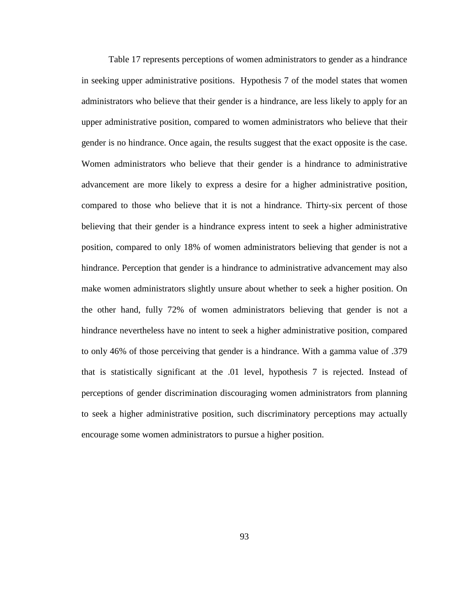Table 17 represents perceptions of women administrators to gender as a hindrance in seeking upper administrative positions. Hypothesis 7 of the model states that women administrators who believe that their gender is a hindrance, are less likely to apply for an upper administrative position, compared to women administrators who believe that their gender is no hindrance. Once again, the results suggest that the exact opposite is the case. Women administrators who believe that their gender is a hindrance to administrative advancement are more likely to express a desire for a higher administrative position, compared to those who believe that it is not a hindrance. Thirty-six percent of those believing that their gender is a hindrance express intent to seek a higher administrative position, compared to only 18% of women administrators believing that gender is not a hindrance. Perception that gender is a hindrance to administrative advancement may also make women administrators slightly unsure about whether to seek a higher position. On the other hand, fully 72% of women administrators believing that gender is not a hindrance nevertheless have no intent to seek a higher administrative position, compared to only 46% of those perceiving that gender is a hindrance. With a gamma value of .379 that is statistically significant at the .01 level, hypothesis 7 is rejected. Instead of perceptions of gender discrimination discouraging women administrators from planning to seek a higher administrative position, such discriminatory perceptions may actually encourage some women administrators to pursue a higher position.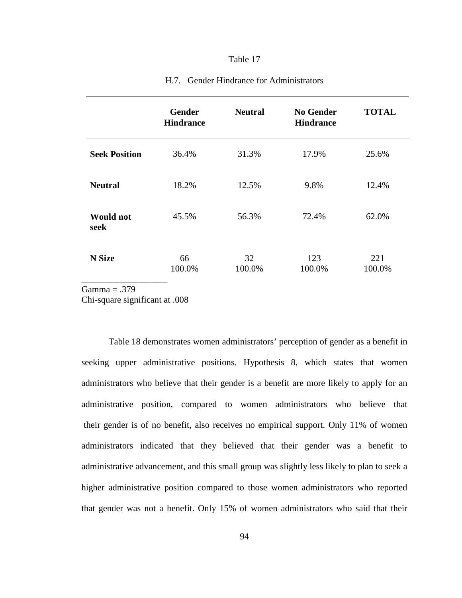### Table 17

|                          | <b>Gender</b><br><b>Hindrance</b> | <b>Neutral</b> | <b>No Gender</b><br><b>Hindrance</b> | <b>TOTAL</b>  |
|--------------------------|-----------------------------------|----------------|--------------------------------------|---------------|
| <b>Seek Position</b>     | 36.4%                             | 31.3%          | 17.9%                                | 25.6%         |
| <b>Neutral</b>           | 18.2%                             | 12.5%          | 9.8%                                 | 12.4%         |
| <b>Would not</b><br>seek | 45.5%                             | 56.3%          | 72.4%                                | 62.0%         |
| <b>N</b> Size            | 66<br>100.0%                      | 32<br>100.0%   | 123<br>100.0%                        | 221<br>100.0% |

### H.7. Gender Hindrance for Administrators

 $Gamma = .379$ 

Chi-square significant at .008

 Table 18 demonstrates women administrators' perception of gender as a benefit in seeking upper administrative positions. Hypothesis 8, which states that women administrators who believe that their gender is a benefit are more likely to apply for an administrative position, compared to women administrators who believe that their gender is of no benefit, also receives no empirical support. Only 11% of women administrators indicated that they believed that their gender was a benefit to administrative advancement, and this small group was slightly less likely to plan to seek a higher administrative position compared to those women administrators who reported that gender was not a benefit. Only 15% of women administrators who said that their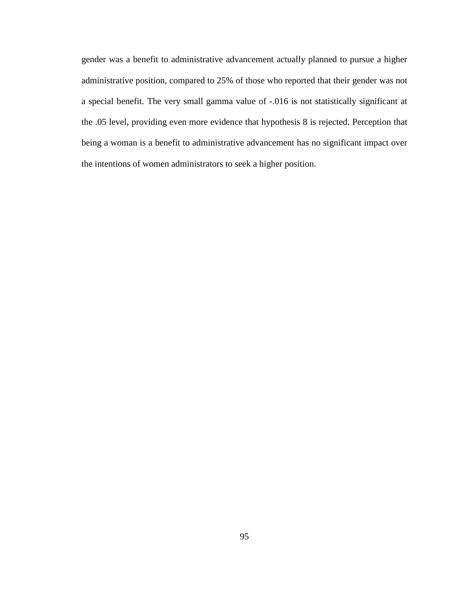gender was a benefit to administrative advancement actually planned to pursue a higher administrative position, compared to 25% of those who reported that their gender was not a special benefit. The very small gamma value of -.016 is not statistically significant at the .05 level, providing even more evidence that hypothesis 8 is rejected. Perception that being a woman is a benefit to administrative advancement has no significant impact over the intentions of women administrators to seek a higher position.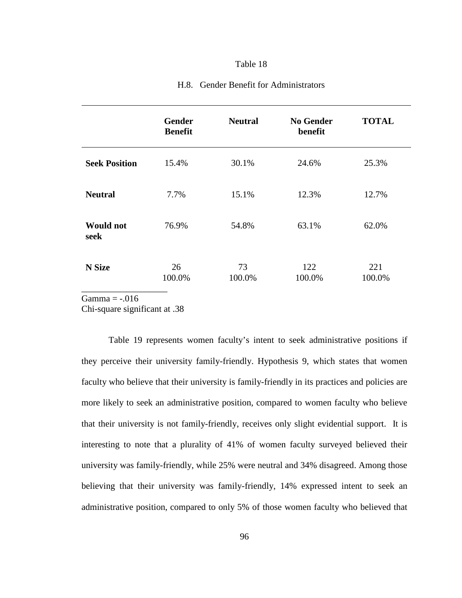|                          | <b>Gender</b><br><b>Benefit</b> | <b>Neutral</b> | <b>No Gender</b><br>benefit | <b>TOTAL</b>  |
|--------------------------|---------------------------------|----------------|-----------------------------|---------------|
| <b>Seek Position</b>     | 15.4%                           | 30.1%          | 24.6%                       | 25.3%         |
| <b>Neutral</b>           | 7.7%                            | 15.1%          | 12.3%                       | 12.7%         |
| <b>Would not</b><br>seek | 76.9%                           | 54.8%          | 63.1%                       | 62.0%         |
| <b>N</b> Size            | 26<br>100.0%                    | 73<br>100.0%   | 122<br>100.0%               | 221<br>100.0% |

# H.8. Gender Benefit for Administrators

Gamma  $=$  -.016

Chi-square significant at .38

Table 19 represents women faculty's intent to seek administrative positions if they perceive their university family-friendly. Hypothesis 9, which states that women faculty who believe that their university is family-friendly in its practices and policies are more likely to seek an administrative position, compared to women faculty who believe that their university is not family-friendly, receives only slight evidential support. It is interesting to note that a plurality of 41% of women faculty surveyed believed their university was family-friendly, while 25% were neutral and 34% disagreed. Among those believing that their university was family-friendly, 14% expressed intent to seek an administrative position, compared to only 5% of those women faculty who believed that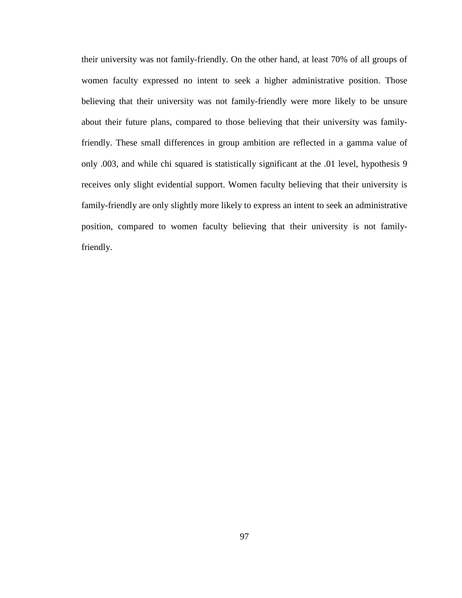their university was not family-friendly. On the other hand, at least 70% of all groups of women faculty expressed no intent to seek a higher administrative position. Those believing that their university was not family-friendly were more likely to be unsure about their future plans, compared to those believing that their university was familyfriendly. These small differences in group ambition are reflected in a gamma value of only .003, and while chi squared is statistically significant at the .01 level, hypothesis 9 receives only slight evidential support. Women faculty believing that their university is family-friendly are only slightly more likely to express an intent to seek an administrative position, compared to women faculty believing that their university is not familyfriendly.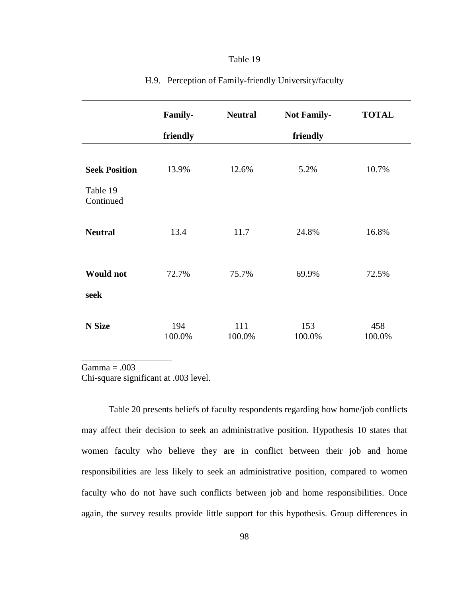|                                               | Family-       | <b>Neutral</b> | <b>Not Family-</b> | <b>TOTAL</b>  |
|-----------------------------------------------|---------------|----------------|--------------------|---------------|
|                                               | friendly      |                | friendly           |               |
| <b>Seek Position</b><br>Table 19<br>Continued | 13.9%         | 12.6%          | 5.2%               | 10.7%         |
| <b>Neutral</b>                                | 13.4          | 11.7           | 24.8%              | 16.8%         |
| <b>Would not</b><br>seek                      | 72.7%         | 75.7%          | 69.9%              | 72.5%         |
| N Size                                        | 194<br>100.0% | 111<br>100.0%  | 153<br>100.0%      | 458<br>100.0% |

# H.9. Perception of Family-friendly University/faculty

 $Gamma = .003$ 

\_\_\_\_\_\_\_\_\_\_\_\_\_\_\_\_\_\_\_\_

Chi-square significant at .003 level.

Table 20 presents beliefs of faculty respondents regarding how home/job conflicts may affect their decision to seek an administrative position. Hypothesis 10 states that women faculty who believe they are in conflict between their job and home responsibilities are less likely to seek an administrative position, compared to women faculty who do not have such conflicts between job and home responsibilities. Once again, the survey results provide little support for this hypothesis. Group differences in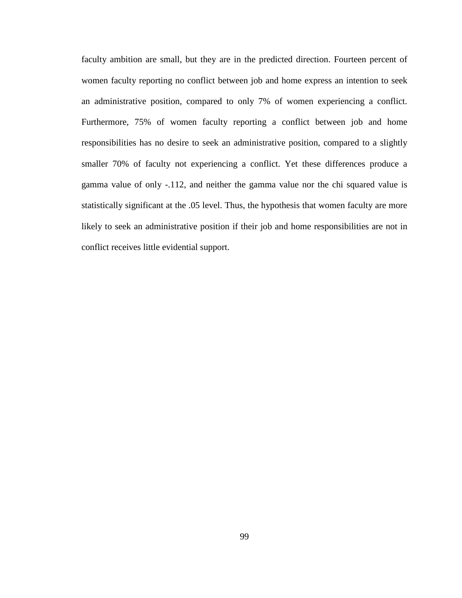faculty ambition are small, but they are in the predicted direction. Fourteen percent of women faculty reporting no conflict between job and home express an intention to seek an administrative position, compared to only 7% of women experiencing a conflict. Furthermore, 75% of women faculty reporting a conflict between job and home responsibilities has no desire to seek an administrative position, compared to a slightly smaller 70% of faculty not experiencing a conflict. Yet these differences produce a gamma value of only -.112, and neither the gamma value nor the chi squared value is statistically significant at the .05 level. Thus, the hypothesis that women faculty are more likely to seek an administrative position if their job and home responsibilities are not in conflict receives little evidential support.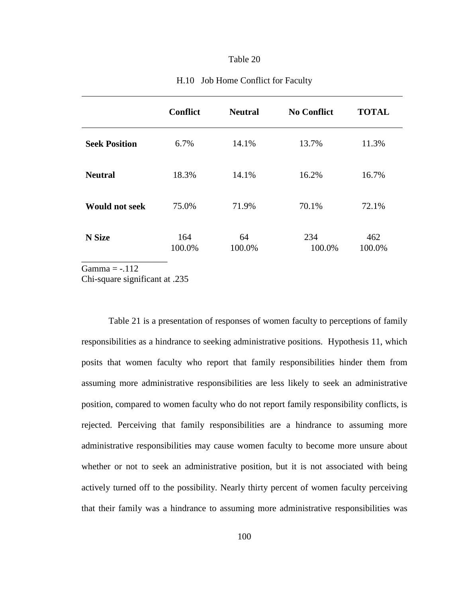|                       | <b>Conflict</b> | <b>Neutral</b> | <b>No Conflict</b> | <b>TOTAL</b>  |
|-----------------------|-----------------|----------------|--------------------|---------------|
| <b>Seek Position</b>  | 6.7%            | 14.1%          | 13.7%              | 11.3%         |
| <b>Neutral</b>        | 18.3%           | 14.1%          | 16.2%              | 16.7%         |
| <b>Would not seek</b> | 75.0%           | 71.9%          | 70.1%              | 72.1%         |
| <b>N</b> Size         | 164<br>100.0%   | 64<br>100.0%   | 234<br>100.0%      | 462<br>100.0% |

#### H.10 Job Home Conflict for Faculty

Gamma  $= -.112$ 

Chi-square significant at .235

Table 21 is a presentation of responses of women faculty to perceptions of family responsibilities as a hindrance to seeking administrative positions. Hypothesis 11, which posits that women faculty who report that family responsibilities hinder them from assuming more administrative responsibilities are less likely to seek an administrative position, compared to women faculty who do not report family responsibility conflicts, is rejected. Perceiving that family responsibilities are a hindrance to assuming more administrative responsibilities may cause women faculty to become more unsure about whether or not to seek an administrative position, but it is not associated with being actively turned off to the possibility. Nearly thirty percent of women faculty perceiving that their family was a hindrance to assuming more administrative responsibilities was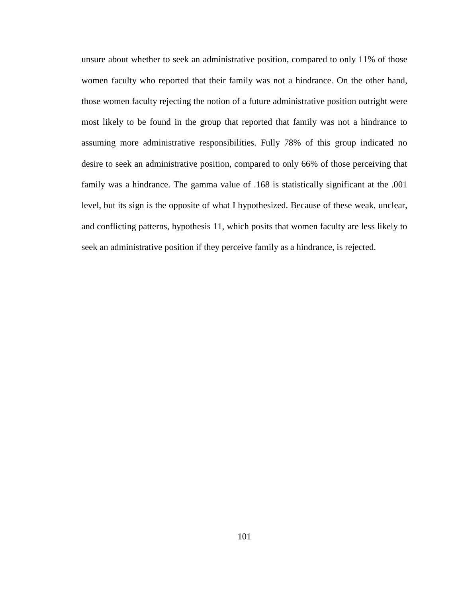unsure about whether to seek an administrative position, compared to only 11% of those women faculty who reported that their family was not a hindrance. On the other hand, those women faculty rejecting the notion of a future administrative position outright were most likely to be found in the group that reported that family was not a hindrance to assuming more administrative responsibilities. Fully 78% of this group indicated no desire to seek an administrative position, compared to only 66% of those perceiving that family was a hindrance. The gamma value of .168 is statistically significant at the .001 level, but its sign is the opposite of what I hypothesized. Because of these weak, unclear, and conflicting patterns, hypothesis 11, which posits that women faculty are less likely to seek an administrative position if they perceive family as a hindrance, is rejected.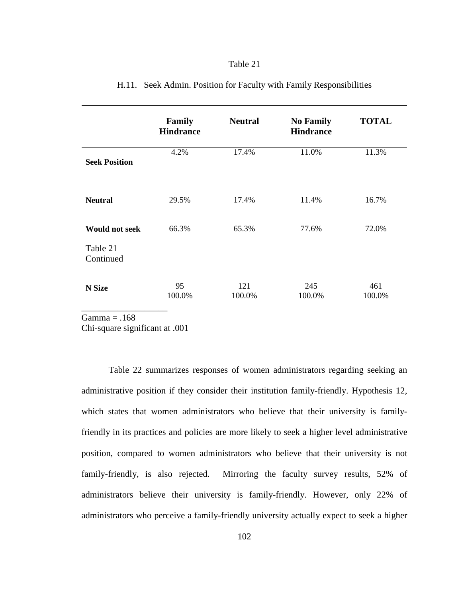|                       | Family<br><b>Hindrance</b> | <b>Neutral</b> | <b>No Family</b><br><b>Hindrance</b> | <b>TOTAL</b>  |
|-----------------------|----------------------------|----------------|--------------------------------------|---------------|
| <b>Seek Position</b>  | 4.2%                       | 17.4%          | 11.0%                                | 11.3%         |
| <b>Neutral</b>        | 29.5%                      | 17.4%          | 11.4%                                | 16.7%         |
| <b>Would not seek</b> | 66.3%                      | 65.3%          | 77.6%                                | 72.0%         |
| Table 21<br>Continued |                            |                |                                      |               |
| N Size                | 95<br>100.0%               | 121<br>100.0%  | 245<br>100.0%                        | 461<br>100.0% |

## H.11. Seek Admin. Position for Faculty with Family Responsibilities

 $Gamma = .168$ 

Chi-square significant at .001

 Table 22 summarizes responses of women administrators regarding seeking an administrative position if they consider their institution family-friendly. Hypothesis 12, which states that women administrators who believe that their university is familyfriendly in its practices and policies are more likely to seek a higher level administrative position, compared to women administrators who believe that their university is not family-friendly, is also rejected. Mirroring the faculty survey results, 52% of administrators believe their university is family-friendly. However, only 22% of administrators who perceive a family-friendly university actually expect to seek a higher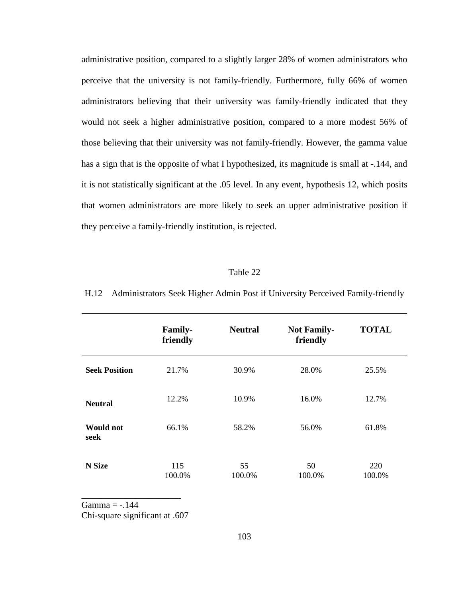administrative position, compared to a slightly larger 28% of women administrators who perceive that the university is not family-friendly. Furthermore, fully 66% of women administrators believing that their university was family-friendly indicated that they would not seek a higher administrative position, compared to a more modest 56% of those believing that their university was not family-friendly. However, the gamma value has a sign that is the opposite of what I hypothesized, its magnitude is small at -.144, and it is not statistically significant at the .05 level. In any event, hypothesis 12, which posits that women administrators are more likely to seek an upper administrative position if they perceive a family-friendly institution, is rejected.

#### Table 22

H.12 Administrators Seek Higher Admin Post if University Perceived Family-friendly

|                          | <b>Family-</b><br>friendly | <b>Neutral</b> | <b>Not Family-</b><br>friendly | <b>TOTAL</b>  |
|--------------------------|----------------------------|----------------|--------------------------------|---------------|
| <b>Seek Position</b>     | 21.7%                      | 30.9%          | 28.0%                          | 25.5%         |
| <b>Neutral</b>           | 12.2%                      | 10.9%          | 16.0%                          | 12.7%         |
| <b>Would not</b><br>seek | 66.1%                      | 58.2%          | 56.0%                          | 61.8%         |
| N Size                   | 115<br>100.0%              | 55<br>100.0%   | 50<br>100.0%                   | 220<br>100.0% |

 $Gamma = -.144$ 

Chi-square significant at .607

\_\_\_\_\_\_\_\_\_\_\_\_\_\_\_\_\_\_\_\_\_\_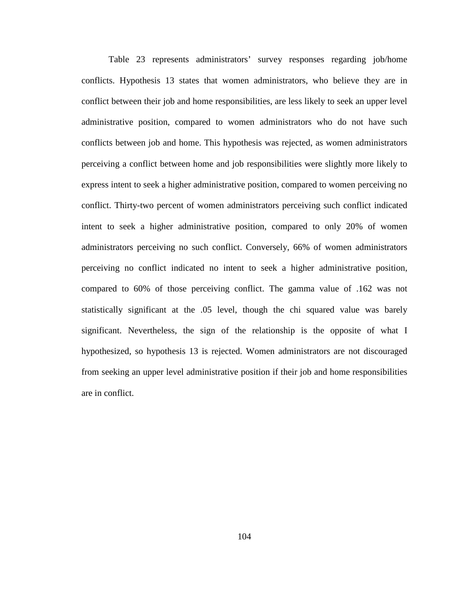Table 23 represents administrators' survey responses regarding job/home conflicts. Hypothesis 13 states that women administrators, who believe they are in conflict between their job and home responsibilities, are less likely to seek an upper level administrative position, compared to women administrators who do not have such conflicts between job and home. This hypothesis was rejected, as women administrators perceiving a conflict between home and job responsibilities were slightly more likely to express intent to seek a higher administrative position, compared to women perceiving no conflict. Thirty-two percent of women administrators perceiving such conflict indicated intent to seek a higher administrative position, compared to only 20% of women administrators perceiving no such conflict. Conversely, 66% of women administrators perceiving no conflict indicated no intent to seek a higher administrative position, compared to 60% of those perceiving conflict. The gamma value of .162 was not statistically significant at the .05 level, though the chi squared value was barely significant. Nevertheless, the sign of the relationship is the opposite of what I hypothesized, so hypothesis 13 is rejected. Women administrators are not discouraged from seeking an upper level administrative position if their job and home responsibilities are in conflict.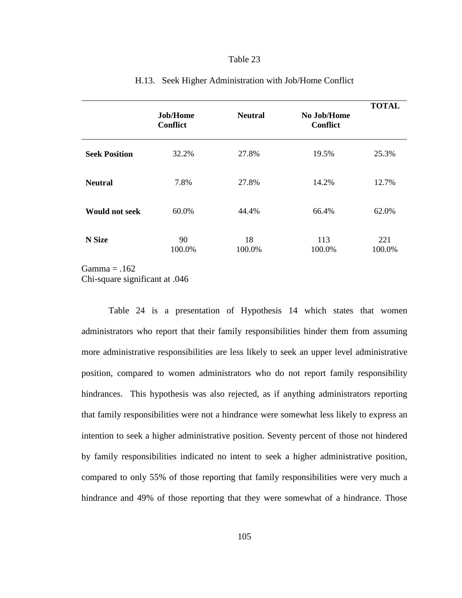|                       | Job/Home<br><b>Conflict</b> | <b>Neutral</b> | No Job/Home<br><b>Conflict</b> | <b>TOTAL</b>  |
|-----------------------|-----------------------------|----------------|--------------------------------|---------------|
| <b>Seek Position</b>  | 32.2%                       | 27.8%          | 19.5%                          | 25.3%         |
| <b>Neutral</b>        | 7.8%                        | 27.8%          | 14.2%                          | 12.7%         |
| <b>Would not seek</b> | 60.0%                       | 44.4%          | 66.4%                          | 62.0%         |
| <b>N</b> Size         | 90<br>100.0%                | 18<br>100.0%   | 113<br>100.0%                  | 221<br>100.0% |

#### H.13. Seek Higher Administration with Job/Home Conflict

 $Gamma = .162$ 

Chi-square significant at .046

Table 24 is a presentation of Hypothesis 14 which states that women administrators who report that their family responsibilities hinder them from assuming more administrative responsibilities are less likely to seek an upper level administrative position, compared to women administrators who do not report family responsibility hindrances. This hypothesis was also rejected, as if anything administrators reporting that family responsibilities were not a hindrance were somewhat less likely to express an intention to seek a higher administrative position. Seventy percent of those not hindered by family responsibilities indicated no intent to seek a higher administrative position, compared to only 55% of those reporting that family responsibilities were very much a hindrance and 49% of those reporting that they were somewhat of a hindrance. Those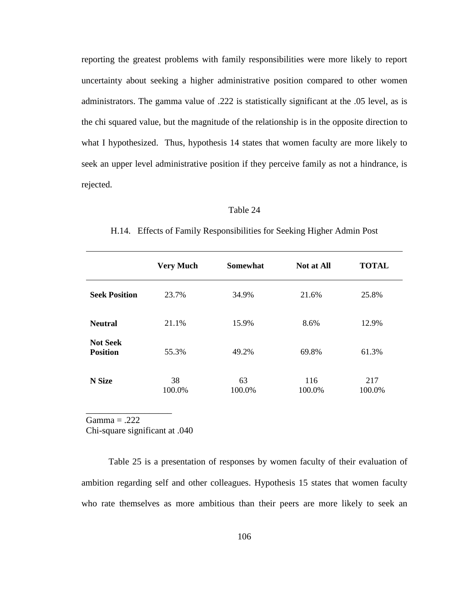reporting the greatest problems with family responsibilities were more likely to report uncertainty about seeking a higher administrative position compared to other women administrators. The gamma value of .222 is statistically significant at the .05 level, as is the chi squared value, but the magnitude of the relationship is in the opposite direction to what I hypothesized. Thus, hypothesis 14 states that women faculty are more likely to seek an upper level administrative position if they perceive family as not a hindrance, is rejected.

#### Table 24

|                                    | <b>Very Much</b> | <b>Somewhat</b> | <b>Not at All</b> | <b>TOTAL</b>  |
|------------------------------------|------------------|-----------------|-------------------|---------------|
| <b>Seek Position</b>               | 23.7%            | 34.9%           | 21.6%             | 25.8%         |
| <b>Neutral</b>                     | 21.1%            | 15.9%           | 8.6%              | 12.9%         |
| <b>Not Seek</b><br><b>Position</b> | 55.3%            | 49.2%           | 69.8%             | 61.3%         |
| N Size                             | 38<br>100.0%     | 63<br>100.0%    | 116<br>100.0%     | 217<br>100.0% |

H.14. Effects of Family Responsibilities for Seeking Higher Admin Post

 $Gamma = .222$ 

Chi-square significant at .040

\_\_\_\_\_\_\_\_\_\_\_\_\_\_\_\_\_\_\_

Table 25 is a presentation of responses by women faculty of their evaluation of ambition regarding self and other colleagues. Hypothesis 15 states that women faculty who rate themselves as more ambitious than their peers are more likely to seek an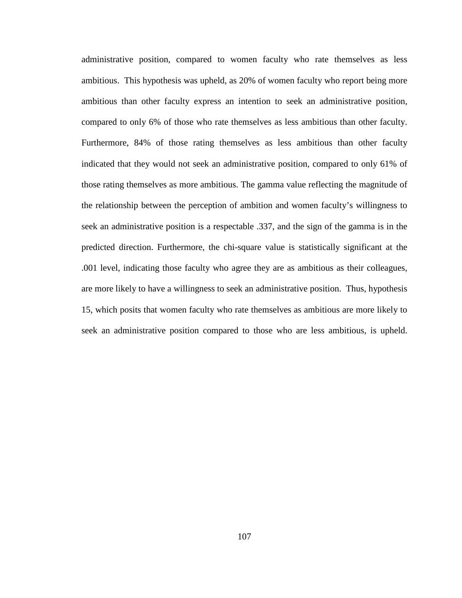administrative position, compared to women faculty who rate themselves as less ambitious. This hypothesis was upheld, as 20% of women faculty who report being more ambitious than other faculty express an intention to seek an administrative position, compared to only 6% of those who rate themselves as less ambitious than other faculty. Furthermore, 84% of those rating themselves as less ambitious than other faculty indicated that they would not seek an administrative position, compared to only 61% of those rating themselves as more ambitious. The gamma value reflecting the magnitude of the relationship between the perception of ambition and women faculty's willingness to seek an administrative position is a respectable .337, and the sign of the gamma is in the predicted direction. Furthermore, the chi-square value is statistically significant at the .001 level, indicating those faculty who agree they are as ambitious as their colleagues, are more likely to have a willingness to seek an administrative position. Thus, hypothesis 15, which posits that women faculty who rate themselves as ambitious are more likely to seek an administrative position compared to those who are less ambitious, is upheld.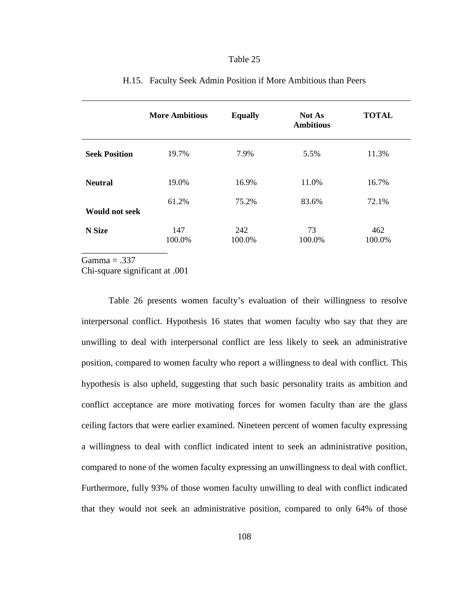|                       | <b>More Ambitious</b> | <b>Equally</b> | <b>Not As</b><br><b>Ambitious</b> | <b>TOTAL</b>  |
|-----------------------|-----------------------|----------------|-----------------------------------|---------------|
| <b>Seek Position</b>  | 19.7%                 | 7.9%           | 5.5%                              | 11.3%         |
| <b>Neutral</b>        | 19.0%                 | 16.9%          | 11.0%                             | 16.7%         |
| <b>Would not seek</b> | 61.2%                 | 75.2%          | 83.6%                             | 72.1%         |
| N Size                | 147<br>100.0%         | 242<br>100.0%  | 73<br>100.0%                      | 462<br>100.0% |

## H.15. Faculty Seek Admin Position if More Ambitious than Peers

 $Gamma = .337$ 

Chi-square significant at .001

Table 26 presents women faculty's evaluation of their willingness to resolve interpersonal conflict. Hypothesis 16 states that women faculty who say that they are unwilling to deal with interpersonal conflict are less likely to seek an administrative position, compared to women faculty who report a willingness to deal with conflict. This hypothesis is also upheld, suggesting that such basic personality traits as ambition and conflict acceptance are more motivating forces for women faculty than are the glass ceiling factors that were earlier examined. Nineteen percent of women faculty expressing a willingness to deal with conflict indicated intent to seek an administrative position, compared to none of the women faculty expressing an unwillingness to deal with conflict. Furthermore, fully 93% of those women faculty unwilling to deal with conflict indicated that they would not seek an administrative position, compared to only 64% of those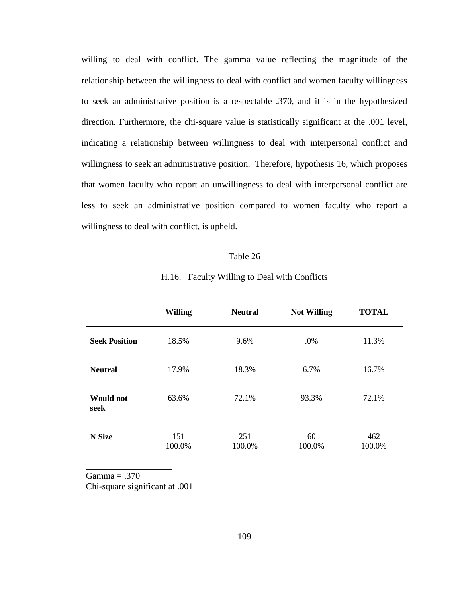willing to deal with conflict. The gamma value reflecting the magnitude of the relationship between the willingness to deal with conflict and women faculty willingness to seek an administrative position is a respectable .370, and it is in the hypothesized direction. Furthermore, the chi-square value is statistically significant at the .001 level, indicating a relationship between willingness to deal with interpersonal conflict and willingness to seek an administrative position. Therefore, hypothesis 16, which proposes that women faculty who report an unwillingness to deal with interpersonal conflict are less to seek an administrative position compared to women faculty who report a willingness to deal with conflict, is upheld.

#### Table 26

|                          | <b>Willing</b> | <b>Neutral</b> | <b>Not Willing</b> | <b>TOTAL</b>  |
|--------------------------|----------------|----------------|--------------------|---------------|
| <b>Seek Position</b>     | 18.5%          | 9.6%           | .0%                | 11.3%         |
| <b>Neutral</b>           | 17.9%          | 18.3%          | 6.7%               | 16.7%         |
| <b>Would not</b><br>seek | 63.6%          | 72.1%          | 93.3%              | 72.1%         |
| N Size                   | 151<br>100.0%  | 251<br>100.0%  | 60<br>100.0%       | 462<br>100.0% |

H.16. Faculty Willing to Deal with Conflicts

 $Gamma = .370$ 

\_\_\_\_\_\_\_\_\_\_\_\_\_\_\_\_\_\_\_

Chi-square significant at .001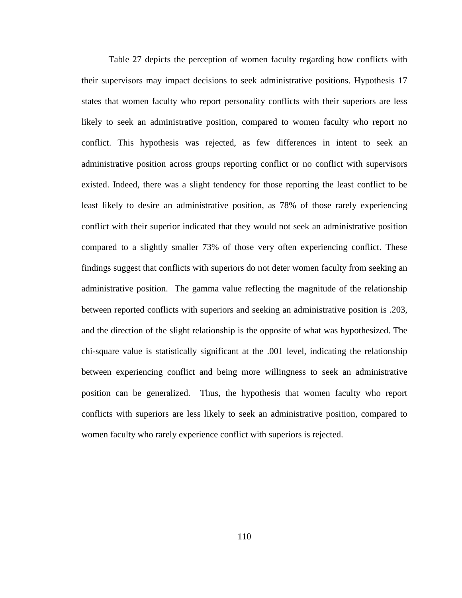Table 27 depicts the perception of women faculty regarding how conflicts with their supervisors may impact decisions to seek administrative positions. Hypothesis 17 states that women faculty who report personality conflicts with their superiors are less likely to seek an administrative position, compared to women faculty who report no conflict. This hypothesis was rejected, as few differences in intent to seek an administrative position across groups reporting conflict or no conflict with supervisors existed. Indeed, there was a slight tendency for those reporting the least conflict to be least likely to desire an administrative position, as 78% of those rarely experiencing conflict with their superior indicated that they would not seek an administrative position compared to a slightly smaller 73% of those very often experiencing conflict. These findings suggest that conflicts with superiors do not deter women faculty from seeking an administrative position. The gamma value reflecting the magnitude of the relationship between reported conflicts with superiors and seeking an administrative position is .203, and the direction of the slight relationship is the opposite of what was hypothesized. The chi-square value is statistically significant at the .001 level, indicating the relationship between experiencing conflict and being more willingness to seek an administrative position can be generalized. Thus, the hypothesis that women faculty who report conflicts with superiors are less likely to seek an administrative position, compared to women faculty who rarely experience conflict with superiors is rejected.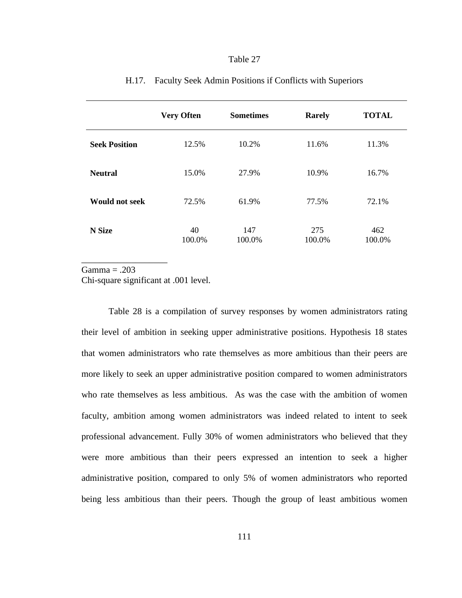|                       | <b>Very Often</b> | <b>Sometimes</b> | <b>Rarely</b> | <b>TOTAL</b>  |
|-----------------------|-------------------|------------------|---------------|---------------|
| <b>Seek Position</b>  | 12.5%             | 10.2%            | 11.6%         | 11.3%         |
| <b>Neutral</b>        | 15.0%             | 27.9%            | 10.9%         | 16.7%         |
| <b>Would not seek</b> | 72.5%             | 61.9%            | 77.5%         | 72.1%         |
| N Size                | 40<br>100.0%      | 147<br>100.0%    | 275<br>100.0% | 462<br>100.0% |

## H.17. Faculty Seek Admin Positions if Conflicts with Superiors

Gamma = .203

\_\_\_\_\_\_\_\_\_\_\_\_\_\_\_\_\_\_\_

Chi-square significant at .001 level.

Table 28 is a compilation of survey responses by women administrators rating their level of ambition in seeking upper administrative positions. Hypothesis 18 states that women administrators who rate themselves as more ambitious than their peers are more likely to seek an upper administrative position compared to women administrators who rate themselves as less ambitious. As was the case with the ambition of women faculty, ambition among women administrators was indeed related to intent to seek professional advancement. Fully 30% of women administrators who believed that they were more ambitious than their peers expressed an intention to seek a higher administrative position, compared to only 5% of women administrators who reported being less ambitious than their peers. Though the group of least ambitious women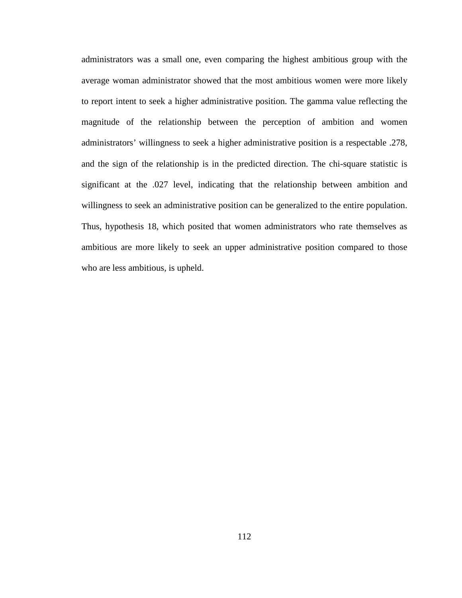administrators was a small one, even comparing the highest ambitious group with the average woman administrator showed that the most ambitious women were more likely to report intent to seek a higher administrative position. The gamma value reflecting the magnitude of the relationship between the perception of ambition and women administrators' willingness to seek a higher administrative position is a respectable .278, and the sign of the relationship is in the predicted direction. The chi-square statistic is significant at the .027 level, indicating that the relationship between ambition and willingness to seek an administrative position can be generalized to the entire population. Thus, hypothesis 18, which posited that women administrators who rate themselves as ambitious are more likely to seek an upper administrative position compared to those who are less ambitious, is upheld.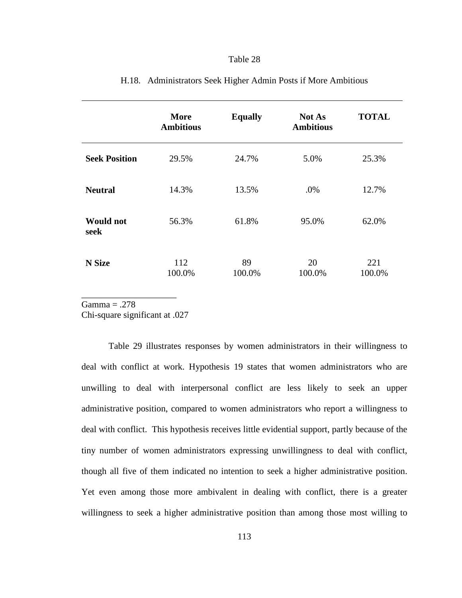|                          | <b>More</b><br><b>Ambitious</b> | <b>Equally</b> | <b>Not As</b><br><b>Ambitious</b> | <b>TOTAL</b>  |
|--------------------------|---------------------------------|----------------|-----------------------------------|---------------|
| <b>Seek Position</b>     | 29.5%                           | 24.7%          | 5.0%                              | 25.3%         |
| <b>Neutral</b>           | 14.3%                           | 13.5%          | .0%                               | 12.7%         |
| <b>Would not</b><br>seek | 56.3%                           | 61.8%          | 95.0%                             | 62.0%         |
| <b>N</b> Size            | 112<br>100.0%                   | 89<br>100.0%   | 20<br>100.0%                      | 221<br>100.0% |

## H.18. Administrators Seek Higher Admin Posts if More Ambitious

 $Gamma = .278$ 

Chi-square significant at .027

\_\_\_\_\_\_\_\_\_\_\_\_\_\_\_\_\_\_\_\_\_

Table 29 illustrates responses by women administrators in their willingness to deal with conflict at work. Hypothesis 19 states that women administrators who are unwilling to deal with interpersonal conflict are less likely to seek an upper administrative position, compared to women administrators who report a willingness to deal with conflict. This hypothesis receives little evidential support, partly because of the tiny number of women administrators expressing unwillingness to deal with conflict, though all five of them indicated no intention to seek a higher administrative position. Yet even among those more ambivalent in dealing with conflict, there is a greater willingness to seek a higher administrative position than among those most willing to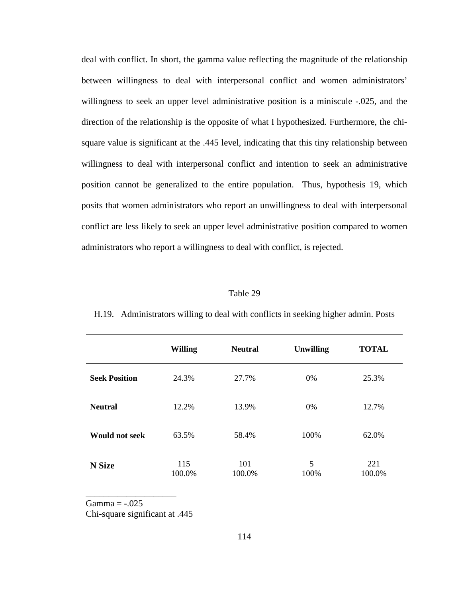deal with conflict. In short, the gamma value reflecting the magnitude of the relationship between willingness to deal with interpersonal conflict and women administrators' willingness to seek an upper level administrative position is a miniscule -.025, and the direction of the relationship is the opposite of what I hypothesized. Furthermore, the chisquare value is significant at the .445 level, indicating that this tiny relationship between willingness to deal with interpersonal conflict and intention to seek an administrative position cannot be generalized to the entire population. Thus, hypothesis 19, which posits that women administrators who report an unwillingness to deal with interpersonal conflict are less likely to seek an upper level administrative position compared to women administrators who report a willingness to deal with conflict, is rejected.

#### Table 29

|                       | <b>Willing</b> | <b>Neutral</b> | <b>Unwilling</b> | <b>TOTAL</b>  |
|-----------------------|----------------|----------------|------------------|---------------|
| <b>Seek Position</b>  | 24.3%          | 27.7%          | 0%               | 25.3%         |
| <b>Neutral</b>        | 12.2%          | 13.9%          | 0%               | 12.7%         |
| <b>Would not seek</b> | 63.5%          | 58.4%          | 100%             | 62.0%         |
| N Size                | 115<br>100.0%  | 101<br>100.0%  | 5<br>100%        | 221<br>100.0% |

H.19. Administrators willing to deal with conflicts in seeking higher admin. Posts

Gamma  $=$  -.025

Chi-square significant at .445

\_\_\_\_\_\_\_\_\_\_\_\_\_\_\_\_\_\_\_\_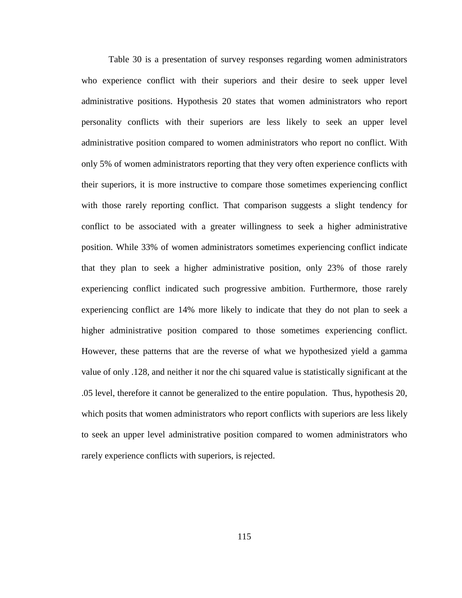Table 30 is a presentation of survey responses regarding women administrators who experience conflict with their superiors and their desire to seek upper level administrative positions. Hypothesis 20 states that women administrators who report personality conflicts with their superiors are less likely to seek an upper level administrative position compared to women administrators who report no conflict. With only 5% of women administrators reporting that they very often experience conflicts with their superiors, it is more instructive to compare those sometimes experiencing conflict with those rarely reporting conflict. That comparison suggests a slight tendency for conflict to be associated with a greater willingness to seek a higher administrative position. While 33% of women administrators sometimes experiencing conflict indicate that they plan to seek a higher administrative position, only 23% of those rarely experiencing conflict indicated such progressive ambition. Furthermore, those rarely experiencing conflict are 14% more likely to indicate that they do not plan to seek a higher administrative position compared to those sometimes experiencing conflict. However, these patterns that are the reverse of what we hypothesized yield a gamma value of only .128, and neither it nor the chi squared value is statistically significant at the .05 level, therefore it cannot be generalized to the entire population. Thus, hypothesis 20, which posits that women administrators who report conflicts with superiors are less likely to seek an upper level administrative position compared to women administrators who rarely experience conflicts with superiors, is rejected.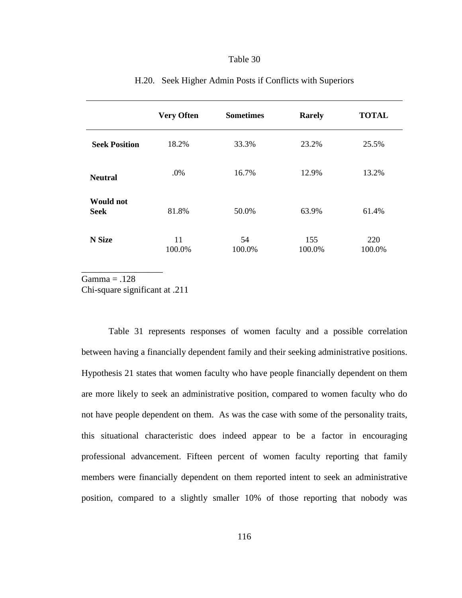|                                 | <b>Very Often</b> | <b>Sometimes</b> | <b>Rarely</b> | <b>TOTAL</b>  |
|---------------------------------|-------------------|------------------|---------------|---------------|
| <b>Seek Position</b>            | 18.2%             | 33.3%            | 23.2%         | 25.5%         |
| <b>Neutral</b>                  | .0%               | 16.7%            | 12.9%         | 13.2%         |
| <b>Would not</b><br><b>Seek</b> | 81.8%             | 50.0%            | 63.9%         | 61.4%         |
| N Size                          | 11<br>100.0%      | 54<br>100.0%     | 155<br>100.0% | 220<br>100.0% |

#### H.20. Seek Higher Admin Posts if Conflicts with Superiors

 $Gamma = .128$ 

Chi-square significant at .211

\_\_\_\_\_\_\_\_\_\_\_\_\_\_\_\_\_\_

 Table 31 represents responses of women faculty and a possible correlation between having a financially dependent family and their seeking administrative positions. Hypothesis 21 states that women faculty who have people financially dependent on them are more likely to seek an administrative position, compared to women faculty who do not have people dependent on them. As was the case with some of the personality traits, this situational characteristic does indeed appear to be a factor in encouraging professional advancement. Fifteen percent of women faculty reporting that family members were financially dependent on them reported intent to seek an administrative position, compared to a slightly smaller 10% of those reporting that nobody was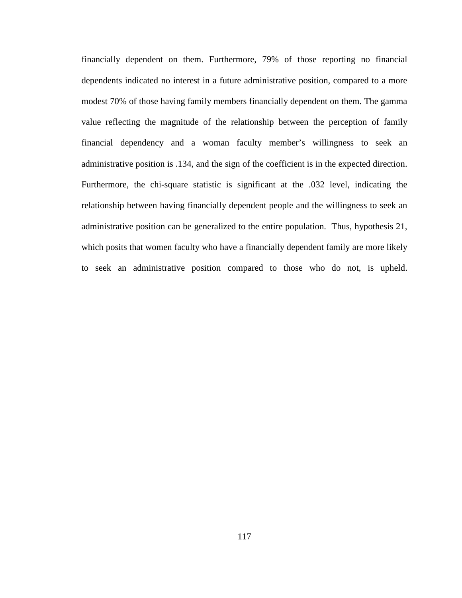financially dependent on them. Furthermore, 79% of those reporting no financial dependents indicated no interest in a future administrative position, compared to a more modest 70% of those having family members financially dependent on them. The gamma value reflecting the magnitude of the relationship between the perception of family financial dependency and a woman faculty member's willingness to seek an administrative position is .134, and the sign of the coefficient is in the expected direction. Furthermore, the chi-square statistic is significant at the .032 level, indicating the relationship between having financially dependent people and the willingness to seek an administrative position can be generalized to the entire population. Thus, hypothesis 21, which posits that women faculty who have a financially dependent family are more likely to seek an administrative position compared to those who do not, is upheld.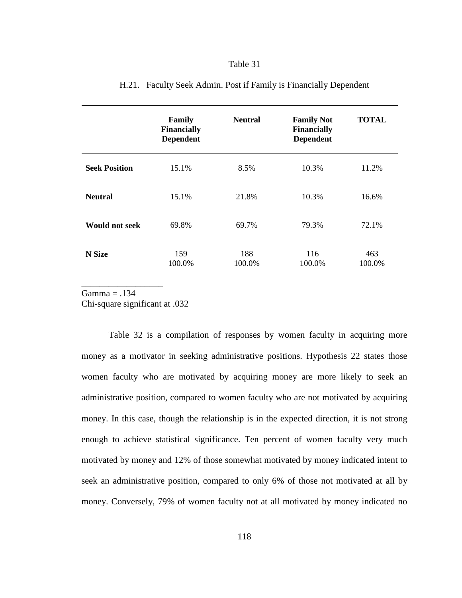|                       | Family<br><b>Financially</b><br><b>Dependent</b> | <b>Neutral</b> | <b>Family Not</b><br><b>Financially</b><br><b>Dependent</b> | <b>TOTAL</b>  |
|-----------------------|--------------------------------------------------|----------------|-------------------------------------------------------------|---------------|
| <b>Seek Position</b>  | 15.1%                                            | 8.5%           | 10.3%                                                       | 11.2%         |
| <b>Neutral</b>        | 15.1%                                            | 21.8%          | 10.3%                                                       | 16.6%         |
| <b>Would not seek</b> | 69.8%                                            | 69.7%          | 79.3%                                                       | 72.1%         |
| <b>N</b> Size         | 159<br>100.0%                                    | 188<br>100.0%  | 116<br>100.0%                                               | 463<br>100.0% |

## H.21. Faculty Seek Admin. Post if Family is Financially Dependent

 $Gamma = .134$ 

\_\_\_\_\_\_\_\_\_\_\_\_\_\_\_\_\_\_

Chi-square significant at .032

Table 32 is a compilation of responses by women faculty in acquiring more money as a motivator in seeking administrative positions. Hypothesis 22 states those women faculty who are motivated by acquiring money are more likely to seek an administrative position, compared to women faculty who are not motivated by acquiring money. In this case, though the relationship is in the expected direction, it is not strong enough to achieve statistical significance. Ten percent of women faculty very much motivated by money and 12% of those somewhat motivated by money indicated intent to seek an administrative position, compared to only 6% of those not motivated at all by money. Conversely, 79% of women faculty not at all motivated by money indicated no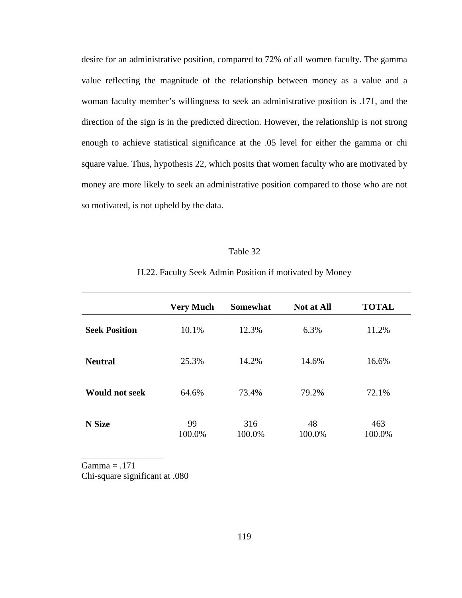desire for an administrative position, compared to 72% of all women faculty. The gamma value reflecting the magnitude of the relationship between money as a value and a woman faculty member's willingness to seek an administrative position is .171, and the direction of the sign is in the predicted direction. However, the relationship is not strong enough to achieve statistical significance at the .05 level for either the gamma or chi square value. Thus, hypothesis 22, which posits that women faculty who are motivated by money are more likely to seek an administrative position compared to those who are not so motivated, is not upheld by the data.

#### Table 32

H.22. Faculty Seek Admin Position if motivated by Money

|                       | <b>Very Much</b> | <b>Somewhat</b> | <b>Not at All</b> | <b>TOTAL</b>  |
|-----------------------|------------------|-----------------|-------------------|---------------|
| <b>Seek Position</b>  | 10.1%            | 12.3%           | 6.3%              | 11.2%         |
| <b>Neutral</b>        | 25.3%            | 14.2%           | 14.6%             | 16.6%         |
| <b>Would not seek</b> | 64.6%            | 73.4%           | 79.2%             | 72.1%         |
| N Size                | 99<br>100.0%     | 316<br>100.0%   | 48<br>100.0%      | 463<br>100.0% |

 $Gamma = .171$ 

Chi-square significant at .080

\_\_\_\_\_\_\_\_\_\_\_\_\_\_\_\_\_\_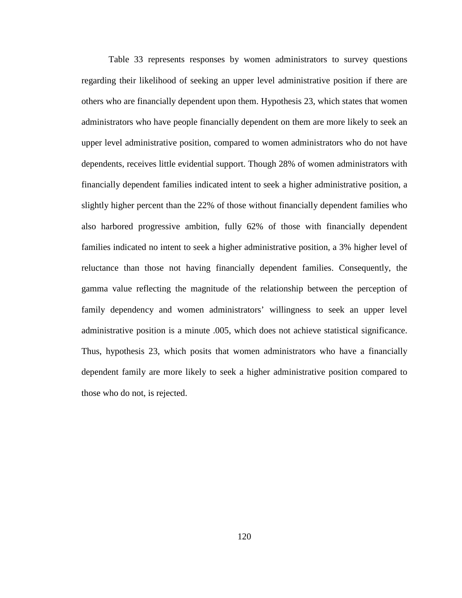Table 33 represents responses by women administrators to survey questions regarding their likelihood of seeking an upper level administrative position if there are others who are financially dependent upon them. Hypothesis 23, which states that women administrators who have people financially dependent on them are more likely to seek an upper level administrative position, compared to women administrators who do not have dependents, receives little evidential support. Though 28% of women administrators with financially dependent families indicated intent to seek a higher administrative position, a slightly higher percent than the 22% of those without financially dependent families who also harbored progressive ambition, fully 62% of those with financially dependent families indicated no intent to seek a higher administrative position, a 3% higher level of reluctance than those not having financially dependent families. Consequently, the gamma value reflecting the magnitude of the relationship between the perception of family dependency and women administrators' willingness to seek an upper level administrative position is a minute .005, which does not achieve statistical significance. Thus, hypothesis 23, which posits that women administrators who have a financially dependent family are more likely to seek a higher administrative position compared to those who do not, is rejected.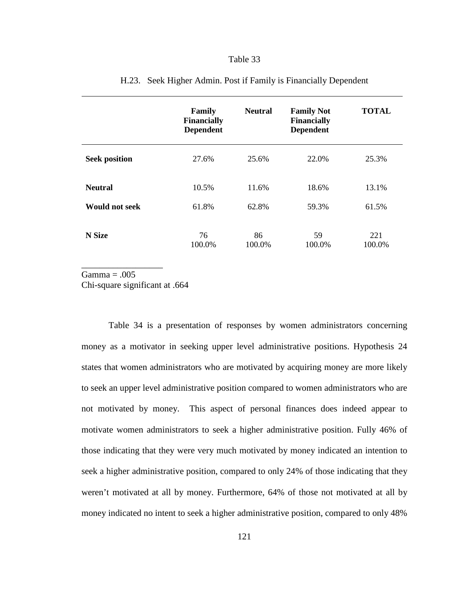|                       | Family<br><b>Financially</b><br><b>Dependent</b> | <b>Neutral</b> | <b>Family Not</b><br><b>Financially</b><br><b>Dependent</b> | <b>TOTAL</b>  |
|-----------------------|--------------------------------------------------|----------------|-------------------------------------------------------------|---------------|
| <b>Seek position</b>  | 27.6%                                            | 25.6%          | 22.0%                                                       | 25.3%         |
| <b>Neutral</b>        | 10.5%                                            | 11.6%          | 18.6%                                                       | 13.1%         |
| <b>Would not seek</b> | 61.8%                                            | 62.8%          | 59.3%                                                       | 61.5%         |
| <b>N</b> Size         | 76<br>100.0%                                     | 86<br>100.0%   | 59<br>100.0%                                                | 221<br>100.0% |

#### H.23. Seek Higher Admin. Post if Family is Financially Dependent

\_\_\_\_\_\_\_\_\_\_\_\_\_\_\_\_\_\_  $Gamma = .005$ 

Chi-square significant at .664

 Table 34 is a presentation of responses by women administrators concerning money as a motivator in seeking upper level administrative positions. Hypothesis 24 states that women administrators who are motivated by acquiring money are more likely to seek an upper level administrative position compared to women administrators who are not motivated by money. This aspect of personal finances does indeed appear to motivate women administrators to seek a higher administrative position. Fully 46% of those indicating that they were very much motivated by money indicated an intention to seek a higher administrative position, compared to only 24% of those indicating that they weren't motivated at all by money. Furthermore, 64% of those not motivated at all by money indicated no intent to seek a higher administrative position, compared to only 48%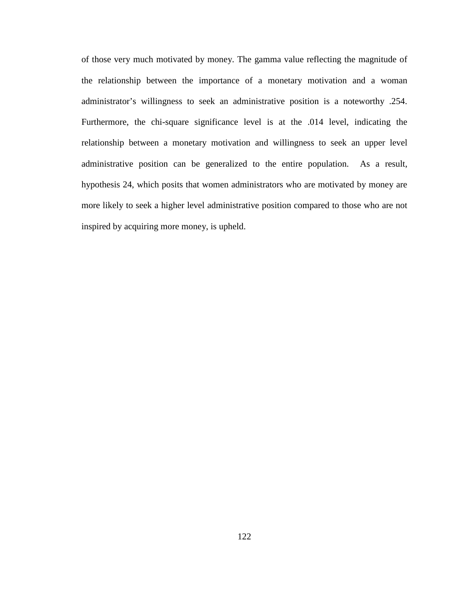of those very much motivated by money. The gamma value reflecting the magnitude of the relationship between the importance of a monetary motivation and a woman administrator's willingness to seek an administrative position is a noteworthy .254. Furthermore, the chi-square significance level is at the .014 level, indicating the relationship between a monetary motivation and willingness to seek an upper level administrative position can be generalized to the entire population. As a result, hypothesis 24, which posits that women administrators who are motivated by money are more likely to seek a higher level administrative position compared to those who are not inspired by acquiring more money, is upheld.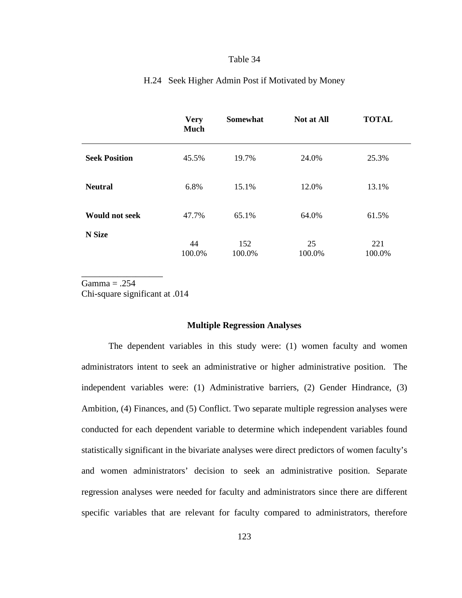|                       | <b>Very</b><br><b>Much</b> | <b>Somewhat</b> | Not at All   | <b>TOTAL</b>  |
|-----------------------|----------------------------|-----------------|--------------|---------------|
| <b>Seek Position</b>  | 45.5%                      | 19.7%           | 24.0%        | 25.3%         |
| <b>Neutral</b>        | 6.8%                       | 15.1%           | 12.0%        | 13.1%         |
| <b>Would not seek</b> | 47.7%                      | 65.1%           | 64.0%        | 61.5%         |
| <b>N</b> Size         | 44<br>100.0%               | 152<br>100.0%   | 25<br>100.0% | 221<br>100.0% |

## H.24 Seek Higher Admin Post if Motivated by Money

 $Gamma = .254$ Chi-square significant at .014

\_\_\_\_\_\_\_\_\_\_\_\_\_\_\_\_\_\_

#### **Multiple Regression Analyses**

The dependent variables in this study were: (1) women faculty and women administrators intent to seek an administrative or higher administrative position. The independent variables were: (1) Administrative barriers, (2) Gender Hindrance, (3) Ambition, (4) Finances, and (5) Conflict. Two separate multiple regression analyses were conducted for each dependent variable to determine which independent variables found statistically significant in the bivariate analyses were direct predictors of women faculty's and women administrators' decision to seek an administrative position. Separate regression analyses were needed for faculty and administrators since there are different specific variables that are relevant for faculty compared to administrators, therefore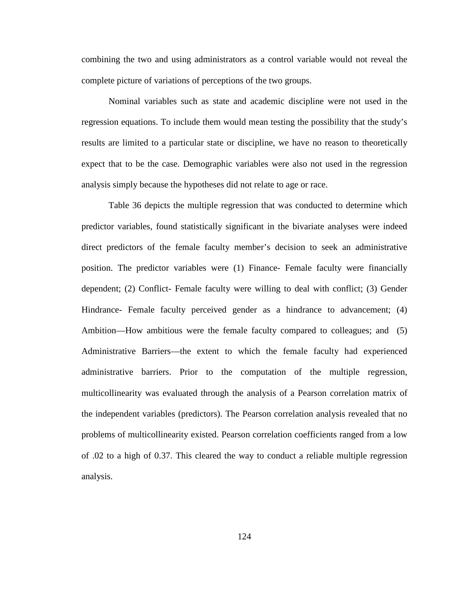combining the two and using administrators as a control variable would not reveal the complete picture of variations of perceptions of the two groups.

Nominal variables such as state and academic discipline were not used in the regression equations. To include them would mean testing the possibility that the study's results are limited to a particular state or discipline, we have no reason to theoretically expect that to be the case. Demographic variables were also not used in the regression analysis simply because the hypotheses did not relate to age or race.

Table 36 depicts the multiple regression that was conducted to determine which predictor variables, found statistically significant in the bivariate analyses were indeed direct predictors of the female faculty member's decision to seek an administrative position. The predictor variables were (1) Finance- Female faculty were financially dependent; (2) Conflict- Female faculty were willing to deal with conflict; (3) Gender Hindrance- Female faculty perceived gender as a hindrance to advancement; (4) Ambition—How ambitious were the female faculty compared to colleagues; and (5) Administrative Barriers—the extent to which the female faculty had experienced administrative barriers. Prior to the computation of the multiple regression, multicollinearity was evaluated through the analysis of a Pearson correlation matrix of the independent variables (predictors). The Pearson correlation analysis revealed that no problems of multicollinearity existed. Pearson correlation coefficients ranged from a low of .02 to a high of 0.37. This cleared the way to conduct a reliable multiple regression analysis.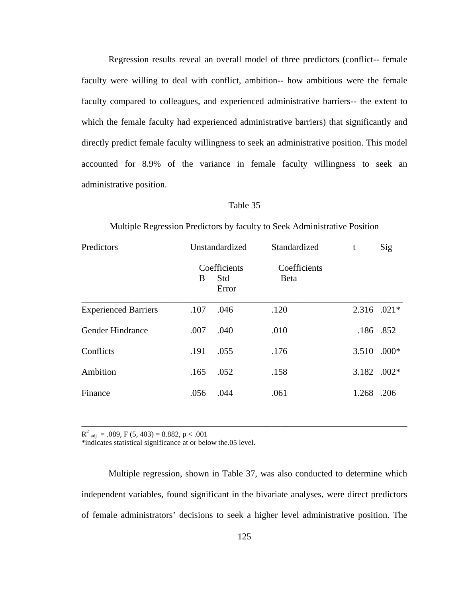Regression results reveal an overall model of three predictors (conflict-- female faculty were willing to deal with conflict, ambition-- how ambitious were the female faculty compared to colleagues, and experienced administrative barriers-- the extent to which the female faculty had experienced administrative barriers) that significantly and directly predict female faculty willingness to seek an administrative position. This model accounted for 8.9% of the variance in female faculty willingness to seek an administrative position.

### Table 35

#### Multiple Regression Predictors by faculty to Seek Administrative Position

| Predictors                  | Unstandardized |                              | Standardized                 | t           | Sig     |
|-----------------------------|----------------|------------------------------|------------------------------|-------------|---------|
|                             | B              | Coefficients<br>Std<br>Error | Coefficients<br><b>B</b> eta |             |         |
| <b>Experienced Barriers</b> | .107           | .046                         | .120                         | 2.316 .021* |         |
| Gender Hindrance            | .007           | .040                         | .010                         | .186 .852   |         |
| Conflicts                   | .191           | .055                         | .176                         | 3.510       | $.000*$ |
| Ambition                    | .165           | .052                         | .158                         | 3.182 .002* |         |
| Finance                     | .056           | .044                         | .061                         | 1.268       | .206    |

 $R^2$ <sub>adj</sub> = .089, F (5, 403) = 8.882, p < .001

\*indicates statistical significance at or below the.05 level.

Multiple regression, shown in Table 37, was also conducted to determine which independent variables, found significant in the bivariate analyses, were direct predictors of female administrators' decisions to seek a higher level administrative position. The

\_\_\_\_\_\_\_\_\_\_\_\_\_\_\_\_\_\_\_\_\_\_\_\_\_\_\_\_\_\_\_\_\_\_\_\_\_\_\_\_\_\_\_\_\_\_\_\_\_\_\_\_\_\_\_\_\_\_\_\_\_\_\_\_\_\_\_\_\_\_\_\_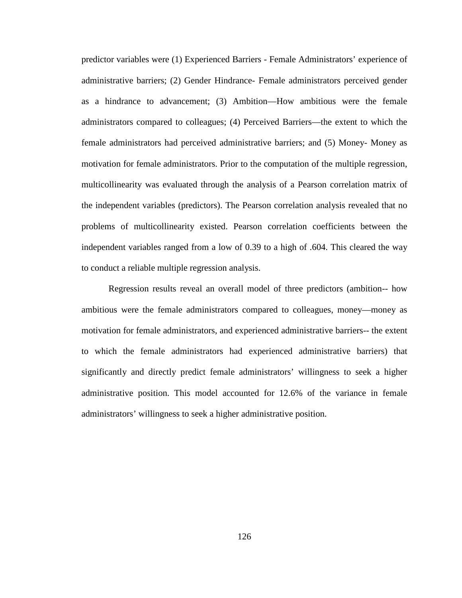predictor variables were (1) Experienced Barriers - Female Administrators' experience of administrative barriers; (2) Gender Hindrance- Female administrators perceived gender as a hindrance to advancement; (3) Ambition—How ambitious were the female administrators compared to colleagues; (4) Perceived Barriers—the extent to which the female administrators had perceived administrative barriers; and (5) Money- Money as motivation for female administrators. Prior to the computation of the multiple regression, multicollinearity was evaluated through the analysis of a Pearson correlation matrix of the independent variables (predictors). The Pearson correlation analysis revealed that no problems of multicollinearity existed. Pearson correlation coefficients between the independent variables ranged from a low of 0.39 to a high of .604. This cleared the way to conduct a reliable multiple regression analysis.

Regression results reveal an overall model of three predictors (ambition-- how ambitious were the female administrators compared to colleagues, money—money as motivation for female administrators, and experienced administrative barriers-- the extent to which the female administrators had experienced administrative barriers) that significantly and directly predict female administrators' willingness to seek a higher administrative position. This model accounted for 12.6% of the variance in female administrators' willingness to seek a higher administrative position.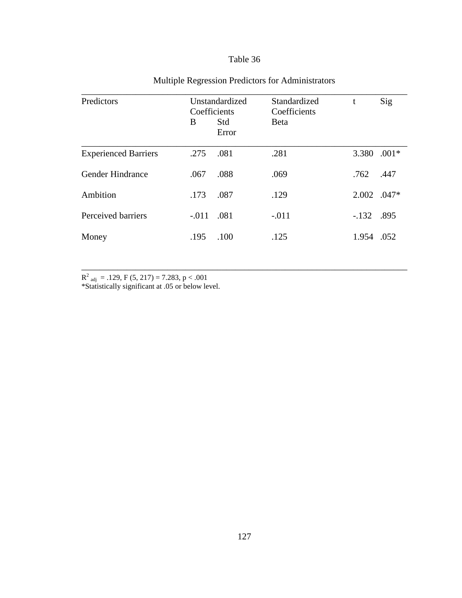| Predictors                  | Unstandardized<br>Coefficients |              | Standardized<br>Coefficients | t      | Sig     |
|-----------------------------|--------------------------------|--------------|------------------------------|--------|---------|
|                             | B                              | Std<br>Error | <b>Beta</b>                  |        |         |
| <b>Experienced Barriers</b> | .275                           | .081         | .281                         | 3.380  | $.001*$ |
| Gender Hindrance            | .067                           | .088         | .069                         | .762   | .447    |
| Ambition                    | .173                           | .087         | .129                         | 2.002  | $.047*$ |
| Perceived barriers          | $-.011$                        | .081         | $-.011$                      | $-132$ | .895    |
| Money                       | .195                           | .100         | .125                         | 1.954  | .052    |

\_\_\_\_\_\_\_\_\_\_\_\_\_\_\_\_\_\_\_\_\_\_\_\_\_\_\_\_\_\_\_\_\_\_\_\_\_\_\_\_\_\_\_\_\_\_\_\_\_\_\_\_\_\_\_\_\_\_\_\_\_\_\_\_\_\_\_\_\_\_\_\_

# Multiple Regression Predictors for Administrators

 $R<sup>2</sup>$ <sub>adj</sub> = .129, F (5, 217) = 7.283, p < .001

\*Statistically significant at .05 or below level.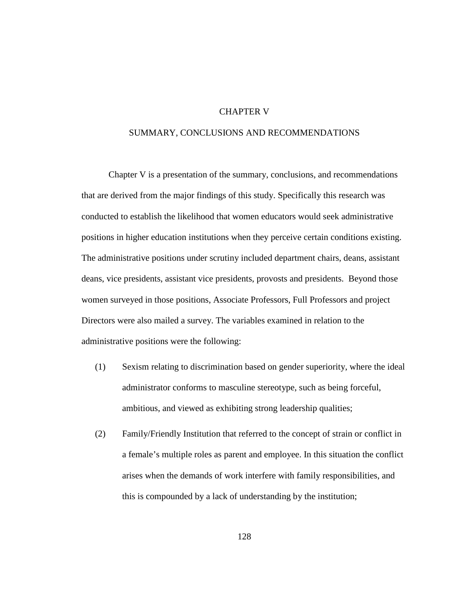## CHAPTER V

# SUMMARY, CONCLUSIONS AND RECOMMENDATIONS

Chapter V is a presentation of the summary, conclusions, and recommendations that are derived from the major findings of this study. Specifically this research was conducted to establish the likelihood that women educators would seek administrative positions in higher education institutions when they perceive certain conditions existing. The administrative positions under scrutiny included department chairs, deans, assistant deans, vice presidents, assistant vice presidents, provosts and presidents. Beyond those women surveyed in those positions, Associate Professors, Full Professors and project Directors were also mailed a survey. The variables examined in relation to the administrative positions were the following:

- (1) Sexism relating to discrimination based on gender superiority, where the ideal administrator conforms to masculine stereotype, such as being forceful, ambitious, and viewed as exhibiting strong leadership qualities;
- (2) Family/Friendly Institution that referred to the concept of strain or conflict in a female's multiple roles as parent and employee. In this situation the conflict arises when the demands of work interfere with family responsibilities, and this is compounded by a lack of understanding by the institution;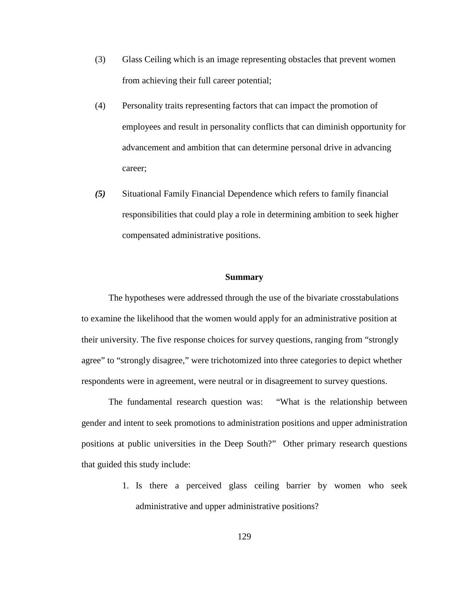- (3) Glass Ceiling which is an image representing obstacles that prevent women from achieving their full career potential;
- (4) Personality traits representing factors that can impact the promotion of employees and result in personality conflicts that can diminish opportunity for advancement and ambition that can determine personal drive in advancing career;
- *(5)* Situational Family Financial Dependence which refers to family financial responsibilities that could play a role in determining ambition to seek higher compensated administrative positions.

#### **Summary**

The hypotheses were addressed through the use of the bivariate crosstabulations to examine the likelihood that the women would apply for an administrative position at their university. The five response choices for survey questions, ranging from "strongly agree" to "strongly disagree," were trichotomized into three categories to depict whether respondents were in agreement, were neutral or in disagreement to survey questions.

The fundamental research question was: "What is the relationship between gender and intent to seek promotions to administration positions and upper administration positions at public universities in the Deep South?" Other primary research questions that guided this study include:

> 1. Is there a perceived glass ceiling barrier by women who seek administrative and upper administrative positions?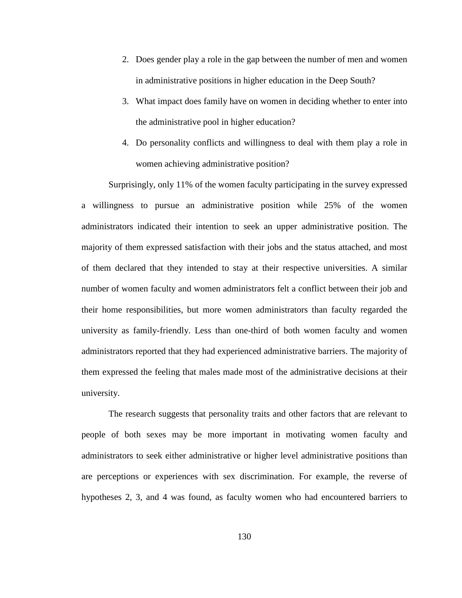- 2. Does gender play a role in the gap between the number of men and women in administrative positions in higher education in the Deep South?
- 3. What impact does family have on women in deciding whether to enter into the administrative pool in higher education?
- 4. Do personality conflicts and willingness to deal with them play a role in women achieving administrative position?

Surprisingly, only 11% of the women faculty participating in the survey expressed a willingness to pursue an administrative position while 25% of the women administrators indicated their intention to seek an upper administrative position. The majority of them expressed satisfaction with their jobs and the status attached, and most of them declared that they intended to stay at their respective universities. A similar number of women faculty and women administrators felt a conflict between their job and their home responsibilities, but more women administrators than faculty regarded the university as family-friendly. Less than one-third of both women faculty and women administrators reported that they had experienced administrative barriers. The majority of them expressed the feeling that males made most of the administrative decisions at their university.

The research suggests that personality traits and other factors that are relevant to people of both sexes may be more important in motivating women faculty and administrators to seek either administrative or higher level administrative positions than are perceptions or experiences with sex discrimination. For example, the reverse of hypotheses 2, 3, and 4 was found, as faculty women who had encountered barriers to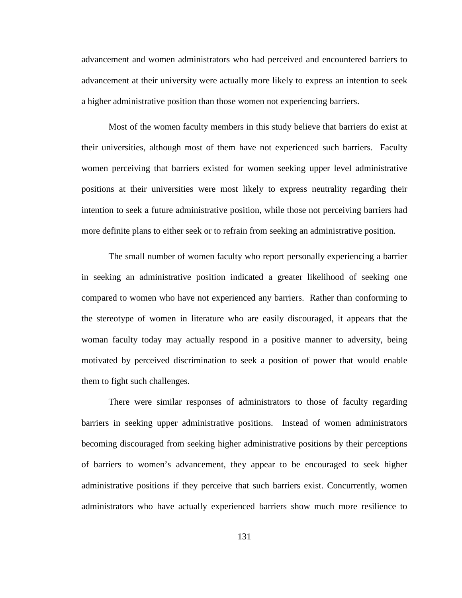advancement and women administrators who had perceived and encountered barriers to advancement at their university were actually more likely to express an intention to seek a higher administrative position than those women not experiencing barriers.

Most of the women faculty members in this study believe that barriers do exist at their universities, although most of them have not experienced such barriers. Faculty women perceiving that barriers existed for women seeking upper level administrative positions at their universities were most likely to express neutrality regarding their intention to seek a future administrative position, while those not perceiving barriers had more definite plans to either seek or to refrain from seeking an administrative position.

The small number of women faculty who report personally experiencing a barrier in seeking an administrative position indicated a greater likelihood of seeking one compared to women who have not experienced any barriers. Rather than conforming to the stereotype of women in literature who are easily discouraged, it appears that the woman faculty today may actually respond in a positive manner to adversity, being motivated by perceived discrimination to seek a position of power that would enable them to fight such challenges.

There were similar responses of administrators to those of faculty regarding barriers in seeking upper administrative positions. Instead of women administrators becoming discouraged from seeking higher administrative positions by their perceptions of barriers to women's advancement, they appear to be encouraged to seek higher administrative positions if they perceive that such barriers exist. Concurrently, women administrators who have actually experienced barriers show much more resilience to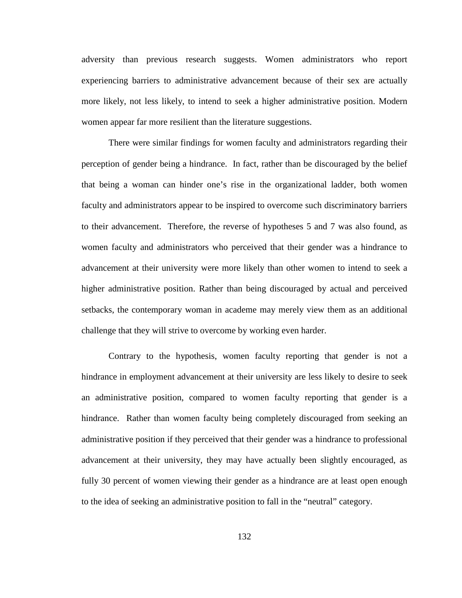adversity than previous research suggests. Women administrators who report experiencing barriers to administrative advancement because of their sex are actually more likely, not less likely, to intend to seek a higher administrative position. Modern women appear far more resilient than the literature suggestions.

There were similar findings for women faculty and administrators regarding their perception of gender being a hindrance. In fact, rather than be discouraged by the belief that being a woman can hinder one's rise in the organizational ladder, both women faculty and administrators appear to be inspired to overcome such discriminatory barriers to their advancement. Therefore, the reverse of hypotheses 5 and 7 was also found, as women faculty and administrators who perceived that their gender was a hindrance to advancement at their university were more likely than other women to intend to seek a higher administrative position. Rather than being discouraged by actual and perceived setbacks, the contemporary woman in academe may merely view them as an additional challenge that they will strive to overcome by working even harder.

Contrary to the hypothesis, women faculty reporting that gender is not a hindrance in employment advancement at their university are less likely to desire to seek an administrative position, compared to women faculty reporting that gender is a hindrance. Rather than women faculty being completely discouraged from seeking an administrative position if they perceived that their gender was a hindrance to professional advancement at their university, they may have actually been slightly encouraged, as fully 30 percent of women viewing their gender as a hindrance are at least open enough to the idea of seeking an administrative position to fall in the "neutral" category.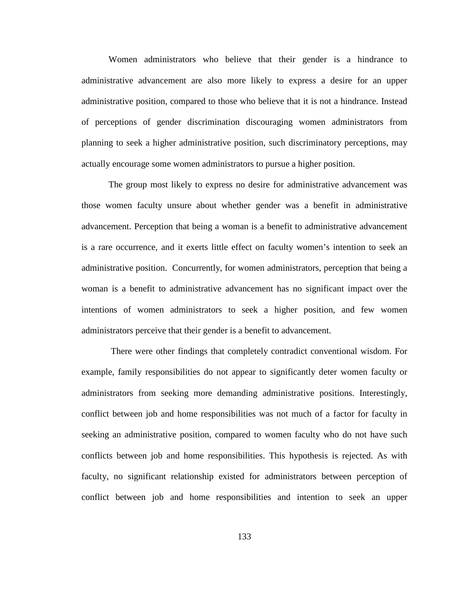Women administrators who believe that their gender is a hindrance to administrative advancement are also more likely to express a desire for an upper administrative position, compared to those who believe that it is not a hindrance. Instead of perceptions of gender discrimination discouraging women administrators from planning to seek a higher administrative position, such discriminatory perceptions, may actually encourage some women administrators to pursue a higher position.

The group most likely to express no desire for administrative advancement was those women faculty unsure about whether gender was a benefit in administrative advancement. Perception that being a woman is a benefit to administrative advancement is a rare occurrence, and it exerts little effect on faculty women's intention to seek an administrative position. Concurrently, for women administrators, perception that being a woman is a benefit to administrative advancement has no significant impact over the intentions of women administrators to seek a higher position, and few women administrators perceive that their gender is a benefit to advancement.

 There were other findings that completely contradict conventional wisdom. For example, family responsibilities do not appear to significantly deter women faculty or administrators from seeking more demanding administrative positions. Interestingly, conflict between job and home responsibilities was not much of a factor for faculty in seeking an administrative position, compared to women faculty who do not have such conflicts between job and home responsibilities. This hypothesis is rejected. As with faculty, no significant relationship existed for administrators between perception of conflict between job and home responsibilities and intention to seek an upper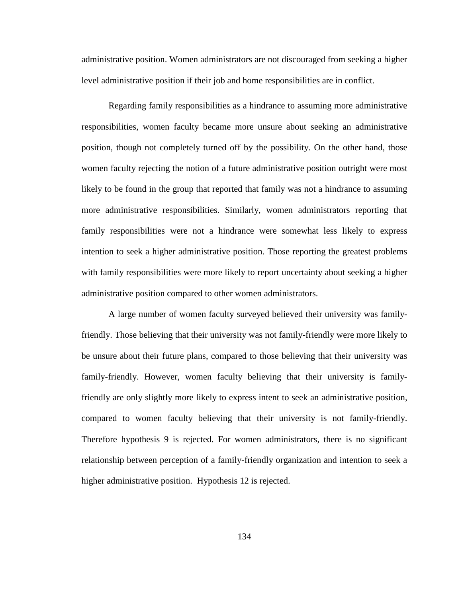administrative position. Women administrators are not discouraged from seeking a higher level administrative position if their job and home responsibilities are in conflict.

Regarding family responsibilities as a hindrance to assuming more administrative responsibilities, women faculty became more unsure about seeking an administrative position, though not completely turned off by the possibility. On the other hand, those women faculty rejecting the notion of a future administrative position outright were most likely to be found in the group that reported that family was not a hindrance to assuming more administrative responsibilities. Similarly, women administrators reporting that family responsibilities were not a hindrance were somewhat less likely to express intention to seek a higher administrative position. Those reporting the greatest problems with family responsibilities were more likely to report uncertainty about seeking a higher administrative position compared to other women administrators.

 A large number of women faculty surveyed believed their university was familyfriendly. Those believing that their university was not family-friendly were more likely to be unsure about their future plans, compared to those believing that their university was family-friendly. However, women faculty believing that their university is familyfriendly are only slightly more likely to express intent to seek an administrative position, compared to women faculty believing that their university is not family-friendly. Therefore hypothesis 9 is rejected. For women administrators, there is no significant relationship between perception of a family-friendly organization and intention to seek a higher administrative position. Hypothesis 12 is rejected.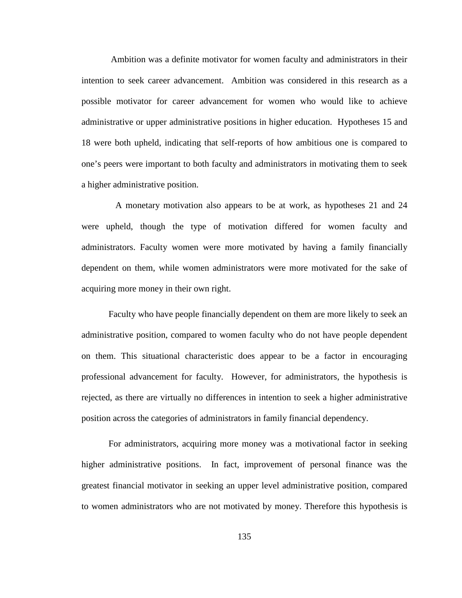Ambition was a definite motivator for women faculty and administrators in their intention to seek career advancement. Ambition was considered in this research as a possible motivator for career advancement for women who would like to achieve administrative or upper administrative positions in higher education. Hypotheses 15 and 18 were both upheld, indicating that self-reports of how ambitious one is compared to one's peers were important to both faculty and administrators in motivating them to seek a higher administrative position.

 A monetary motivation also appears to be at work, as hypotheses 21 and 24 were upheld, though the type of motivation differed for women faculty and administrators. Faculty women were more motivated by having a family financially dependent on them, while women administrators were more motivated for the sake of acquiring more money in their own right.

Faculty who have people financially dependent on them are more likely to seek an administrative position, compared to women faculty who do not have people dependent on them. This situational characteristic does appear to be a factor in encouraging professional advancement for faculty. However, for administrators, the hypothesis is rejected, as there are virtually no differences in intention to seek a higher administrative position across the categories of administrators in family financial dependency.

For administrators, acquiring more money was a motivational factor in seeking higher administrative positions. In fact, improvement of personal finance was the greatest financial motivator in seeking an upper level administrative position, compared to women administrators who are not motivated by money. Therefore this hypothesis is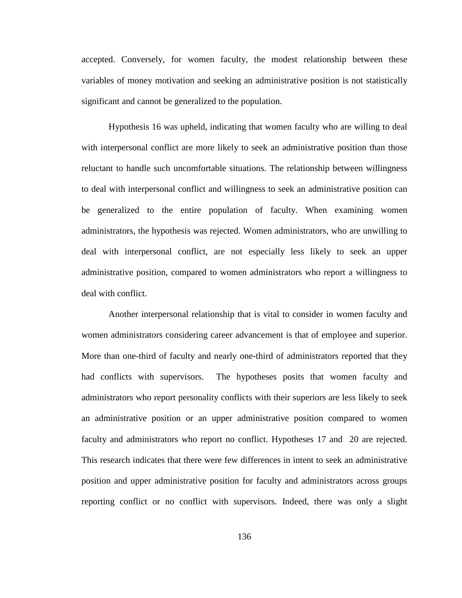accepted. Conversely, for women faculty, the modest relationship between these variables of money motivation and seeking an administrative position is not statistically significant and cannot be generalized to the population.

Hypothesis 16 was upheld, indicating that women faculty who are willing to deal with interpersonal conflict are more likely to seek an administrative position than those reluctant to handle such uncomfortable situations. The relationship between willingness to deal with interpersonal conflict and willingness to seek an administrative position can be generalized to the entire population of faculty. When examining women administrators, the hypothesis was rejected. Women administrators, who are unwilling to deal with interpersonal conflict, are not especially less likely to seek an upper administrative position, compared to women administrators who report a willingness to deal with conflict.

Another interpersonal relationship that is vital to consider in women faculty and women administrators considering career advancement is that of employee and superior. More than one-third of faculty and nearly one-third of administrators reported that they had conflicts with supervisors. The hypotheses posits that women faculty and administrators who report personality conflicts with their superiors are less likely to seek an administrative position or an upper administrative position compared to women faculty and administrators who report no conflict. Hypotheses 17 and 20 are rejected. This research indicates that there were few differences in intent to seek an administrative position and upper administrative position for faculty and administrators across groups reporting conflict or no conflict with supervisors. Indeed, there was only a slight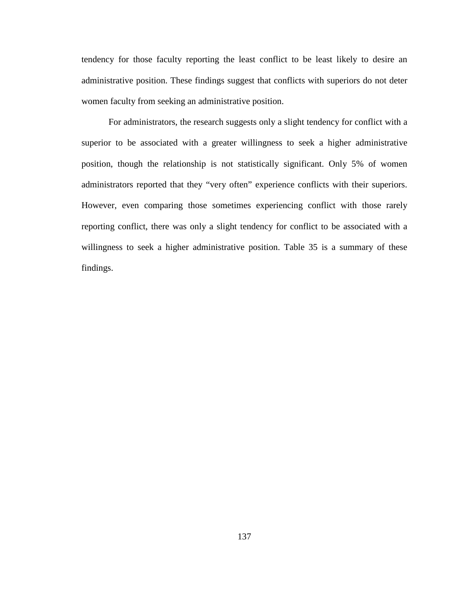tendency for those faculty reporting the least conflict to be least likely to desire an administrative position. These findings suggest that conflicts with superiors do not deter women faculty from seeking an administrative position.

For administrators, the research suggests only a slight tendency for conflict with a superior to be associated with a greater willingness to seek a higher administrative position, though the relationship is not statistically significant. Only 5% of women administrators reported that they "very often" experience conflicts with their superiors. However, even comparing those sometimes experiencing conflict with those rarely reporting conflict, there was only a slight tendency for conflict to be associated with a willingness to seek a higher administrative position. Table 35 is a summary of these findings.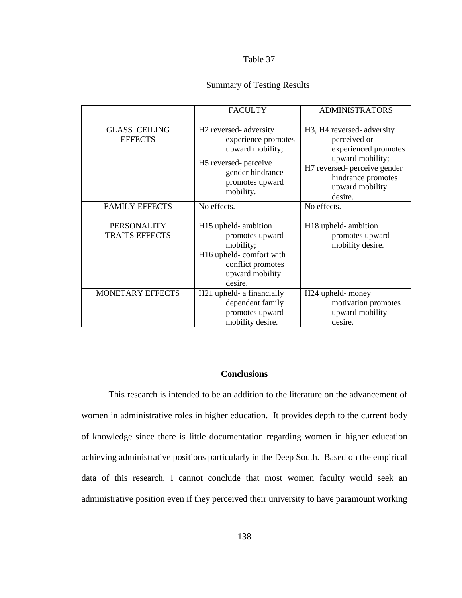#### Table 37

# Summary of Testing Results

|                                             | <b>FACULTY</b>                                                                                                                                                        | <b>ADMINISTRATORS</b>                                                                                                                                                                   |
|---------------------------------------------|-----------------------------------------------------------------------------------------------------------------------------------------------------------------------|-----------------------------------------------------------------------------------------------------------------------------------------------------------------------------------------|
| <b>GLASS CEILING</b><br><b>EFFECTS</b>      | H <sub>2</sub> reversed-adversity<br>experience promotes<br>upward mobility;<br>H <sub>5</sub> reversed- perceive<br>gender hindrance<br>promotes upward<br>mobility. | H <sub>3</sub> , H <sub>4</sub> reversed-adversity<br>perceived or<br>experienced promotes<br>upward mobility;<br>H7 reversed- perceive gender<br>hindrance promotes<br>upward mobility |
| <b>FAMILY EFFECTS</b>                       | No effects.                                                                                                                                                           | desire.<br>No effects.                                                                                                                                                                  |
| <b>PERSONALITY</b><br><b>TRAITS EFFECTS</b> | H <sub>15</sub> upheld-ambition<br>promotes upward<br>mobility;<br>H16 upheld-comfort with<br>conflict promotes<br>upward mobility<br>desire.                         | H <sub>18</sub> upheld-ambition<br>promotes upward<br>mobility desire.                                                                                                                  |
| <b>MONETARY EFFECTS</b>                     | H <sub>21</sub> upheld- a financially<br>dependent family<br>promotes upward<br>mobility desire.                                                                      | H <sub>24</sub> upheld- money<br>motivation promotes<br>upward mobility<br>desire.                                                                                                      |

## **Conclusions**

This research is intended to be an addition to the literature on the advancement of women in administrative roles in higher education. It provides depth to the current body of knowledge since there is little documentation regarding women in higher education achieving administrative positions particularly in the Deep South. Based on the empirical data of this research, I cannot conclude that most women faculty would seek an administrative position even if they perceived their university to have paramount working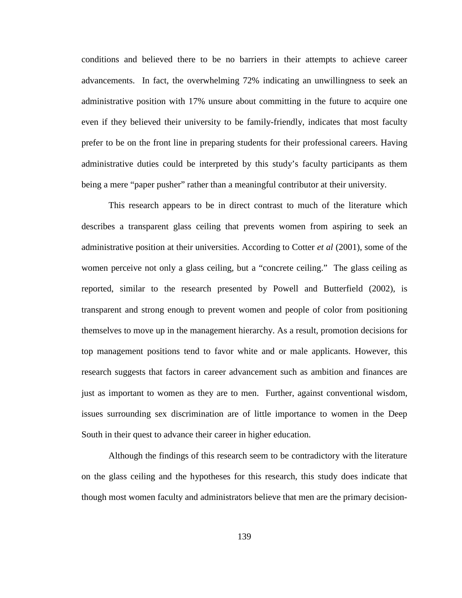conditions and believed there to be no barriers in their attempts to achieve career advancements. In fact, the overwhelming 72% indicating an unwillingness to seek an administrative position with 17% unsure about committing in the future to acquire one even if they believed their university to be family-friendly, indicates that most faculty prefer to be on the front line in preparing students for their professional careers. Having administrative duties could be interpreted by this study's faculty participants as them being a mere "paper pusher" rather than a meaningful contributor at their university.

This research appears to be in direct contrast to much of the literature which describes a transparent glass ceiling that prevents women from aspiring to seek an administrative position at their universities. According to Cotter *et al* (2001), some of the women perceive not only a glass ceiling, but a "concrete ceiling." The glass ceiling as reported, similar to the research presented by Powell and Butterfield (2002), is transparent and strong enough to prevent women and people of color from positioning themselves to move up in the management hierarchy. As a result, promotion decisions for top management positions tend to favor white and or male applicants. However, this research suggests that factors in career advancement such as ambition and finances are just as important to women as they are to men. Further, against conventional wisdom, issues surrounding sex discrimination are of little importance to women in the Deep South in their quest to advance their career in higher education.

Although the findings of this research seem to be contradictory with the literature on the glass ceiling and the hypotheses for this research, this study does indicate that though most women faculty and administrators believe that men are the primary decision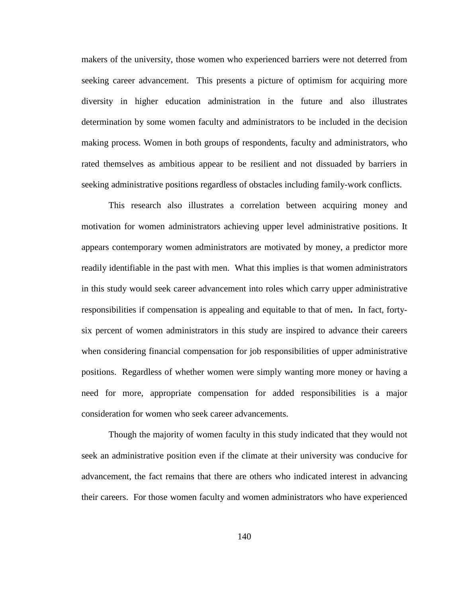makers of the university, those women who experienced barriers were not deterred from seeking career advancement. This presents a picture of optimism for acquiring more diversity in higher education administration in the future and also illustrates determination by some women faculty and administrators to be included in the decision making process. Women in both groups of respondents, faculty and administrators, who rated themselves as ambitious appear to be resilient and not dissuaded by barriers in seeking administrative positions regardless of obstacles including family-work conflicts.

This research also illustrates a correlation between acquiring money and motivation for women administrators achieving upper level administrative positions. It appears contemporary women administrators are motivated by money, a predictor more readily identifiable in the past with men. What this implies is that women administrators in this study would seek career advancement into roles which carry upper administrative responsibilities if compensation is appealing and equitable to that of men**.** In fact, fortysix percent of women administrators in this study are inspired to advance their careers when considering financial compensation for job responsibilities of upper administrative positions. Regardless of whether women were simply wanting more money or having a need for more, appropriate compensation for added responsibilities is a major consideration for women who seek career advancements.

Though the majority of women faculty in this study indicated that they would not seek an administrative position even if the climate at their university was conducive for advancement, the fact remains that there are others who indicated interest in advancing their careers. For those women faculty and women administrators who have experienced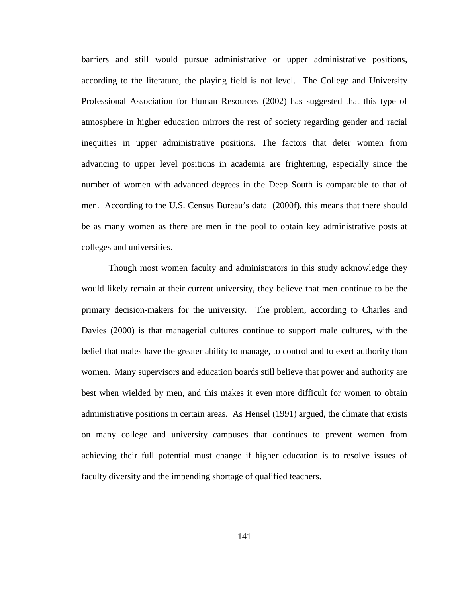barriers and still would pursue administrative or upper administrative positions, according to the literature, the playing field is not level. The College and University Professional Association for Human Resources (2002) has suggested that this type of atmosphere in higher education mirrors the rest of society regarding gender and racial inequities in upper administrative positions. The factors that deter women from advancing to upper level positions in academia are frightening, especially since the number of women with advanced degrees in the Deep South is comparable to that of men. According to the U.S. Census Bureau's data (2000f), this means that there should be as many women as there are men in the pool to obtain key administrative posts at colleges and universities.

Though most women faculty and administrators in this study acknowledge they would likely remain at their current university, they believe that men continue to be the primary decision-makers for the university. The problem, according to Charles and Davies (2000) is that managerial cultures continue to support male cultures, with the belief that males have the greater ability to manage, to control and to exert authority than women. Many supervisors and education boards still believe that power and authority are best when wielded by men, and this makes it even more difficult for women to obtain administrative positions in certain areas. As Hensel (1991) argued, the climate that exists on many college and university campuses that continues to prevent women from achieving their full potential must change if higher education is to resolve issues of faculty diversity and the impending shortage of qualified teachers.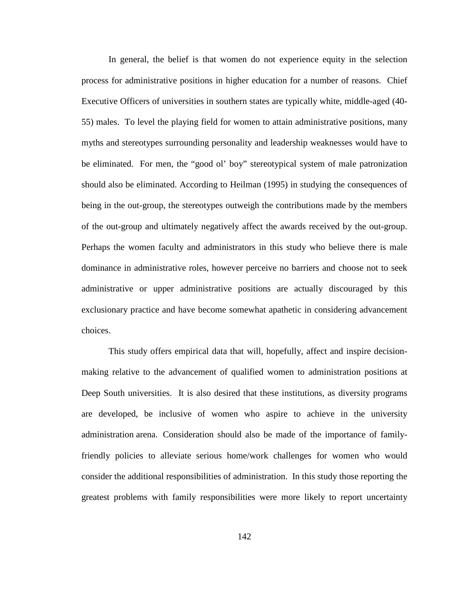In general, the belief is that women do not experience equity in the selection process for administrative positions in higher education for a number of reasons. Chief Executive Officers of universities in southern states are typically white, middle-aged (40- 55) males. To level the playing field for women to attain administrative positions, many myths and stereotypes surrounding personality and leadership weaknesses would have to be eliminated. For men, the "good ol' boy" stereotypical system of male patronization should also be eliminated. According to Heilman (1995) in studying the consequences of being in the out-group, the stereotypes outweigh the contributions made by the members of the out-group and ultimately negatively affect the awards received by the out-group. Perhaps the women faculty and administrators in this study who believe there is male dominance in administrative roles, however perceive no barriers and choose not to seek administrative or upper administrative positions are actually discouraged by this exclusionary practice and have become somewhat apathetic in considering advancement choices.

This study offers empirical data that will, hopefully, affect and inspire decisionmaking relative to the advancement of qualified women to administration positions at Deep South universities. It is also desired that these institutions, as diversity programs are developed, be inclusive of women who aspire to achieve in the university administration arena. Consideration should also be made of the importance of familyfriendly policies to alleviate serious home/work challenges for women who would consider the additional responsibilities of administration. In this study those reporting the greatest problems with family responsibilities were more likely to report uncertainty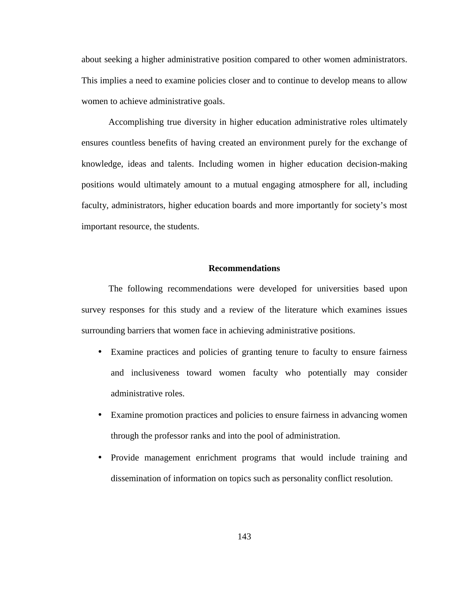about seeking a higher administrative position compared to other women administrators. This implies a need to examine policies closer and to continue to develop means to allow women to achieve administrative goals.

Accomplishing true diversity in higher education administrative roles ultimately ensures countless benefits of having created an environment purely for the exchange of knowledge, ideas and talents. Including women in higher education decision-making positions would ultimately amount to a mutual engaging atmosphere for all, including faculty, administrators, higher education boards and more importantly for society's most important resource, the students.

#### **Recommendations**

 The following recommendations were developed for universities based upon survey responses for this study and a review of the literature which examines issues surrounding barriers that women face in achieving administrative positions.

- Examine practices and policies of granting tenure to faculty to ensure fairness and inclusiveness toward women faculty who potentially may consider administrative roles.
- Examine promotion practices and policies to ensure fairness in advancing women through the professor ranks and into the pool of administration.
- Provide management enrichment programs that would include training and dissemination of information on topics such as personality conflict resolution.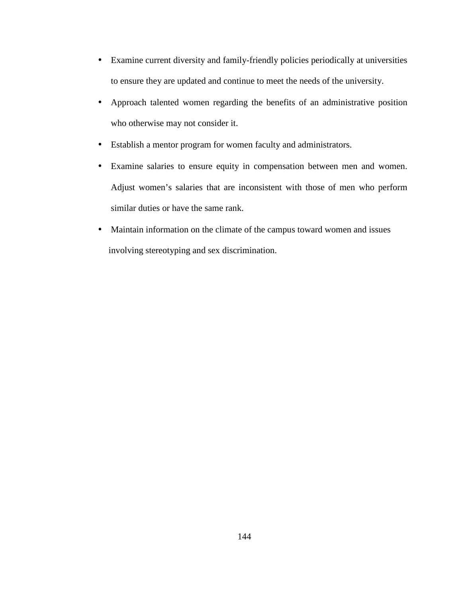- Examine current diversity and family-friendly policies periodically at universities to ensure they are updated and continue to meet the needs of the university.
- Approach talented women regarding the benefits of an administrative position who otherwise may not consider it.
- Establish a mentor program for women faculty and administrators.
- Examine salaries to ensure equity in compensation between men and women. Adjust women's salaries that are inconsistent with those of men who perform similar duties or have the same rank.
- Maintain information on the climate of the campus toward women and issues involving stereotyping and sex discrimination.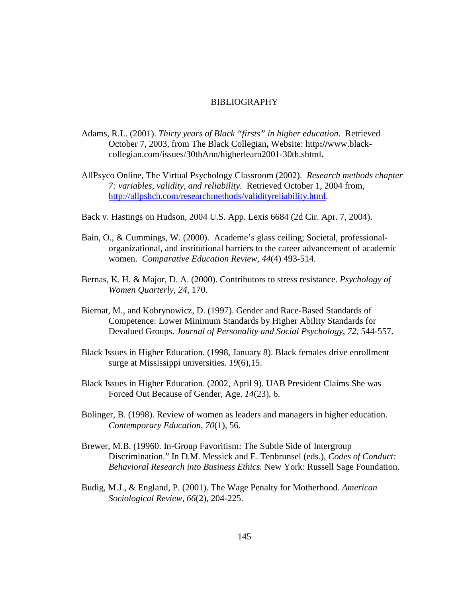#### BIBLIOGRAPHY

- Adams, R.L. (2001). *Thirty years of Black "firsts" in higher education*. Retrieved October 7, 2003, from The Black Collegian**,** Website: http**://**www.blackcollegian.com/issues/30thAnn/higherlearn2001-30th.shtml**.**
- AllPsyco Online, The Virtual Psychology Classroom (2002). *Research methods chapter 7: variables, validity, and reliability.* Retrieved October 1, 2004 from, http://allpshch.com/researchmethods/validityreliability.html.
- Back v. Hastings on Hudson, 2004 U.S. App. Lexis 6684 (2d Cir. Apr. 7, 2004).
- Bain, O., & Cummings, W. (2000). Academe's glass ceiling; Societal, professionalorganizational, and institutional barriers to the career advancement of academic women. *Comparative Education Review, 44*(4) 493-514.
- Bernas, K. H. & Major, D. A. (2000). Contributors to stress resistance. *Psychology of Women Quarterly, 24,* 170.
- Biernat, M., and Kobrynowicz, D. (1997). Gender and Race-Based Standards of Competence: Lower Minimum Standards by Higher Ability Standards for Devalued Groups. *Journal of Personality and Social Psychology*, *72*, 544-557.
- Black Issues in Higher Education. (1998, January 8). Black females drive enrollment surge at Mississippi universities. *19*(6),15.
- Black Issues in Higher Education. (2002, April 9). UAB President Claims She was Forced Out Because of Gender, Age. *14*(23), 6.
- Bolinger, B. (1998). Review of women as leaders and managers in higher education. *Contemporary Education, 70*(1)*,* 56.
- Brewer, M.B. (19960. In-Group Favoritism: The Subtle Side of Intergroup Discrimination." In D.M. Messick and E. Tenbrunsel (eds.), *Codes of Conduct: Behavioral Research into Business Ethics.* New York: Russell Sage Foundation.
- Budig, M.J., & England, P. (2001). The Wage Penalty for Motherhood. *American Sociological Review*, *66*(2), 204-225.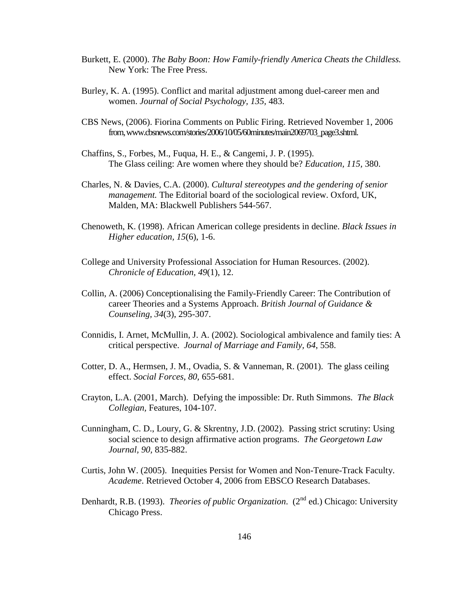- Burkett, E. (2000). *The Baby Boon: How Family-friendly America Cheats the Childless.* New York: The Free Press.
- Burley, K. A. (1995). Conflict and marital adjustment among duel-career men and women. *Journal of Social Psychology, 135,* 483.
- CBS News, (2006). Fiorina Comments on Public Firing. Retrieved November 1, 2006 from, www.cbsnews.com/stories/2006/10/05/60minutes/main2069703\_page3.shtml.
- Chaffins, S., Forbes, M., Fuqua, H. E., & Cangemi, J. P. (1995). The Glass ceiling: Are women where they should be? *Education, 115,* 380.
- Charles, N. & Davies, C.A. (2000). *Cultural stereotypes and the gendering of senior management.* The Editorial board of the sociological review. Oxford, UK, Malden, MA: Blackwell Publishers 544-567.
- Chenoweth, K. (1998). African American college presidents in decline. *Black Issues in Higher education, 15*(6), 1-6.
- College and University Professional Association for Human Resources. (2002). *Chronicle of Education, 49*(1), 12.
- Collin, A. (2006) Conceptionalising the Family-Friendly Career: The Contribution of career Theories and a Systems Approach. *British Journal of Guidance & Counseling, 34*(3), 295-307.
- Connidis, I. Arnet, McMullin, J. A. (2002). Sociological ambivalence and family ties: A critical perspective. *Journal of Marriage and Family, 64*, 558.
- Cotter, D. A., Hermsen, J. M., Ovadia, S. & Vanneman, R. (2001). The glass ceiling effect. *Social Forces, 80,* 655-681.
- Crayton, L.A. (2001, March). Defying the impossible: Dr. Ruth Simmons. *The Black Collegian,* Features, 104-107.
- Cunningham, C. D., Loury, G. & Skrentny, J.D. (2002). Passing strict scrutiny: Using social science to design affirmative action programs. *The Georgetown Law Journal, 90,* 835-882.
- Curtis, John W. (2005). Inequities Persist for Women and Non-Tenure-Track Faculty. *Academe*. Retrieved October 4, 2006 from EBSCO Research Databases.
- Denhardt, R.B. (1993). *Theories of public Organization.* (2<sup>nd</sup> ed.) Chicago: University Chicago Press.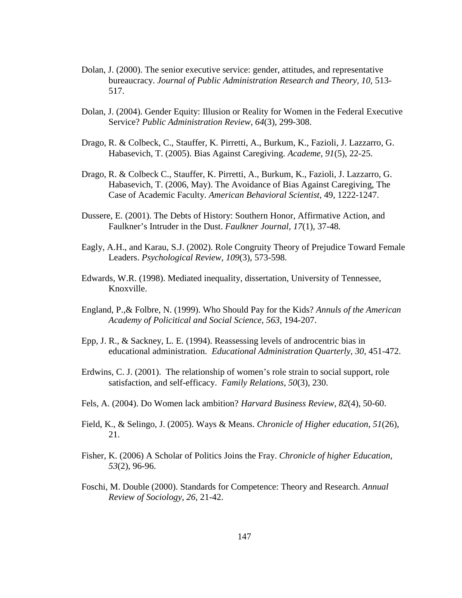- Dolan, J. (2000). The senior executive service: gender, attitudes, and representative bureaucracy. *Journal of Public Administration Research and Theory, 10,* 513- 517.
- Dolan, J. (2004). Gender Equity: Illusion or Reality for Women in the Federal Executive Service? *Public Administration Review, 64*(3), 299-308.
- Drago, R. & Colbeck, C., Stauffer, K. Pirretti, A., Burkum, K., Fazioli, J. Lazzarro, G. Habasevich, T. (2005). Bias Against Caregiving. *Academe*, *91*(5), 22-25.
- Drago, R. & Colbeck C., Stauffer, K. Pirretti, A., Burkum, K., Fazioli, J. Lazzarro, G. Habasevich, T. (2006, May). The Avoidance of Bias Against Caregiving, The Case of Academic Faculty. *American Behavioral Scientist*, 49, 1222-1247.
- Dussere, E. (2001). The Debts of History: Southern Honor, Affirmative Action, and Faulkner's Intruder in the Dust. *Faulkner Journal, 17*(1), 37-48.
- Eagly, A.H., and Karau, S.J. (2002). Role Congruity Theory of Prejudice Toward Female Leaders. *Psychological Review*, *109*(3), 573-598.
- Edwards, W.R. (1998). Mediated inequality, dissertation, University of Tennessee, Knoxville.
- England, P.,& Folbre, N. (1999). Who Should Pay for the Kids? *Annuls of the American Academy of Policitical and Social Science*, *563*, 194-207.
- Epp, J. R., & Sackney, L. E. (1994). Reassessing levels of androcentric bias in educational administration. *Educational Administration Quarterly*, *30,* 451-472.
- Erdwins, C. J. (2001). The relationship of women's role strain to social support, role satisfaction, and self-efficacy. *Family Relations, 50*(3)*,* 230.
- Fels, A. (2004). Do Women lack ambition? *Harvard Business Review*, *82*(4), 50-60.
- Field, K., & Selingo, J. (2005). Ways & Means. *Chronicle of Higher education*, *51*(26), 21.
- Fisher, K. (2006) A Scholar of Politics Joins the Fray. *Chronicle of higher Education, 53*(2), 96-96.
- Foschi, M. Double (2000). Standards for Competence: Theory and Research. *Annual Review of Sociology*, *26*, 21-42.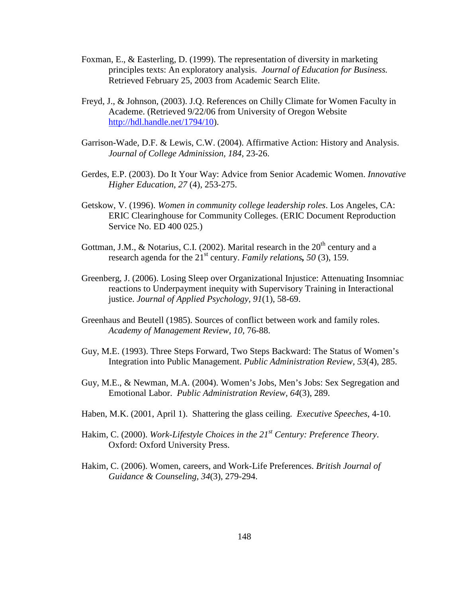- Foxman, E., & Easterling, D. (1999). The representation of diversity in marketing principles texts: An exploratory analysis. *Journal of Education for Business.* Retrieved February 25, 2003 from Academic Search Elite.
- Freyd, J., & Johnson, (2003). J.Q. References on Chilly Climate for Women Faculty in Academe. (Retrieved 9/22/06 from University of Oregon Website http://hdl.handle.net/1794/10).
- Garrison-Wade, D.F. & Lewis, C.W. (2004). Affirmative Action: History and Analysis. *Journal of College Adminission, 184*, 23-26.
- Gerdes, E.P. (2003). Do It Your Way: Advice from Senior Academic Women. *Innovative Higher Education*, *27* (4), 253-275.
- Getskow, V. (1996). *Women in community college leadership roles*. Los Angeles, CA: ERIC Clearinghouse for Community Colleges. (ERIC Document Reproduction Service No. ED 400 025.)
- Gottman, J.M., & Notarius, C.I. (2002). Marital research in the  $20<sup>th</sup>$  century and a research agenda for the 21st century. *Family relations, 50* (3), 159.
- Greenberg, J. (2006). Losing Sleep over Organizational Injustice: Attenuating Insomniac reactions to Underpayment inequity with Supervisory Training in Interactional justice. *Journal of Applied Psychology, 91*(1), 58-69.
- Greenhaus and Beutell (1985). Sources of conflict between work and family roles. *Academy of Management Review, 10,* 76-88.
- Guy, M.E. (1993). Three Steps Forward, Two Steps Backward: The Status of Women's Integration into Public Management. *Public Administration Review, 53*(4), 285.
- Guy, M.E., & Newman, M.A. (2004). Women's Jobs, Men's Jobs: Sex Segregation and Emotional Labor. *Public Administration Review, 64*(3), 289.
- Haben, M.K. (2001, April 1). Shattering the glass ceiling. *Executive Speeches*, 4-10.
- Hakim, C. (2000). *Work-Lifestyle Choices in the 21st Century: Preference Theory*. Oxford: Oxford University Press.
- Hakim, C. (2006). Women, careers, and Work-Life Preferences. *British Journal of Guidance & Counseling, 34*(3), 279-294.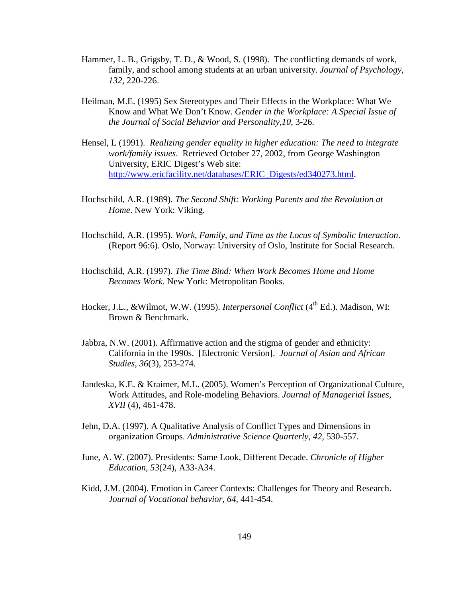- Hammer, L. B., Grigsby, T. D., & Wood, S. (1998). The conflicting demands of work, family, and school among students at an urban university. *Journal of Psychology, 132*, 220-226.
- Heilman, M.E. (1995) Sex Stereotypes and Their Effects in the Workplace: What We Know and What We Don't Know. *Gender in the Workplace: A Special Issue of the Journal of Social Behavior and Personality*,*10*, 3-26.
- Hensel, L (1991). *Realizing gender equality in higher education: The need to integrate work/family issues*. Retrieved October 27, 2002, from George Washington University, ERIC Digest's Web site: http://www.ericfacility.net/databases/ERIC\_Digests/ed340273.html.
- Hochschild, A.R. (1989). *The Second Shift: Working Parents and the Revolution at Home*. New York: Viking.
- Hochschild, A.R. (1995). *Work, Family, and Time as the Locus of Symbolic Interaction*. (Report 96:6). Oslo, Norway: University of Oslo, Institute for Social Research.
- Hochschild, A.R. (1997). *The Time Bind: When Work Becomes Home and Home Becomes Work*. New York: Metropolitan Books.
- Hocker, J.L., &Wilmot, W.W. (1995). *Interpersonal Conflict* (4<sup>th</sup> Ed.). Madison, WI: Brown & Benchmark.
- Jabbra, N.W. (2001). Affirmative action and the stigma of gender and ethnicity: California in the 1990s. [Electronic Version]. *Journal of Asian and African Studies, 36*(3), 253-274.
- Jandeska, K.E. & Kraimer, M.L. (2005). Women's Perception of Organizational Culture, Work Attitudes, and Role-modeling Behaviors. *Journal of Managerial Issues, XVII* (4), 461-478.
- Jehn, D.A. (1997). A Qualitative Analysis of Conflict Types and Dimensions in organization Groups. *Administrative Science Quarterly*, *42*, 530-557.
- June, A. W. (2007). Presidents: Same Look, Different Decade. *Chronicle of Higher Education*, *53*(24), A33-A34.
- Kidd, J.M. (2004). Emotion in Career Contexts: Challenges for Theory and Research. *Journal of Vocational behavior*, *64*, 441-454.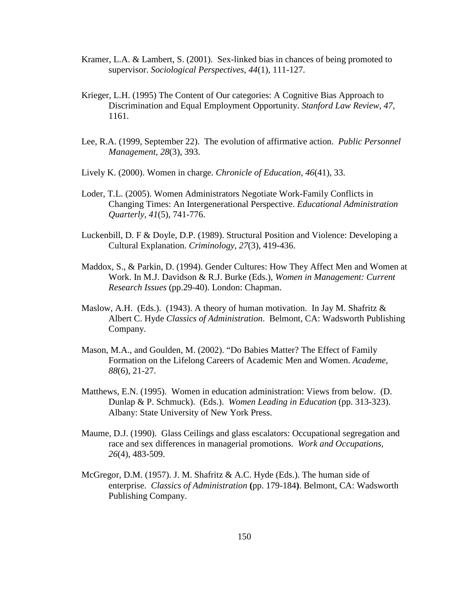- Kramer, L.A. & Lambert, S. (2001). Sex-linked bias in chances of being promoted to supervisor. *Sociological Perspectives, 44*(1), 111-127.
- Krieger, L.H. (1995) The Content of Our categories: A Cognitive Bias Approach to Discrimination and Equal Employment Opportunity. *Stanford Law Review*, *47*, 1161.
- Lee, R.A. (1999, September 22). The evolution of affirmative action. *Public Personnel Management, 28*(3), 393.
- Lively K. (2000). Women in charge. *Chronicle of Education, 46*(41), 33.
- Loder, T.L. (2005). Women Administrators Negotiate Work-Family Conflicts in Changing Times: An Intergenerational Perspective. *Educational Administration Quarterly, 41*(5), 741-776.
- Luckenbill, D. F & Doyle, D.P. (1989). Structural Position and Violence: Developing a Cultural Explanation. *Criminology*, *27*(3), 419-436.
- Maddox, S., & Parkin, D. (1994). Gender Cultures: How They Affect Men and Women at Work. In M.J. Davidson & R.J. Burke (Eds.), *Women in Management: Current Research Issues* (pp.29-40). London: Chapman.
- Maslow, A.H. (Eds.). (1943). A theory of human motivation. In Jay M. Shafritz  $\&$ Albert C. Hyde *Classics of Administration*.Belmont, CA: Wadsworth Publishing Company.
- Mason, M.A., and Goulden, M. (2002). "Do Babies Matter? The Effect of Family Formation on the Lifelong Careers of Academic Men and Women. *Academe*, *88*(6), 21-27.
- Matthews, E.N. (1995). Women in education administration: Views from below. (D. Dunlap & P. Schmuck). (Eds.). *Women Leading in Education* (pp. 313-323). Albany: State University of New York Press.
- Maume, D.J. (1990). Glass Ceilings and glass escalators: Occupational segregation and race and sex differences in managerial promotions. *Work and Occupations, 26*(4), 483-509.
- McGregor, D.M. (1957). J. M. Shafritz  $\&$  A.C. Hyde (Eds.). The human side of enterprise. *Classics of Administration* **(**pp. 179-184**)**. Belmont, CA: Wadsworth Publishing Company.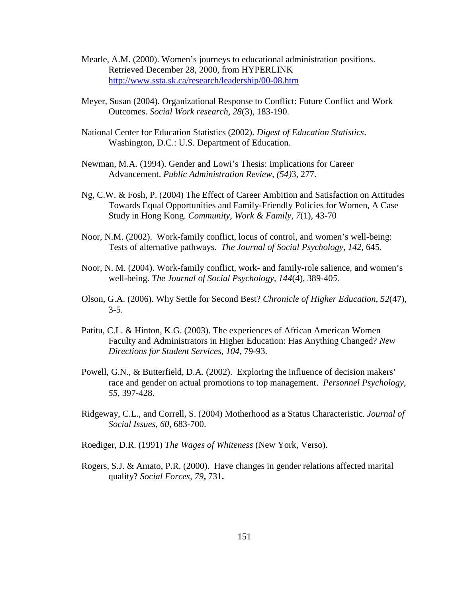- Mearle, A.M. (2000). Women's journeys to educational administration positions. Retrieved December 28, 2000, from HYPERLINK http://www.ssta.sk.ca/research/leadership/00-08.htm
- Meyer, Susan (2004). Organizational Response to Conflict: Future Conflict and Work Outcomes. *Social Work research, 28*(3), 183-190.
- National Center for Education Statistics (2002). *Digest of Education Statistics*. Washington, D.C.: U.S. Department of Education.
- Newman, M.A. (1994). Gender and Lowi's Thesis: Implications for Career Advancement. *Public Administration Review, (54)*3, 277.
- Ng, C.W. & Fosh, P. (2004) The Effect of Career Ambition and Satisfaction on Attitudes Towards Equal Opportunities and Family-Friendly Policies for Women, A Case Study in Hong Kong. *Community, Work & Family, 7*(1), 43-70
- Noor, N.M. (2002). Work-family conflict, locus of control, and women's well-being: Tests of alternative pathways. *The Journal of Social Psychology, 142,* 645.
- Noor, N. M. (2004). Work-family conflict, work- and family-role salience, and women's well-being. *The Journal of Social Psychology, 144*(4), 389-40*5.*
- Olson, G.A. (2006). Why Settle for Second Best? *Chronicle of Higher Education*, *52*(47),  $3-5.$
- Patitu, C.L. & Hinton, K.G. (2003). The experiences of African American Women Faculty and Administrators in Higher Education: Has Anything Changed? *New Directions for Student Services*, *104*, 79-93.
- Powell, G.N., & Butterfield, D.A. (2002). Exploring the influence of decision makers' race and gender on actual promotions to top management. *Personnel Psychology, 55,* 397-428.
- Ridgeway, C.L., and Correll, S. (2004) Motherhood as a Status Characteristic. *Journal of Social Issues*, *60*, 683-700.
- Roediger, D.R. (1991) *The Wages of Whiteness* (New York, Verso).
- Rogers, S.J. & Amato, P.R. (2000). Have changes in gender relations affected marital quality? *Social Forces, 79***,** 731**.**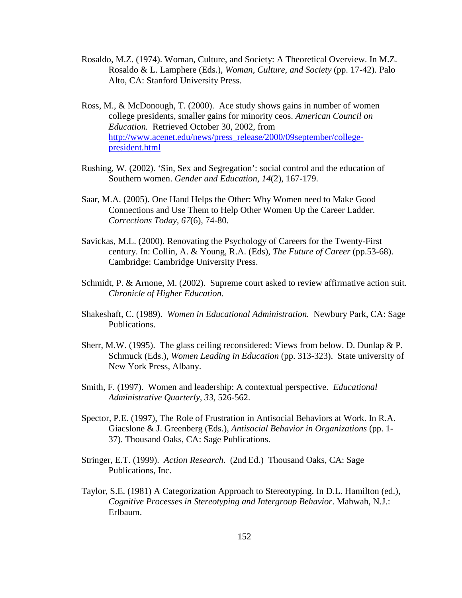- Rosaldo, M.Z. (1974). Woman, Culture, and Society: A Theoretical Overview. In M.Z. Rosaldo & L. Lamphere (Eds.), *Woman, Culture, and Society* (pp. 17-42). Palo Alto, CA: Stanford University Press.
- Ross, M., & McDonough, T. (2000). Ace study shows gains in number of women college presidents, smaller gains for minority ceos. *American Council on Education.* Retrieved October 30, 2002, from http://www.acenet.edu/news/press\_release/2000/09september/collegepresident.html
- Rushing, W. (2002). 'Sin, Sex and Segregation': social control and the education of Southern women. *Gender and Education*, *14*(2), 167-179.
- Saar, M.A. (2005). One Hand Helps the Other: Why Women need to Make Good Connections and Use Them to Help Other Women Up the Career Ladder. *Corrections Today, 67*(6), 74-80.
- Savickas, M.L. (2000). Renovating the Psychology of Careers for the Twenty-First century. In: Collin, A. & Young, R.A. (Eds), *The Future of Career* (pp.53-68). Cambridge: Cambridge University Press.
- Schmidt, P. & Arnone, M. (2002). Supreme court asked to review affirmative action suit. *Chronicle of Higher Education.*
- Shakeshaft, C. (1989). *Women in Educational Administration.* Newbury Park, CA: Sage Publications.
- Sherr, M.W. (1995). The glass ceiling reconsidered: Views from below. D. Dunlap & P. Schmuck (Eds.), *Women Leading in Education* (pp. 313-323). State university of New York Press, Albany.
- Smith, F. (1997). Women and leadership: A contextual perspective. *Educational Administrative Quarterly, 33*, 526-562.
- Spector, P.E. (1997), The Role of Frustration in Antisocial Behaviors at Work. In R.A. Giacslone & J. Greenberg (Eds.), *Antisocial Behavior in Organizations* (pp. 1- 37). Thousand Oaks, CA: Sage Publications.
- Stringer, E.T. (1999). *Action Research*. (2nd Ed.) Thousand Oaks, CA: Sage Publications, Inc.
- Taylor, S.E. (1981) A Categorization Approach to Stereotyping. In D.L. Hamilton (ed.), *Cognitive Processes in Stereotyping and Intergroup Behavior*. Mahwah, N.J.: Erlbaum.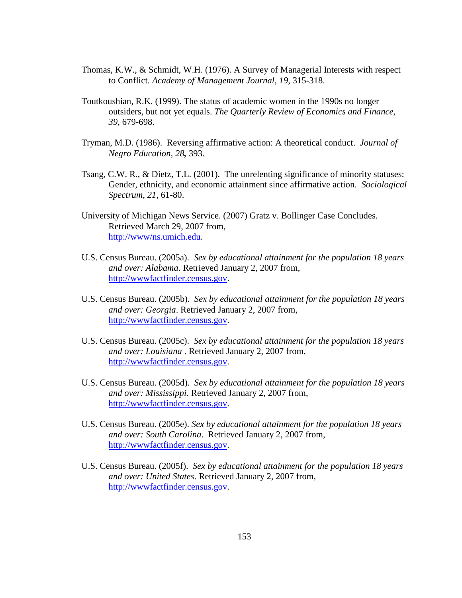- Thomas, K.W., & Schmidt, W.H. (1976). A Survey of Managerial Interests with respect to Conflict. *Academy of Management Journal*, *19*, 315-318.
- Toutkoushian, R.K. (1999). The status of academic women in the 1990s no longer outsiders, but not yet equals. *The Quarterly Review of Economics and Finance, 39,* 679-698.
- Tryman, M.D. (1986). Reversing affirmative action: A theoretical conduct. *Journal of Negro Education, 28,* 393.
- Tsang, C.W. R., & Dietz, T.L. (2001). The unrelenting significance of minority statuses: Gender, ethnicity, and economic attainment since affirmative action. *Sociological Spectrum, 21*, 61-80.
- University of Michigan News Service. (2007) Gratz v. Bollinger Case Concludes. Retrieved March 29, 2007 from, http://www/ns.umich.edu.
- U.S. Census Bureau. (2005a). *Sex by educational attainment for the population 18 years and over: Alabama*. Retrieved January 2, 2007 from, http://wwwfactfinder.census.gov.
- U.S. Census Bureau. (2005b). *Sex by educational attainment for the population 18 years and over: Georgia*. Retrieved January 2, 2007 from, http://wwwfactfinder.census.gov.
- U.S. Census Bureau. (2005c). *Sex by educational attainment for the population 18 years and over: Louisiana* . Retrieved January 2, 2007 from, http://wwwfactfinder.census.gov.
- U.S. Census Bureau. (2005d). *Sex by educational attainment for the population 18 years and over: Mississippi*. Retrieved January 2, 2007 from, http://wwwfactfinder.census.gov.
- U.S. Census Bureau. (2005e). *Sex by educational attainment for the population 18 years and over: South Carolina*. Retrieved January 2, 2007 from, http://wwwfactfinder.census.gov.
- U.S. Census Bureau. (2005f). *Sex by educational attainment for the population 18 years and over: United States*. Retrieved January 2, 2007 from, http://wwwfactfinder.census.gov.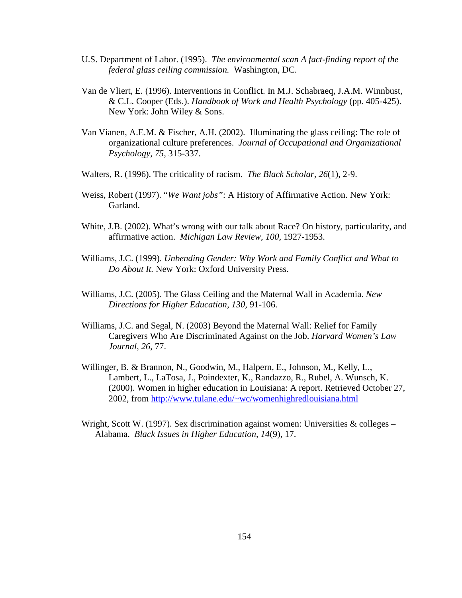- U.S. Department of Labor. (1995). *The environmental scan A fact-finding report of the federal glass ceiling commission.* Washington, DC.
- Van de Vliert, E. (1996). Interventions in Conflict. In M.J. Schabraeq, J.A.M. Winnbust, & C.L. Cooper (Eds.). *Handbook of Work and Health Psychology* (pp. 405-425). New York: John Wiley & Sons.
- Van Vianen, A.E.M. & Fischer, A.H. (2002). Illuminating the glass ceiling: The role of organizational culture preferences. *Journal of Occupational and Organizational Psychology, 75,* 315-337.
- Walters, R. (1996). The criticality of racism. *The Black Scholar, 26*(1), 2-9.
- Weiss, Robert (1997). "*We Want jobs"*: A History of Affirmative Action. New York: Garland.
- White, J.B. (2002). What's wrong with our talk about Race? On history, particularity, and affirmative action. *Michigan Law Review, 100,* 1927-1953.
- Williams, J.C. (1999). *Unbending Gender: Why Work and Family Conflict and What to Do About It.* New York: Oxford University Press.
- Williams, J.C. (2005). The Glass Ceiling and the Maternal Wall in Academia. *New Directions for Higher Education, 130,* 91-106.
- Williams, J.C. and Segal, N. (2003) Beyond the Maternal Wall: Relief for Family Caregivers Who Are Discriminated Against on the Job. *Harvard Women's Law Journal*, *26*, 77.
- Willinger, B. & Brannon, N., Goodwin, M., Halpern, E., Johnson, M., Kelly, L., Lambert, L., LaTosa, J., Poindexter, K., Randazzo, R., Rubel, A. Wunsch, K. (2000). Women in higher education in Louisiana: A report. Retrieved October 27, 2002, from http://www.tulane.edu/~wc/womenhighredlouisiana.html
- Wright, Scott W. (1997). Sex discrimination against women: Universities  $\&$  colleges Alabama. *Black Issues in Higher Education, 14*(9), 17.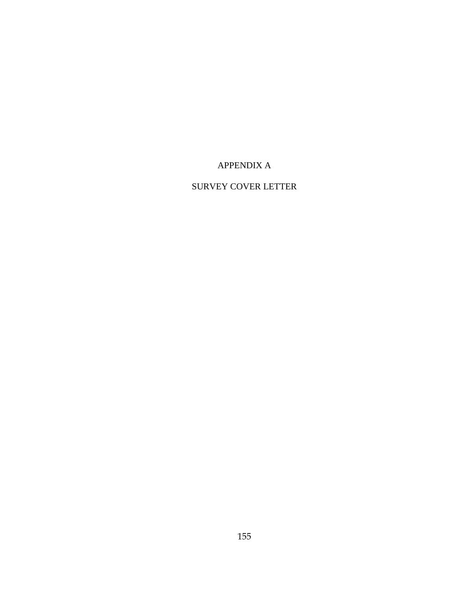# APPENDIX A

# SURVEY COVER LETTER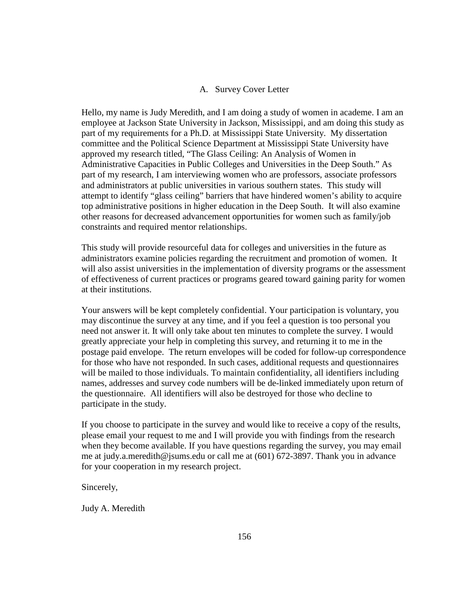## A*.* Survey Cover Letter

Hello, my name is Judy Meredith, and I am doing a study of women in academe. I am an employee at Jackson State University in Jackson, Mississippi, and am doing this study as part of my requirements for a Ph.D. at Mississippi State University. My dissertation committee and the Political Science Department at Mississippi State University have approved my research titled, "The Glass Ceiling: An Analysis of Women in Administrative Capacities in Public Colleges and Universities in the Deep South." As part of my research, I am interviewing women who are professors, associate professors and administrators at public universities in various southern states. This study will attempt to identify "glass ceiling" barriers that have hindered women's ability to acquire top administrative positions in higher education in the Deep South. It will also examine other reasons for decreased advancement opportunities for women such as family/job constraints and required mentor relationships.

This study will provide resourceful data for colleges and universities in the future as administrators examine policies regarding the recruitment and promotion of women. It will also assist universities in the implementation of diversity programs or the assessment of effectiveness of current practices or programs geared toward gaining parity for women at their institutions.

Your answers will be kept completely confidential. Your participation is voluntary, you may discontinue the survey at any time, and if you feel a question is too personal you need not answer it. It will only take about ten minutes to complete the survey. I would greatly appreciate your help in completing this survey, and returning it to me in the postage paid envelope. The return envelopes will be coded for follow-up correspondence for those who have not responded. In such cases, additional requests and questionnaires will be mailed to those individuals. To maintain confidentiality, all identifiers including names, addresses and survey code numbers will be de-linked immediately upon return of the questionnaire. All identifiers will also be destroyed for those who decline to participate in the study.

If you choose to participate in the survey and would like to receive a copy of the results, please email your request to me and I will provide you with findings from the research when they become available. If you have questions regarding the survey, you may email me at judy.a.meredith@jsums.edu or call me at (601) 672-3897. Thank you in advance for your cooperation in my research project.

Sincerely,

Judy A. Meredith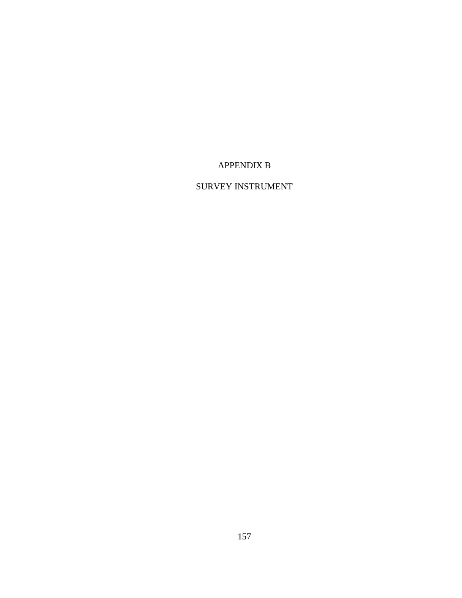# APPENDIX B

# SURVEY INSTRUMENT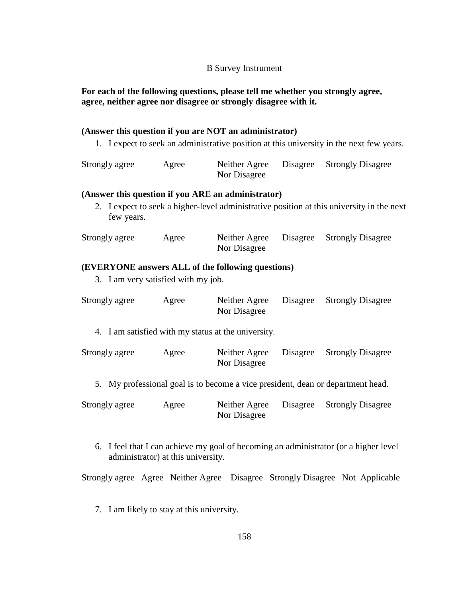### B Survey Instrument

## **For each of the following questions, please tell me whether you strongly agree, agree, neither agree nor disagree or strongly disagree with it.**

## **(Answer this question if you are NOT an administrator)**

1. I expect to seek an administrative position at this university in the next few years.

| Strongly agree | Agree | Neither Agree | Disagree Strongly Disagree |
|----------------|-------|---------------|----------------------------|
|                |       | Nor Disagree  |                            |

#### **(Answer this question if you ARE an administrator)**

2. I expect to seek a higher-level administrative position at this university in the next few years.

| Strongly agree | Agree | Neither Agree | Disagree Strongly Disagree |
|----------------|-------|---------------|----------------------------|
|                |       | Nor Disagree  |                            |

## **(EVERYONE answers ALL of the following questions)**

3. I am very satisfied with my job.

| Strongly agree | Agree | Neither Agree<br>Nor Disagree                       | Disagree Strongly Disagree |
|----------------|-------|-----------------------------------------------------|----------------------------|
|                |       | 4. I am satisfied with my status at the university. |                            |

| Strongly agree | Agree | Neither Agree | Disagree Strongly Disagree |
|----------------|-------|---------------|----------------------------|
|                |       | Nor Disagree  |                            |

5. My professional goal is to become a vice president, dean or department head.

| Strongly agree | Agree | Neither Agree | Disagree Strongly Disagree |
|----------------|-------|---------------|----------------------------|
|                |       | Nor Disagree  |                            |

6. I feel that I can achieve my goal of becoming an administrator (or a higher level administrator) at this university.

Strongly agree Agree Neither Agree Disagree Strongly Disagree Not Applicable

7. I am likely to stay at this university.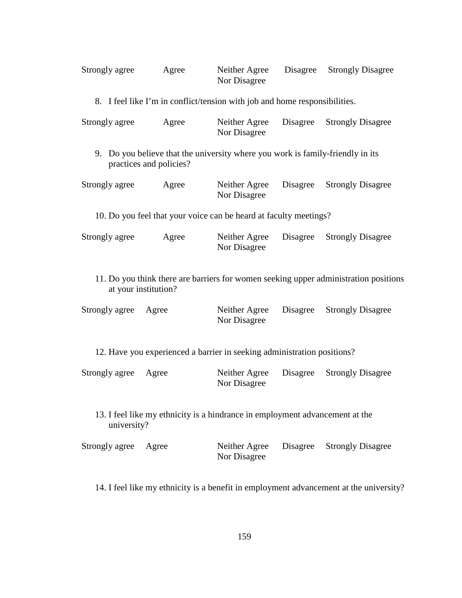| Strongly agree                                                                                               | Agree                                                                                                     | Neither Agree<br>Nor Disagree | Disagree | <b>Strongly Disagree</b> |
|--------------------------------------------------------------------------------------------------------------|-----------------------------------------------------------------------------------------------------------|-------------------------------|----------|--------------------------|
|                                                                                                              | 8. I feel like I'm in conflict/tension with job and home responsibilities.                                |                               |          |                          |
| Strongly agree                                                                                               | Agree                                                                                                     | Neither Agree<br>Nor Disagree | Disagree | <b>Strongly Disagree</b> |
|                                                                                                              | 9. Do you believe that the university where you work is family-friendly in its<br>practices and policies? |                               |          |                          |
| Strongly agree                                                                                               | Agree                                                                                                     | Neither Agree<br>Nor Disagree | Disagree | <b>Strongly Disagree</b> |
|                                                                                                              | 10. Do you feel that your voice can be heard at faculty meetings?                                         |                               |          |                          |
| Strongly agree                                                                                               | Agree                                                                                                     | Neither Agree<br>Nor Disagree | Disagree | <b>Strongly Disagree</b> |
| 11. Do you think there are barriers for women seeking upper administration positions<br>at your institution? |                                                                                                           |                               |          |                          |
| Strongly agree                                                                                               | Agree                                                                                                     | Neither Agree<br>Nor Disagree | Disagree | <b>Strongly Disagree</b> |
|                                                                                                              | 12. Have you experienced a barrier in seeking administration positions?                                   |                               |          |                          |
| Strongly agree                                                                                               | Agree                                                                                                     | Neither Agree<br>Nor Disagree | Disagree | <b>Strongly Disagree</b> |
| 13. I feel like my ethnicity is a hindrance in employment advancement at the<br>university?                  |                                                                                                           |                               |          |                          |
| Strongly agree                                                                                               | Agree                                                                                                     | Neither Agree<br>Nor Disagree | Disagree | <b>Strongly Disagree</b> |
| 14. I feel like my ethnicity is a benefit in employment advancement at the university?                       |                                                                                                           |                               |          |                          |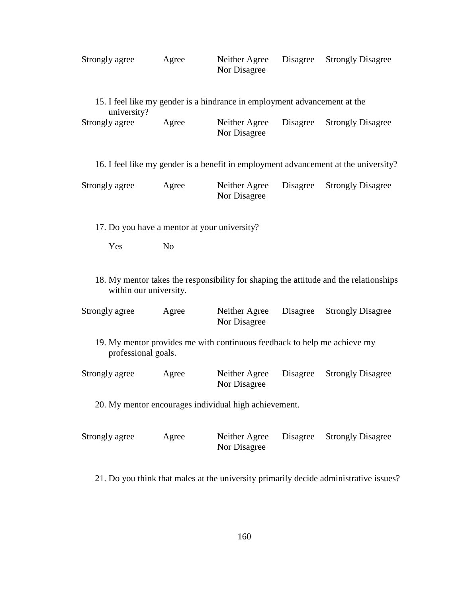| Strongly agree | Agree | Neither Agree | Disagree Strongly Disagree |
|----------------|-------|---------------|----------------------------|
|                |       | Nor Disagree  |                            |

|                |       | 15. I feel like my gender is a hindrance in employment advancement at the |                            |
|----------------|-------|---------------------------------------------------------------------------|----------------------------|
| university?    |       |                                                                           |                            |
| Strongly agree | Agree | Neither Agree<br>Nor Disagree                                             | Disagree Strongly Disagree |

| 16. I feel like my gender is a benefit in employment advancement at the university? |  |  |  |
|-------------------------------------------------------------------------------------|--|--|--|
|                                                                                     |  |  |  |

| Strongly agree | Agree | Neither Agree | Disagree Strongly Disagree |
|----------------|-------|---------------|----------------------------|
|                |       | Nor Disagree  |                            |

17. Do you have a mentor at your university?

Yes No

18. My mentor takes the responsibility for shaping the attitude and the relationships within our university.

| Strongly agree | Agree | Neither Agree | Disagree Strongly Disagree |
|----------------|-------|---------------|----------------------------|
|                |       | Nor Disagree  |                            |
|                |       |               |                            |

19. My mentor provides me with continuous feedback to help me achieve my professional goals.

| Strongly agree | Agree | Neither Agree | Disagree Strongly Disagree |
|----------------|-------|---------------|----------------------------|
|                |       | Nor Disagree  |                            |

20. My mentor encourages individual high achievement.

| Strongly agree | Agree | Neither Agree | Disagree Strongly Disagree |  |
|----------------|-------|---------------|----------------------------|--|
|                |       | Nor Disagree  |                            |  |

21. Do you think that males at the university primarily decide administrative issues?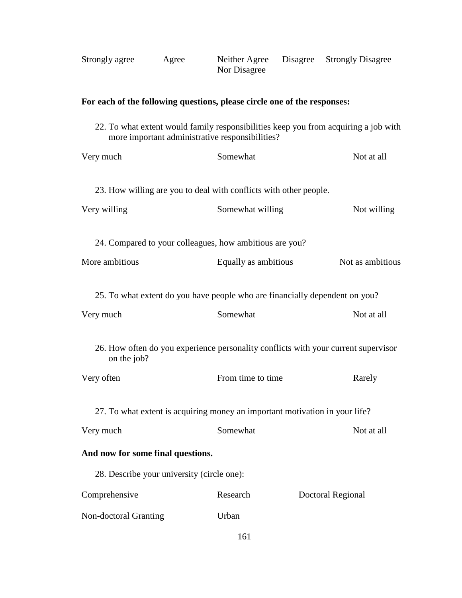| Strongly agree | Agree |                                                                                       | Disagree | <b>Strongly Disagree</b>                                                            |
|----------------|-------|---------------------------------------------------------------------------------------|----------|-------------------------------------------------------------------------------------|
|                |       | For each of the following questions, please circle one of the responses:              |          |                                                                                     |
|                |       | more important administrative responsibilities?                                       |          | 22. To what extent would family responsibilities keep you from acquiring a job with |
| Very much      |       | Somewhat                                                                              |          | Not at all                                                                          |
| Very willing   |       | 23. How willing are you to deal with conflicts with other people.<br>Somewhat willing |          | Not willing                                                                         |
|                |       | 24. Compared to your colleagues, how ambitious are you?                               |          |                                                                                     |

More ambitious Equally as ambitious Not as ambitious

25. To what extent do you have people who are financially dependent on you?

| Very much                                  | Somewhat                                                                    | Not at all                                                                         |
|--------------------------------------------|-----------------------------------------------------------------------------|------------------------------------------------------------------------------------|
| on the job?                                |                                                                             | 26. How often do you experience personality conflicts with your current supervisor |
| Very often                                 | From time to time                                                           | Rarely                                                                             |
|                                            | 27. To what extent is acquiring money an important motivation in your life? |                                                                                    |
| Very much                                  | Somewhat                                                                    | Not at all                                                                         |
| And now for some final questions.          |                                                                             |                                                                                    |
| 28. Describe your university (circle one): |                                                                             |                                                                                    |
| Comprehensive                              | Research                                                                    | Doctoral Regional                                                                  |
| Non-doctoral Granting                      | Urban                                                                       |                                                                                    |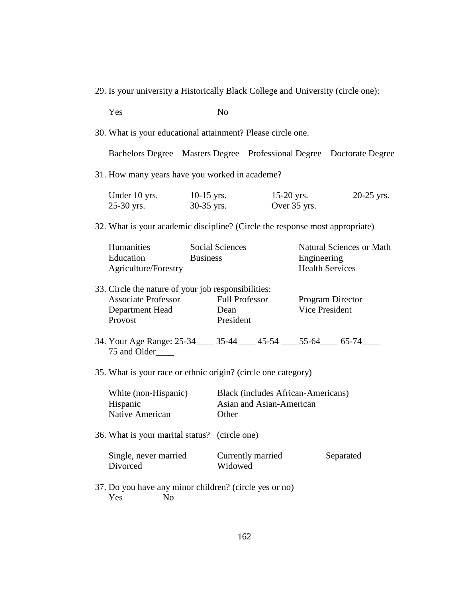29. Is your university a Historically Black College and University (circle one):

| Yes                                                                                                             |                 | N <sub>o</sub>                             |  |                              |                                           |                                                           |
|-----------------------------------------------------------------------------------------------------------------|-----------------|--------------------------------------------|--|------------------------------|-------------------------------------------|-----------------------------------------------------------|
| 30. What is your educational attainment? Please circle one.                                                     |                 |                                            |  |                              |                                           |                                                           |
| Bachelors Degree Masters Degree Professional Degree Doctorate Degree                                            |                 |                                            |  |                              |                                           |                                                           |
| 31. How many years have you worked in academe?                                                                  |                 |                                            |  |                              |                                           |                                                           |
| Under 10 yrs. $10-15$ yrs.<br>25-30 yrs.                                                                        |                 | $30-35$ yrs.                               |  | $15-20$ yrs.<br>Over 35 yrs. |                                           | 20-25 yrs.                                                |
| 32. What is your academic discipline? (Circle the response most appropriate)                                    |                 |                                            |  |                              |                                           |                                                           |
| Humanities<br>Education<br>Agriculture/Forestry                                                                 | <b>Business</b> | <b>Social Sciences</b>                     |  |                              | Engineering                               | <b>Natural Sciences or Math</b><br><b>Health Services</b> |
| 33. Circle the nature of your job responsibilities:<br><b>Associate Professor</b><br>Department Head<br>Provost |                 | <b>Full Professor</b><br>Dean<br>President |  |                              | Vice President                            | <b>Program Director</b>                                   |
| 34. Your Age Range: 25-34____ 35-44___ 45-54 ___ 55-64___ 65-74___<br>75 and Older                              |                 |                                            |  |                              |                                           |                                                           |
| 35. What is your race or ethnic origin? (circle one category)                                                   |                 |                                            |  |                              |                                           |                                                           |
| White (non-Hispanic)<br>Hispanic<br>Native American                                                             |                 | Asian and Asian-American<br>Other          |  |                              | <b>Black</b> (includes African-Americans) |                                                           |
| 36. What is your marital status? (circle one)                                                                   |                 |                                            |  |                              |                                           |                                                           |
| Single, never married<br>Divorced                                                                               |                 | Currently married<br>Widowed               |  |                              |                                           | Separated                                                 |
| 37. Do you have any minor children? (circle yes or no)                                                          |                 |                                            |  |                              |                                           |                                                           |

Yes No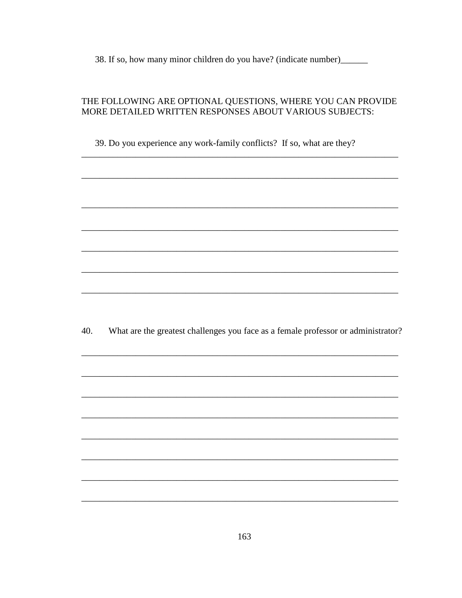38. If so, how many minor children do you have? (indicate number)

# THE FOLLOWING ARE OPTIONAL QUESTIONS, WHERE YOU CAN PROVIDE MORE DETAILED WRITTEN RESPONSES ABOUT VARIOUS SUBJECTS:

39. Do you experience any work-family conflicts? If so, what are they?

40. What are the greatest challenges you face as a female professor or administrator?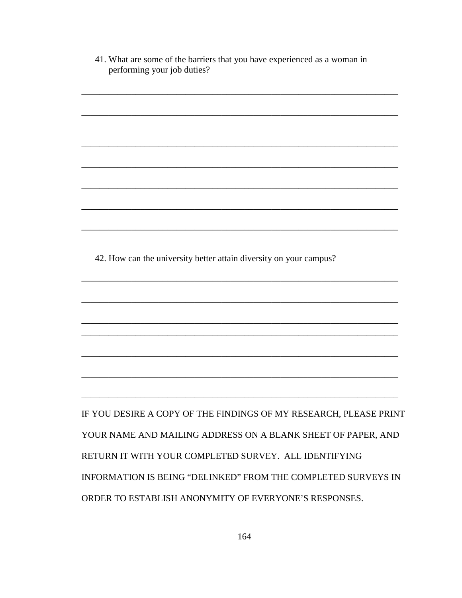| 41. What are some of the barriers that you have experienced as a woman in<br>performing your job duties? |
|----------------------------------------------------------------------------------------------------------|
|                                                                                                          |
|                                                                                                          |
|                                                                                                          |
|                                                                                                          |
|                                                                                                          |
|                                                                                                          |
|                                                                                                          |
| 42. How can the university better attain diversity on your campus?                                       |
|                                                                                                          |
|                                                                                                          |
|                                                                                                          |
|                                                                                                          |
|                                                                                                          |
| IF YOU DESIRE A COPY OF THE FINDINGS OF MY RESEARCH, PLEASE PRINT                                        |
| YOUR NAME AND MAILING ADDRESS ON A BLANK SHEET OF PAPER, AND                                             |
| RETURN IT WITH YOUR COMPLETED SURVEY. ALL IDENTIFYING                                                    |
| INFORMATION IS BEING "DELINKED" FROM THE COMPLETED SURVEYS IN                                            |
| ORDER TO ESTABLISH ANONYMITY OF EVERYONE'S RESPONSES.                                                    |
|                                                                                                          |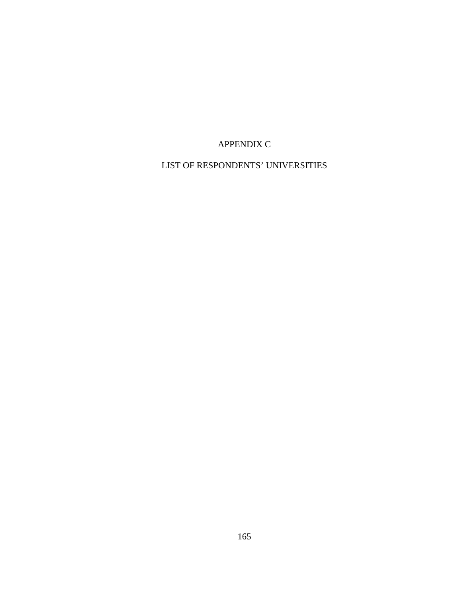# APPENDIX C

# LIST OF RESPONDENTS' UNIVERSITIES